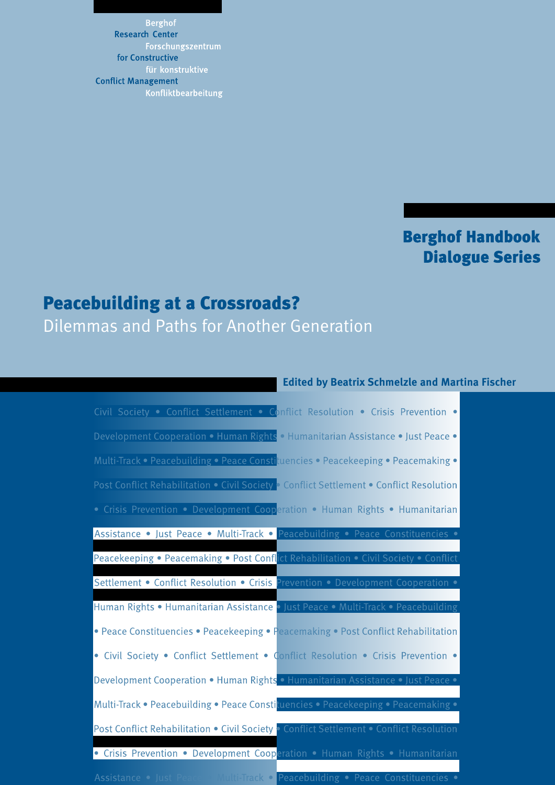**Berghof Research Center** Forschungszentrum for Constructive für konstruktive **Conflict Management** Konfliktbearbeitung

## **Berghof Handbook Dialogue Series**

## Peacebuilding at a Crossroads?

Dilemmas and Paths for Another Generation

### **Edited by Beatrix Schmelzle and Martina Fischer**

| Civil Society . Conflict Settlement . Conflict Resolution . Crisis Prevention .          |
|------------------------------------------------------------------------------------------|
| Development Cooperation • Human Rights • Humanitarian Assistance • Just Peace •          |
| Multi-Track • Peacebuilding • Peace Constituencies • Peacekeeping • Peacemaking •        |
| Post Conflict Rehabilitation • Civil Society • Conflict Settlement • Conflict Resolution |
| • Crisis Prevention • Development Cooperation • Human Rights • Humanitarian              |
| Assistance • Just Peace • Multi-Track • Peacebuilding • Peace Constituencies •           |
| Peacekeeping • Peacemaking • Post Conflict Rehabilitation • Civil Society • Conflict     |
| Settlement . Conflict Resolution . Crisis Prevention . Development Cooperation .         |
| Human Rights • Humanitarian Assistance • Just Peace • Multi-Track • Peacebuilding        |
| • Peace Constituencies • Peacekeeping • Peacemaking • Post Conflict Rehabilitation       |
| • Civil Society . Conflict Settlement . Conflict Resolution . Crisis Prevention .        |
| Development Cooperation • Human Rights • Humanitarian Assistance • Just Peace •          |
| Multi-Track · Peacebuilding · Peace Constituencies · Peacekeeping · Peacemaking ·        |
| Post Conflict Rehabilitation . Civil Society . Conflict Settlement . Conflict Resolution |
| • Crisis Prevention • Development Cooperation • Human Rights • Humanitarian              |
| Assistance · Just Peace Multi-Track · Peacebuilding · Peace Constituencies ·             |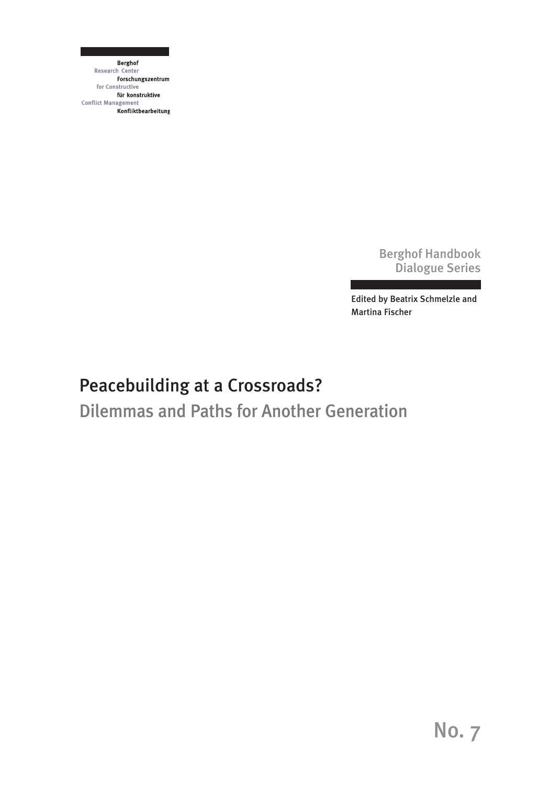**Berghof** Research Center Forschungszentrum for Constructive für konstruktive **Conflict Management Konfliktbearbeitung** 

> Berghof Handbook Dialogue Series

Edited by Beatrix Schmelzle and Martina Fischer

# Peacebuilding at a Crossroads?

Dilemmas and Paths for Another Generation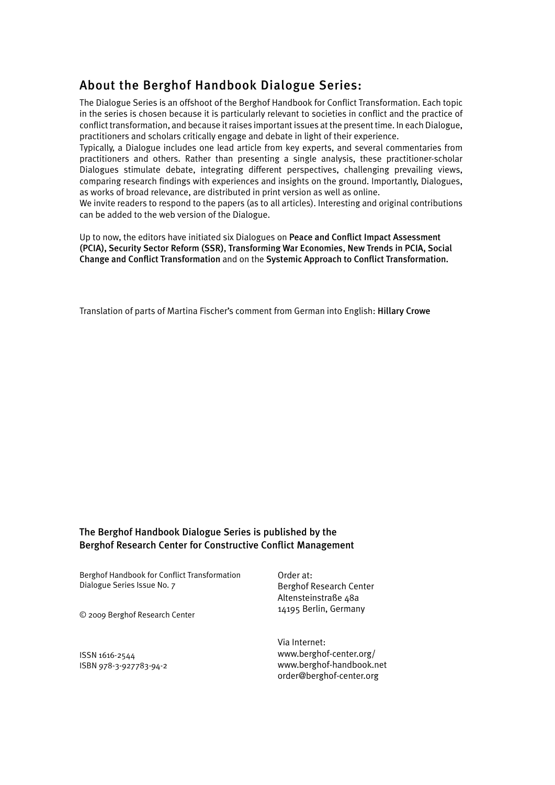### About the Berghof Handbook Dialogue Series:

The Dialogue Series is an offshoot of the Berghof Handbook for Conflict Transformation. Each topic in the series is chosen because it is particularly relevant to societies in conflict and the practice of conflict transformation, and because it raises important issues at the present time. In each Dialogue, practitioners and scholars critically engage and debate in light of their experience.

Typically, a Dialogue includes one lead article from key experts, and several commentaries from practitioners and others. Rather than presenting a single analysis, these practitioner-scholar Dialogues stimulate debate, integrating different perspectives, challenging prevailing views, comparing research findings with experiences and insights on the ground. Importantly, Dialogues, as works of broad relevance, are distributed in print version as well as online.

We invite readers to respond to the papers (as to all articles). Interesting and original contributions can be added to the web version of the Dialogue.

Up to now, the editors have initiated six Dialogues on Peace and Conflict Impact Assessment (PCIA), Security Sector Reform (SSR), Transforming War Economies, New Trends in PCIA, Social Change and Conflict Transformation and on the Systemic Approach to Conflict Transformation.

Translation of parts of Martina Fischer's comment from German into English: Hillary Crowe

### The Berghof Handbook Dialogue Series is published by the Berghof Research Center for Constructive Conflict Management

Berghof Handbook for Conflict Transformation Dialogue Series Issue No. 7

© 2009 Berghof Research Center

ISSN 1616-2544 ISBN 978-3-927783-94-2 Order at: Berghof Research Center Altensteinstraße 48a 14195 Berlin, Germany

Via Internet: www.berghof-center.org/ www.berghof-handbook.net order@berghof-center.org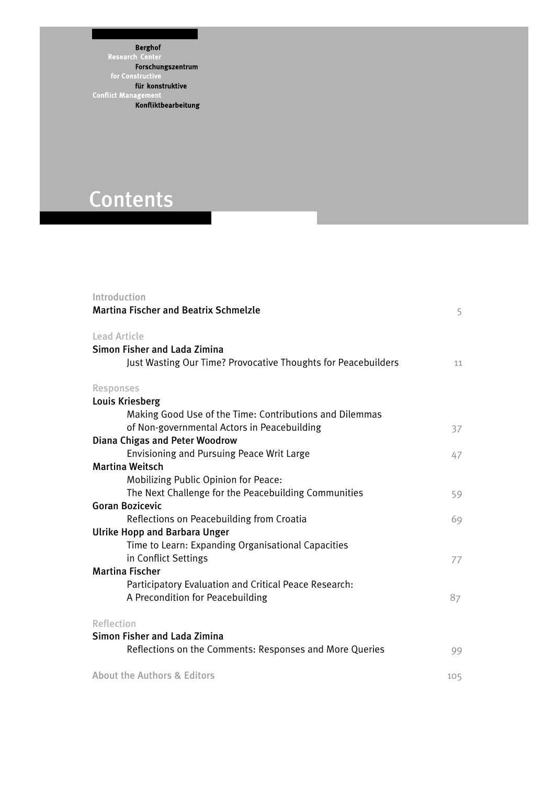**Berghof Example 18**<br>Research Center<br>**Forschungszentrum**<br>for Constructive für konstruktive für konstruktive<br>Conflict Management<br>Konfliktbearbeitung

# **Contents**

| Introduction<br><b>Martina Fischer and Beatrix Schmelzle</b>  | 5   |
|---------------------------------------------------------------|-----|
| <b>Lead Article</b>                                           |     |
| Simon Fisher and Lada Zimina                                  |     |
| Just Wasting Our Time? Provocative Thoughts for Peacebuilders | 11  |
| Responses                                                     |     |
| <b>Louis Kriesberg</b>                                        |     |
| Making Good Use of the Time: Contributions and Dilemmas       |     |
| of Non-governmental Actors in Peacebuilding                   | 37  |
| <b>Diana Chigas and Peter Woodrow</b>                         |     |
| Envisioning and Pursuing Peace Writ Large                     | 47  |
| <b>Martina Weitsch</b>                                        |     |
| Mobilizing Public Opinion for Peace:                          |     |
| The Next Challenge for the Peacebuilding Communities          | 59  |
| <b>Goran Bozicevic</b>                                        |     |
| Reflections on Peacebuilding from Croatia                     | 69  |
| <b>Ulrike Hopp and Barbara Unger</b>                          |     |
| Time to Learn: Expanding Organisational Capacities            |     |
| in Conflict Settings                                          | 77  |
| <b>Martina Fischer</b>                                        |     |
| Participatory Evaluation and Critical Peace Research:         |     |
| A Precondition for Peacebuilding                              | 87  |
| Reflection                                                    |     |
| Simon Fisher and Lada Zimina                                  |     |
| Reflections on the Comments: Responses and More Queries       | 99  |
| About the Authors & Editors                                   | 105 |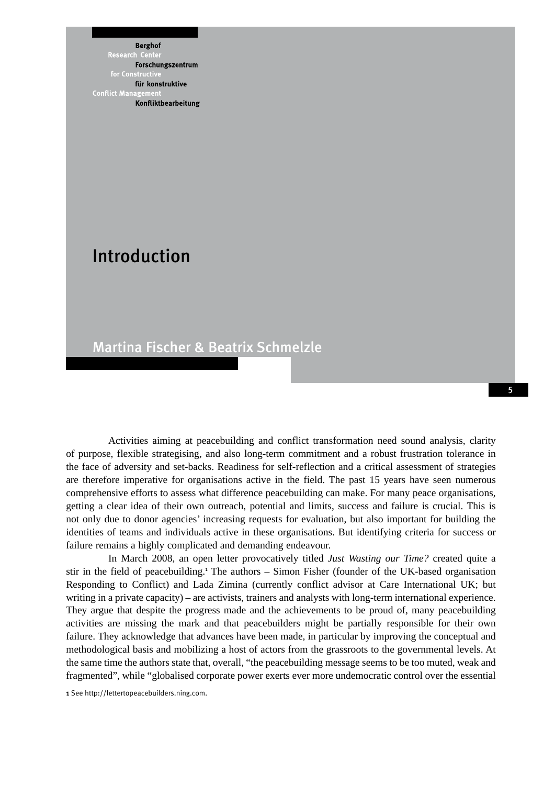**Berghof** 

**Research** Forschungszentrum für konstruktive **Conflict Mana** Konfliktbearbeitung

## Introduction

### Martina Fischer & Beatrix Schmelzle

Activities aiming at peacebuilding and conflict transformation need sound analysis, clarity of purpose, flexible strategising, and also long-term commitment and a robust frustration tolerance in the face of adversity and set-backs. Readiness for self-reflection and a critical assessment of strategies are therefore imperative for organisations active in the field. The past 15 years have seen numerous comprehensive efforts to assess what difference peacebuilding can make. For many peace organisations, getting a clear idea of their own outreach, potential and limits, success and failure is crucial. This is not only due to donor agencies' increasing requests for evaluation, but also important for building the identities of teams and individuals active in these organisations. But identifying criteria for success or failure remains a highly complicated and demanding endeavour.

In March 2008, an open letter provocatively titled *Just Wasting our Time?* created quite a stir in the field of peacebuilding.<sup>1</sup> The authors - Simon Fisher (founder of the UK-based organisation Responding to Conflict) and Lada Zimina (currently conflict advisor at Care International UK; but writing in a private capacity) – are activists, trainers and analysts with long-term international experience. They argue that despite the progress made and the achievements to be proud of, many peacebuilding activities are missing the mark and that peacebuilders might be partially responsible for their own failure. They acknowledge that advances have been made, in particular by improving the conceptual and methodological basis and mobilizing a host of actors from the grassroots to the governmental levels. At the same time the authors state that, overall, "the peacebuilding message seems to be too muted, weak and fragmented", while "globalised corporate power exerts ever more undemocratic control over the essential

1 See http://lettertopeacebuilders.ning.com.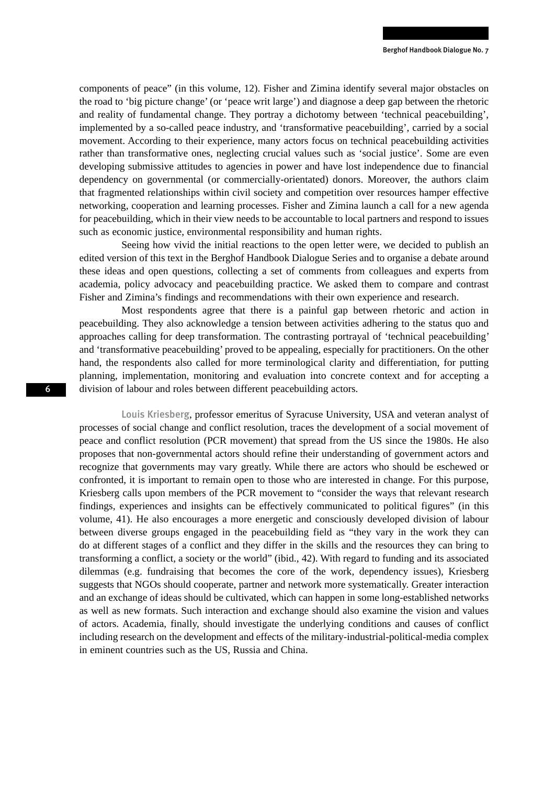components of peace" (in this volume, 12). Fisher and Zimina identify several major obstacles on the road to 'big picture change' (or 'peace writ large') and diagnose a deep gap between the rhetoric and reality of fundamental change. They portray a dichotomy between 'technical peacebuilding', implemented by a so-called peace industry, and 'transformative peacebuilding', carried by a social movement. According to their experience, many actors focus on technical peacebuilding activities rather than transformative ones, neglecting crucial values such as 'social justice'. Some are even developing submissive attitudes to agencies in power and have lost independence due to financial dependency on governmental (or commercially-orientated) donors. Moreover, the authors claim that fragmented relationships within civil society and competition over resources hamper effective networking, cooperation and learning processes. Fisher and Zimina launch a call for a new agenda for peacebuilding, which in their view needs to be accountable to local partners and respond to issues such as economic justice, environmental responsibility and human rights.

Seeing how vivid the initial reactions to the open letter were, we decided to publish an edited version of this text in the Berghof Handbook Dialogue Series and to organise a debate around these ideas and open questions, collecting a set of comments from colleagues and experts from academia, policy advocacy and peacebuilding practice. We asked them to compare and contrast Fisher and Zimina's findings and recommendations with their own experience and research.

Most respondents agree that there is a painful gap between rhetoric and action in peacebuilding. They also acknowledge a tension between activities adhering to the status quo and approaches calling for deep transformation. The contrasting portrayal of 'technical peacebuilding' and 'transformative peacebuilding' proved to be appealing, especially for practitioners. On the other hand, the respondents also called for more terminological clarity and differentiation, for putting planning, implementation, monitoring and evaluation into concrete context and for accepting a division of labour and roles between different peacebuilding actors.

Louis Kriesberg, professor emeritus of Syracuse University, USA and veteran analyst of processes of social change and conflict resolution, traces the development of a social movement of peace and conflict resolution (PCR movement) that spread from the US since the 1980s. He also proposes that non-governmental actors should refine their understanding of government actors and recognize that governments may vary greatly. While there are actors who should be eschewed or confronted, it is important to remain open to those who are interested in change. For this purpose, Kriesberg calls upon members of the PCR movement to "consider the ways that relevant research findings, experiences and insights can be effectively communicated to political figures" (in this volume, 41). He also encourages a more energetic and consciously developed division of labour between diverse groups engaged in the peacebuilding field as "they vary in the work they can do at different stages of a conflict and they differ in the skills and the resources they can bring to transforming a conflict, a society or the world" (ibid., 42). With regard to funding and its associated dilemmas (e.g. fundraising that becomes the core of the work, dependency issues), Kriesberg suggests that NGOs should cooperate, partner and network more systematically. Greater interaction and an exchange of ideas should be cultivated, which can happen in some long-established networks as well as new formats. Such interaction and exchange should also examine the vision and values of actors. Academia, finally, should investigate the underlying conditions and causes of conflict including research on the development and effects of the military-industrial-political-media complex in eminent countries such as the US, Russia and China.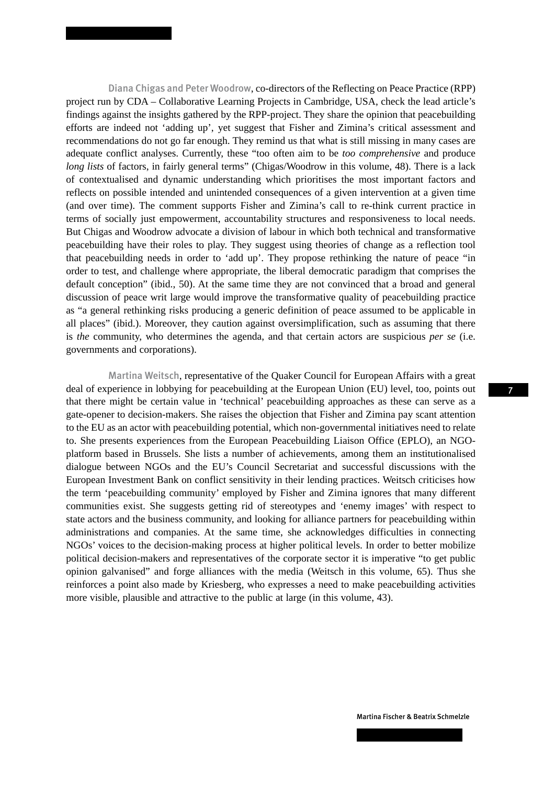Diana Chigas and Peter Woodrow, co-directors of the Reflecting on Peace Practice (RPP) project run by CDA – Collaborative Learning Projects in Cambridge, USA, check the lead article's findings against the insights gathered by the RPP-project. They share the opinion that peacebuilding efforts are indeed not 'adding up', yet suggest that Fisher and Zimina's critical assessment and recommendations do not go far enough. They remind us that what is still missing in many cases are adequate conflict analyses. Currently, these "too often aim to be *too comprehensive* and produce *long lists* of factors, in fairly general terms" (Chigas/Woodrow in this volume, 48). There is a lack of contextualised and dynamic understanding which prioritises the most important factors and reflects on possible intended and unintended consequences of a given intervention at a given time (and over time). The comment supports Fisher and Zimina's call to re-think current practice in terms of socially just empowerment, accountability structures and responsiveness to local needs. But Chigas and Woodrow advocate a division of labour in which both technical and transformative peacebuilding have their roles to play. They suggest using theories of change as a reflection tool that peacebuilding needs in order to 'add up'. They propose rethinking the nature of peace "in order to test, and challenge where appropriate, the liberal democratic paradigm that comprises the default conception" (ibid., 50). At the same time they are not convinced that a broad and general discussion of peace writ large would improve the transformative quality of peacebuilding practice as "a general rethinking risks producing a generic definition of peace assumed to be applicable in all places" (ibid.). Moreover, they caution against oversimplification, such as assuming that there is *the* community, who determines the agenda, and that certain actors are suspicious *per se* (i.e. governments and corporations).

Martina Weitsch, representative of the Quaker Council for European Affairs with a great deal of experience in lobbying for peacebuilding at the European Union (EU) level, too, points out that there might be certain value in 'technical' peacebuilding approaches as these can serve as a gate-opener to decision-makers. She raises the objection that Fisher and Zimina pay scant attention to the EU as an actor with peacebuilding potential, which non-governmental initiatives need to relate to. She presents experiences from the European Peacebuilding Liaison Office (EPLO), an NGOplatform based in Brussels. She lists a number of achievements, among them an institutionalised dialogue between NGOs and the EU's Council Secretariat and successful discussions with the European Investment Bank on conflict sensitivity in their lending practices. Weitsch criticises how the term 'peacebuilding community' employed by Fisher and Zimina ignores that many different communities exist. She suggests getting rid of stereotypes and 'enemy images' with respect to state actors and the business community, and looking for alliance partners for peacebuilding within administrations and companies. At the same time, she acknowledges difficulties in connecting NGOs' voices to the decision-making process at higher political levels. In order to better mobilize political decision-makers and representatives of the corporate sector it is imperative "to get public opinion galvanised" and forge alliances with the media (Weitsch in this volume, 65). Thus she reinforces a point also made by Kriesberg, who expresses a need to make peacebuilding activities more visible, plausible and attractive to the public at large (in this volume, 43).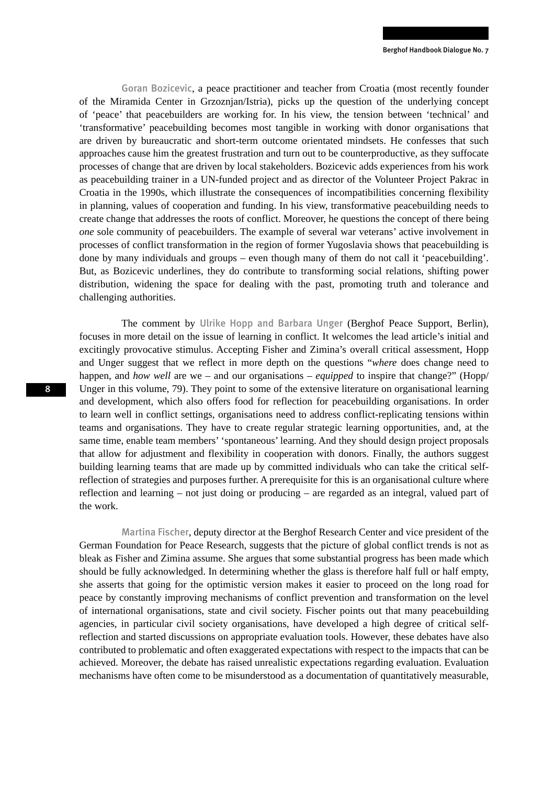Goran Bozicevic, a peace practitioner and teacher from Croatia (most recently founder of the Miramida Center in Grzoznjan/Istria), picks up the question of the underlying concept of 'peace' that peacebuilders are working for. In his view, the tension between 'technical' and 'transformative' peacebuilding becomes most tangible in working with donor organisations that are driven by bureaucratic and short-term outcome orientated mindsets. He confesses that such approaches cause him the greatest frustration and turn out to be counterproductive, as they suffocate processes of change that are driven by local stakeholders. Bozicevic adds experiences from his work as peacebuilding trainer in a UN-funded project and as director of the Volunteer Project Pakrac in Croatia in the 1990s, which illustrate the consequences of incompatibilities concerning flexibility in planning, values of cooperation and funding. In his view, transformative peacebuilding needs to create change that addresses the roots of conflict. Moreover, he questions the concept of there being *one* sole community of peacebuilders. The example of several war veterans' active involvement in processes of conflict transformation in the region of former Yugoslavia shows that peacebuilding is done by many individuals and groups – even though many of them do not call it 'peacebuilding'. But, as Bozicevic underlines, they do contribute to transforming social relations, shifting power distribution, widening the space for dealing with the past, promoting truth and tolerance and challenging authorities.

The comment by Ulrike Hopp and Barbara Unger (Berghof Peace Support, Berlin), focuses in more detail on the issue of learning in conflict. It welcomes the lead article's initial and excitingly provocative stimulus. Accepting Fisher and Zimina's overall critical assessment, Hopp and Unger suggest that we reflect in more depth on the questions "*where* does change need to happen, and *how well* are we – and our organisations – *equipped* to inspire that change?" (Hopp/ Unger in this volume, 79). They point to some of the extensive literature on organisational learning and development, which also offers food for reflection for peacebuilding organisations. In order to learn well in conflict settings, organisations need to address conflict-replicating tensions within teams and organisations. They have to create regular strategic learning opportunities, and, at the same time, enable team members' 'spontaneous' learning. And they should design project proposals that allow for adjustment and flexibility in cooperation with donors. Finally, the authors suggest building learning teams that are made up by committed individuals who can take the critical selfreflection of strategies and purposes further. A prerequisite for this is an organisational culture where reflection and learning – not just doing or producing – are regarded as an integral, valued part of the work.

Martina Fischer, deputy director at the Berghof Research Center and vice president of the German Foundation for Peace Research, suggests that the picture of global conflict trends is not as bleak as Fisher and Zimina assume. She argues that some substantial progress has been made which should be fully acknowledged. In determining whether the glass is therefore half full or half empty, she asserts that going for the optimistic version makes it easier to proceed on the long road for peace by constantly improving mechanisms of conflict prevention and transformation on the level of international organisations, state and civil society. Fischer points out that many peacebuilding agencies, in particular civil society organisations, have developed a high degree of critical selfreflection and started discussions on appropriate evaluation tools. However, these debates have also contributed to problematic and often exaggerated expectations with respect to the impacts that can be achieved. Moreover, the debate has raised unrealistic expectations regarding evaluation. Evaluation mechanisms have often come to be misunderstood as a documentation of quantitatively measurable,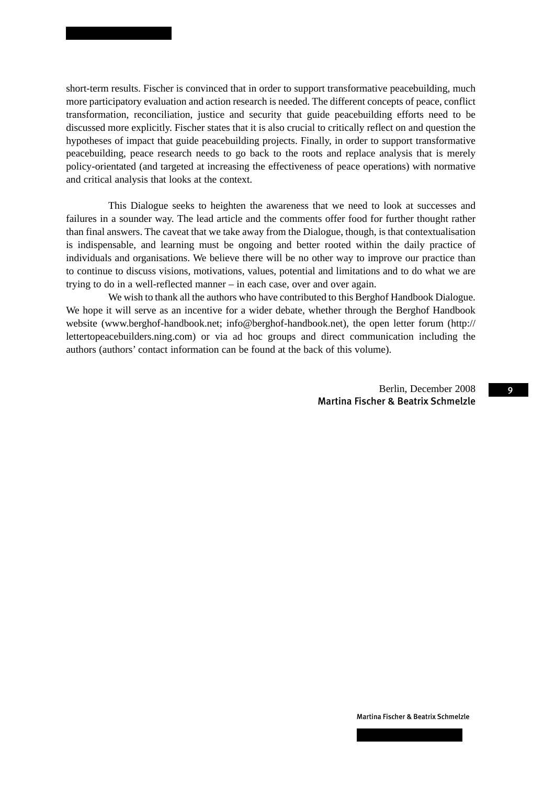short-term results. Fischer is convinced that in order to support transformative peacebuilding, much more participatory evaluation and action research is needed. The different concepts of peace, conflict transformation, reconciliation, justice and security that guide peacebuilding efforts need to be discussed more explicitly. Fischer states that it is also crucial to critically reflect on and question the hypotheses of impact that guide peacebuilding projects. Finally, in order to support transformative peacebuilding, peace research needs to go back to the roots and replace analysis that is merely policy-orientated (and targeted at increasing the effectiveness of peace operations) with normative and critical analysis that looks at the context.

This Dialogue seeks to heighten the awareness that we need to look at successes and failures in a sounder way. The lead article and the comments offer food for further thought rather than final answers. The caveat that we take away from the Dialogue, though, is that contextualisation is indispensable, and learning must be ongoing and better rooted within the daily practice of individuals and organisations. We believe there will be no other way to improve our practice than to continue to discuss visions, motivations, values, potential and limitations and to do what we are trying to do in a well-reflected manner – in each case, over and over again.

We wish to thank all the authors who have contributed to this Berghof Handbook Dialogue. We hope it will serve as an incentive for a wider debate, whether through the Berghof Handbook website (www.berghof-handbook.net; info@berghof-handbook.net), the open letter forum (http:// lettertopeacebuilders.ning.com) or via ad hoc groups and direct communication including the authors (authors' contact information can be found at the back of this volume).

> Berlin, December 2008 Martina Fischer & Beatrix Schmelzle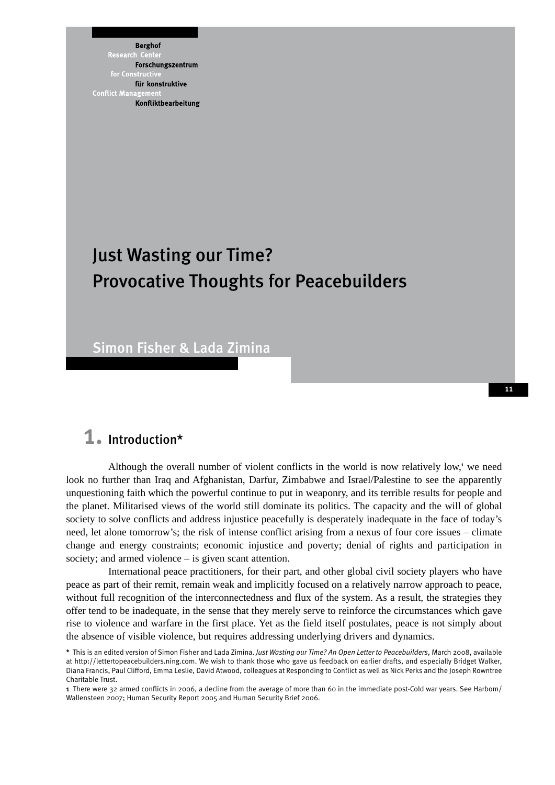**Berghof** Research Forschungszentrum für konstruktive **Conflict Mana** Konfliktbearbeitung

# Just Wasting our Time? Provocative Thoughts for Peacebuilders

Simon Fisher & Lada Zimina

### 1. Introduction\*

Although the overall number of violent conflicts in the world is now relatively low,<sup>1</sup> we need look no further than Iraq and Afghanistan, Darfur, Zimbabwe and Israel/Palestine to see the apparently unquestioning faith which the powerful continue to put in weaponry, and its terrible results for people and the planet. Militarised views of the world still dominate its politics. The capacity and the will of global society to solve conflicts and address injustice peacefully is desperately inadequate in the face of today's need, let alone tomorrow's; the risk of intense conflict arising from a nexus of four core issues – climate change and energy constraints; economic injustice and poverty; denial of rights and participation in society; and armed violence – is given scant attention.

International peace practitioners, for their part, and other global civil society players who have peace as part of their remit, remain weak and implicitly focused on a relatively narrow approach to peace, without full recognition of the interconnectedness and flux of the system. As a result, the strategies they offer tend to be inadequate, in the sense that they merely serve to reinforce the circumstances which gave rise to violence and warfare in the first place. Yet as the field itself postulates, peace is not simply about the absence of visible violence, but requires addressing underlying drivers and dynamics.

<sup>\*</sup> This is an edited version of Simon Fisher and Lada Zimina. *Just Wasting our Time? An Open Letter to Peacebuilders*, March 2008, available at http://lettertopeacebuilders.ning.com. We wish to thank those who gave us feedback on earlier drafts, and especially Bridget Walker, Diana Francis, Paul Clifford, Emma Leslie, David Atwood, colleagues at Responding to Conflict as well as Nick Perks and the Joseph Rowntree Charitable Trust.

<sup>1</sup> There were 32 armed conflicts in 2006, a decline from the average of more than 60 in the immediate post-Cold war years. See Harbom/ Wallensteen 2007; Human Security Report 2005 and Human Security Brief 2006.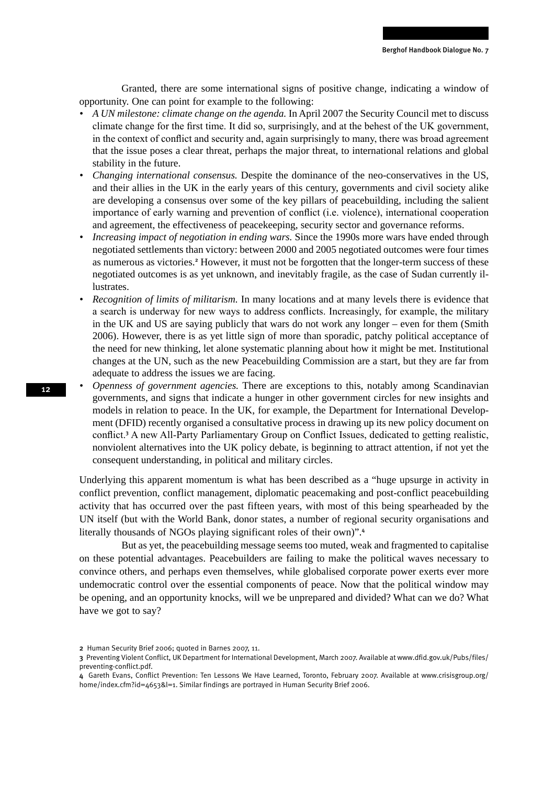Granted, there are some international signs of positive change, indicating a window of opportunity. One can point for example to the following:

- *• A UN milestone: climate change on the agenda.* In April 2007 the Security Council met to discuss climate change for the first time. It did so, surprisingly, and at the behest of the UK government, in the context of conflict and security and, again surprisingly to many, there was broad agreement that the issue poses a clear threat, perhaps the major threat, to international relations and global stability in the future.
- *• Changing international consensus.* Despite the dominance of the neo-conservatives in the US, and their allies in the UK in the early years of this century, governments and civil society alike are developing a consensus over some of the key pillars of peacebuilding, including the salient importance of early warning and prevention of conflict (i.e. violence), international cooperation and agreement, the effectiveness of peacekeeping, security sector and governance reforms.
- *Increasing impact of negotiation in ending wars.* Since the 1990s more wars have ended through negotiated settlements than victory: between 2000 and 2005 negotiated outcomes were four times as numerous as victories.<sup>2</sup> However, it must not be forgotten that the longer-term success of these negotiated outcomes is as yet unknown, and inevitably fragile, as the case of Sudan currently illustrates.
- *Recognition of limits of militarism.* In many locations and at many levels there is evidence that a search is underway for new ways to address conflicts. Increasingly, for example, the military in the UK and US are saying publicly that wars do not work any longer – even for them (Smith 2006). However, there is as yet little sign of more than sporadic, patchy political acceptance of the need for new thinking, let alone systematic planning about how it might be met. Institutional changes at the UN, such as the new Peacebuilding Commission are a start, but they are far from adequate to address the issues we are facing.
- *Openness of government agencies. There are exceptions to this, notably among Scandinavian* governments, and signs that indicate a hunger in other government circles for new insights and models in relation to peace. In the UK, for example, the Department for International Development (DFID) recently organised a consultative process in drawing up its new policy document on conflict.<sup>3</sup> A new All-Party Parliamentary Group on Conflict Issues, dedicated to getting realistic, nonviolent alternatives into the UK policy debate, is beginning to attract attention, if not yet the consequent understanding, in political and military circles.

Underlying this apparent momentum is what has been described as a "huge upsurge in activity in conflict prevention, conflict management, diplomatic peacemaking and post-conflict peacebuilding activity that has occurred over the past fifteen years, with most of this being spearheaded by the UN itself (but with the World Bank, donor states, a number of regional security organisations and literally thousands of NGOs playing significant roles of their own)".<sup>4</sup>

But as yet, the peacebuilding message seems too muted, weak and fragmented to capitalise on these potential advantages. Peacebuilders are failing to make the political waves necessary to convince others, and perhaps even themselves, while globalised corporate power exerts ever more undemocratic control over the essential components of peace. Now that the political window may be opening, and an opportunity knocks, will we be unprepared and divided? What can we do? What have we got to say?

<sup>2</sup> Human Security Brief 2006; quoted in Barnes 2007, 11.

<sup>3</sup> Preventing Violent Conflict, UK Department for International Development, March 2007. Available at www.dfid.gov.uk/Pubs/files/ preventing-conflict.pdf.

<sup>4</sup> Gareth Evans, Conflict Prevention: Ten Lessons We Have Learned, Toronto, February 2007. Available at www.crisisgroup.org/ home/index.cfm?id=4653&l=1. Similar findings are portrayed in Human Security Brief 2006.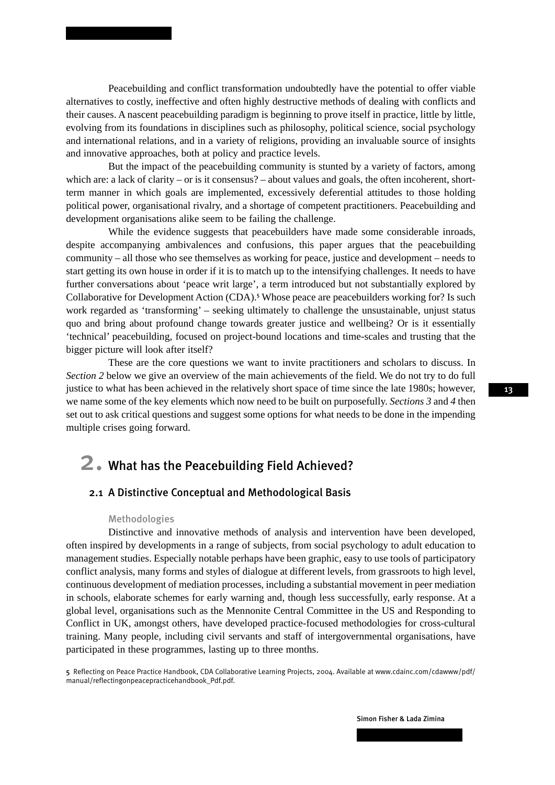Peacebuilding and conflict transformation undoubtedly have the potential to offer viable alternatives to costly, ineffective and often highly destructive methods of dealing with conflicts and their causes. A nascent peacebuilding paradigm is beginning to prove itself in practice, little by little, evolving from its foundations in disciplines such as philosophy, political science, social psychology and international relations, and in a variety of religions, providing an invaluable source of insights and innovative approaches, both at policy and practice levels.

But the impact of the peacebuilding community is stunted by a variety of factors, among which are: a lack of clarity – or is it consensus? – about values and goals, the often incoherent, shortterm manner in which goals are implemented, excessively deferential attitudes to those holding political power, organisational rivalry, and a shortage of competent practitioners. Peacebuilding and development organisations alike seem to be failing the challenge.

While the evidence suggests that peacebuilders have made some considerable inroads, despite accompanying ambivalences and confusions, this paper argues that the peacebuilding community – all those who see themselves as working for peace, justice and development – needs to start getting its own house in order if it is to match up to the intensifying challenges. It needs to have further conversations about 'peace writ large', a term introduced but not substantially explored by Collaborative for Development Action (CDA).<sup>5</sup> Whose peace are peacebuilders working for? Is such work regarded as 'transforming' – seeking ultimately to challenge the unsustainable, unjust status quo and bring about profound change towards greater justice and wellbeing? Or is it essentially 'technical' peacebuilding, focused on project-bound locations and time-scales and trusting that the bigger picture will look after itself?

These are the core questions we want to invite practitioners and scholars to discuss. In *Section 2* below we give an overview of the main achievements of the field. We do not try to do full justice to what has been achieved in the relatively short space of time since the late 1980s; however, we name some of the key elements which now need to be built on purposefully. *Sections 3* and *4* then set out to ask critical questions and suggest some options for what needs to be done in the impending multiple crises going forward.

### 2. What has the Peacebuilding Field Achieved?

### 2.1 A Distinctive Conceptual and Methodological Basis

### Methodologies

Distinctive and innovative methods of analysis and intervention have been developed, often inspired by developments in a range of subjects, from social psychology to adult education to management studies. Especially notable perhaps have been graphic, easy to use tools of participatory conflict analysis, many forms and styles of dialogue at different levels, from grassroots to high level, continuous development of mediation processes, including a substantial movement in peer mediation in schools, elaborate schemes for early warning and, though less successfully, early response. At a global level, organisations such as the Mennonite Central Committee in the US and Responding to Conflict in UK, amongst others, have developed practice-focused methodologies for cross-cultural training. Many people, including civil servants and staff of intergovernmental organisations, have participated in these programmes, lasting up to three months.

5 Reflecting on Peace Practice Handbook, CDA Collaborative Learning Projects, 2004. Available at www.cdainc.com/cdawww/pdf/ manual/reflectingonpeacepracticehandbook\_Pdf.pdf.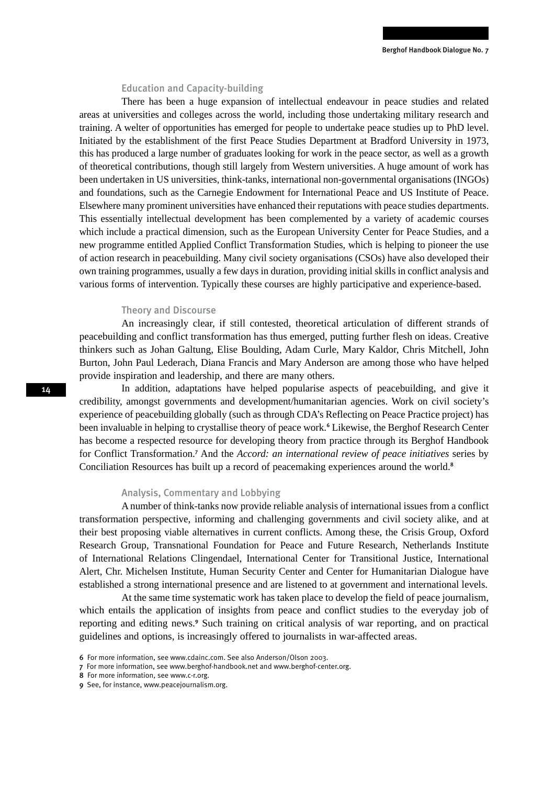#### Education and Capacity-building

There has been a huge expansion of intellectual endeavour in peace studies and related areas at universities and colleges across the world, including those undertaking military research and training. A welter of opportunities has emerged for people to undertake peace studies up to PhD level. Initiated by the establishment of the first Peace Studies Department at Bradford University in 1973, this has produced a large number of graduates looking for work in the peace sector, as well as a growth of theoretical contributions, though still largely from Western universities. A huge amount of work has been undertaken in US universities, think-tanks, international non-governmental organisations (INGOs) and foundations, such as the Carnegie Endowment for International Peace and US Institute of Peace. Elsewhere many prominent universities have enhanced their reputations with peace studies departments. This essentially intellectual development has been complemented by a variety of academic courses which include a practical dimension, such as the European University Center for Peace Studies, and a new programme entitled Applied Conflict Transformation Studies, which is helping to pioneer the use of action research in peacebuilding. Many civil society organisations (CSOs) have also developed their own training programmes, usually a few days in duration, providing initial skills in conflict analysis and various forms of intervention. Typically these courses are highly participative and experience-based.

### Theory and Discourse

An increasingly clear, if still contested, theoretical articulation of different strands of peacebuilding and conflict transformation has thus emerged, putting further flesh on ideas. Creative thinkers such as Johan Galtung, Elise Boulding, Adam Curle, Mary Kaldor, Chris Mitchell, John Burton, John Paul Lederach, Diana Francis and Mary Anderson are among those who have helped provide inspiration and leadership, and there are many others.

In addition, adaptations have helped popularise aspects of peacebuilding, and give it credibility, amongst governments and development/humanitarian agencies. Work on civil society's experience of peacebuilding globally (such as through CDA's Reflecting on Peace Practice project) has been invaluable in helping to crystallise theory of peace work.<sup>6</sup> Likewise, the Berghof Research Center has become a respected resource for developing theory from practice through its Berghof Handbook for Conflict Transformation.<sup>7</sup> And the *Accord: an international review of peace initiatives* series by Conciliation Resources has built up a record of peacemaking experiences around the world.<sup>8</sup>

#### Analysis, Commentary and Lobbying

A number of think-tanks now provide reliable analysis of international issues from a conflict transformation perspective, informing and challenging governments and civil society alike, and at their best proposing viable alternatives in current conflicts. Among these, the Crisis Group, Oxford Research Group, Transnational Foundation for Peace and Future Research, Netherlands Institute of International Relations Clingendael, International Center for Transitional Justice, International Alert, Chr. Michelsen Institute, Human Security Center and Center for Humanitarian Dialogue have established a strong international presence and are listened to at government and international levels.

At the same time systematic work has taken place to develop the field of peace journalism, which entails the application of insights from peace and conflict studies to the everyday job of reporting and editing news.<sup>9</sup> Such training on critical analysis of war reporting, and on practical guidelines and options, is increasingly offered to journalists in war-affected areas.

<sup>6</sup> For more information, see www.cdainc.com. See also Anderson/Olson 2003.

<sup>7</sup> For more information, see www.berghof-handbook.net and www.berghof-center.org.

<sup>8</sup> For more information, see www.c-r.org.

<sup>9</sup> See, for instance, www.peacejournalism.org.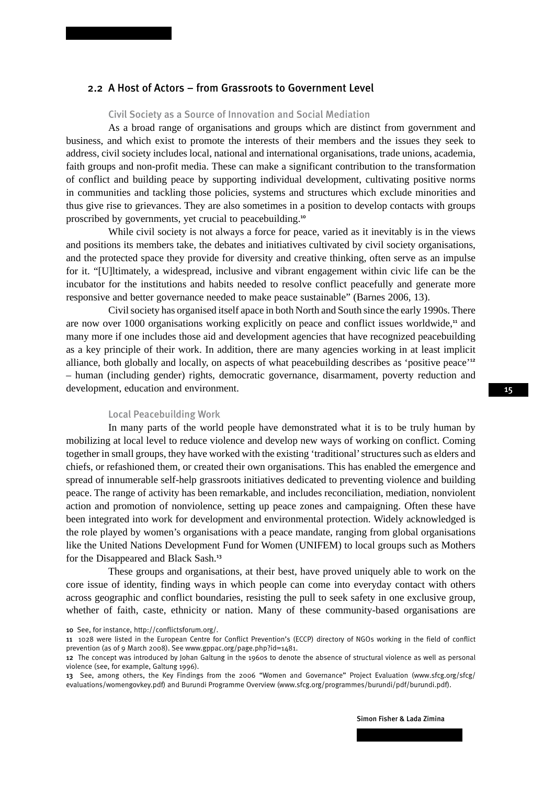### 2.2 A Host of Actors – from Grassroots to Government Level

#### Civil Society as a Source of Innovation and Social Mediation

As a broad range of organisations and groups which are distinct from government and business, and which exist to promote the interests of their members and the issues they seek to address, civil society includes local, national and international organisations, trade unions, academia, faith groups and non-profit media. These can make a significant contribution to the transformation of conflict and building peace by supporting individual development, cultivating positive norms in communities and tackling those policies, systems and structures which exclude minorities and thus give rise to grievances. They are also sometimes in a position to develop contacts with groups proscribed by governments, yet crucial to peacebuilding.<sup>10</sup>

While civil society is not always a force for peace, varied as it inevitably is in the views and positions its members take, the debates and initiatives cultivated by civil society organisations, and the protected space they provide for diversity and creative thinking, often serve as an impulse for it. "[U]ltimately, a widespread, inclusive and vibrant engagement within civic life can be the incubator for the institutions and habits needed to resolve conflict peacefully and generate more responsive and better governance needed to make peace sustainable" (Barnes 2006, 13).

Civil society has organised itself apace in both North and South since the early 1990s. There are now over 1000 organisations working explicitly on peace and conflict issues worldwide,<sup>11</sup> and many more if one includes those aid and development agencies that have recognized peacebuilding as a key principle of their work. In addition, there are many agencies working in at least implicit alliance, both globally and locally, on aspects of what peacebuilding describes as 'positive peace'<sup>12</sup> – human (including gender) rights, democratic governance, disarmament, poverty reduction and development, education and environment.

### Local Peacebuilding Work

In many parts of the world people have demonstrated what it is to be truly human by mobilizing at local level to reduce violence and develop new ways of working on conflict. Coming together in small groups, they have worked with the existing 'traditional' structures such as elders and chiefs, or refashioned them, or created their own organisations. This has enabled the emergence and spread of innumerable self-help grassroots initiatives dedicated to preventing violence and building peace. The range of activity has been remarkable, and includes reconciliation, mediation, nonviolent action and promotion of nonviolence, setting up peace zones and campaigning. Often these have been integrated into work for development and environmental protection. Widely acknowledged is the role played by women's organisations with a peace mandate, ranging from global organisations like the United Nations Development Fund for Women (UNIFEM) to local groups such as Mothers for the Disappeared and Black Sash.<sup>13</sup>

These groups and organisations, at their best, have proved uniquely able to work on the core issue of identity, finding ways in which people can come into everyday contact with others across geographic and conflict boundaries, resisting the pull to seek safety in one exclusive group, whether of faith, caste, ethnicity or nation. Many of these community-based organisations are

10 See, for instance, http://conflictsforum.org/.

Simon Fisher & Lada Zimina

<sup>11</sup> 1028 were listed in the European Centre for Conflict Prevention's (ECCP) directory of NGOs working in the field of conflict prevention (as of 9 March 2008). See www.gppac.org/page.php?id=1481.

<sup>12</sup> The concept was introduced by Johan Galtung in the 1960s to denote the absence of structural violence as well as personal violence (see, for example, Galtung 1996).

<sup>13</sup> See, among others, the Key Findings from the 2006 "Women and Governance" Project Evaluation (www.sfcg.org/sfcg/ evaluations/womengovkey.pdf) and Burundi Programme Overview (www.sfcg.org/programmes/burundi/pdf/burundi.pdf).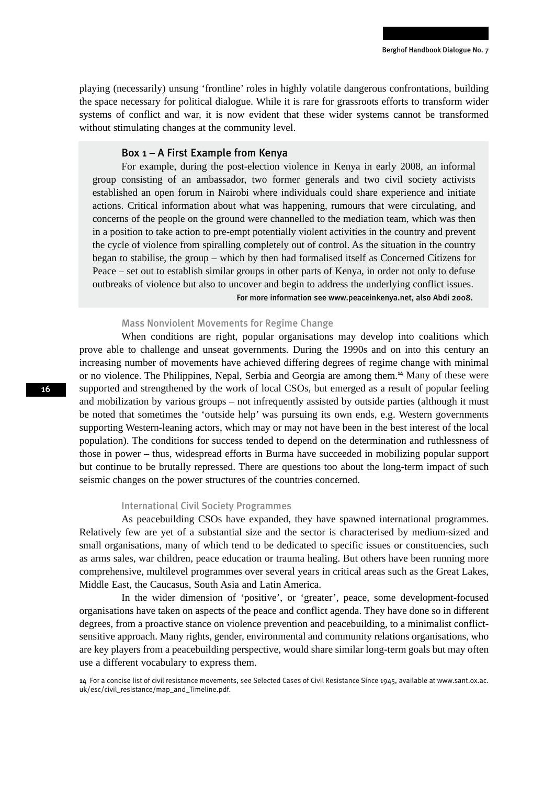playing (necessarily) unsung 'frontline' roles in highly volatile dangerous confrontations, building the space necessary for political dialogue. While it is rare for grassroots efforts to transform wider systems of conflict and war, it is now evident that these wider systems cannot be transformed without stimulating changes at the community level.

#### Box 1 – A First Example from Kenya

For example, during the post-election violence in Kenya in early 2008, an informal group consisting of an ambassador, two former generals and two civil society activists established an open forum in Nairobi where individuals could share experience and initiate actions. Critical information about what was happening, rumours that were circulating, and concerns of the people on the ground were channelled to the mediation team, which was then in a position to take action to pre-empt potentially violent activities in the country and prevent the cycle of violence from spiralling completely out of control. As the situation in the country began to stabilise, the group – which by then had formalised itself as Concerned Citizens for Peace – set out to establish similar groups in other parts of Kenya, in order not only to defuse outbreaks of violence but also to uncover and begin to address the underlying conflict issues. For more information see www.peaceinkenya.net, also Abdi 2008.

### Mass Nonviolent Movements for Regime Change

When conditions are right, popular organisations may develop into coalitions which prove able to challenge and unseat governments. During the 1990s and on into this century an increasing number of movements have achieved differing degrees of regime change with minimal or no violence. The Philippines, Nepal, Serbia and Georgia are among them.<sup>14</sup> Many of these were supported and strengthened by the work of local CSOs, but emerged as a result of popular feeling and mobilization by various groups – not infrequently assisted by outside parties (although it must be noted that sometimes the 'outside help' was pursuing its own ends, e.g. Western governments supporting Western-leaning actors, which may or may not have been in the best interest of the local population). The conditions for success tended to depend on the determination and ruthlessness of those in power – thus, widespread efforts in Burma have succeeded in mobilizing popular support but continue to be brutally repressed. There are questions too about the long-term impact of such seismic changes on the power structures of the countries concerned.

### International Civil Society Programmes

As peacebuilding CSOs have expanded, they have spawned international programmes. Relatively few are yet of a substantial size and the sector is characterised by medium-sized and small organisations, many of which tend to be dedicated to specific issues or constituencies, such as arms sales, war children, peace education or trauma healing. But others have been running more comprehensive, multilevel programmes over several years in critical areas such as the Great Lakes, Middle East, the Caucasus, South Asia and Latin America.

In the wider dimension of 'positive', or 'greater', peace, some development-focused organisations have taken on aspects of the peace and conflict agenda. They have done so in different degrees, from a proactive stance on violence prevention and peacebuilding, to a minimalist conflictsensitive approach. Many rights, gender, environmental and community relations organisations, who are key players from a peacebuilding perspective, would share similar long-term goals but may often use a different vocabulary to express them.

<sup>14</sup> For a concise list of civil resistance movements, see Selected Cases of Civil Resistance Since 1945, available at www.sant.ox.ac. uk/esc/civil\_resistance/map\_and\_Timeline.pdf.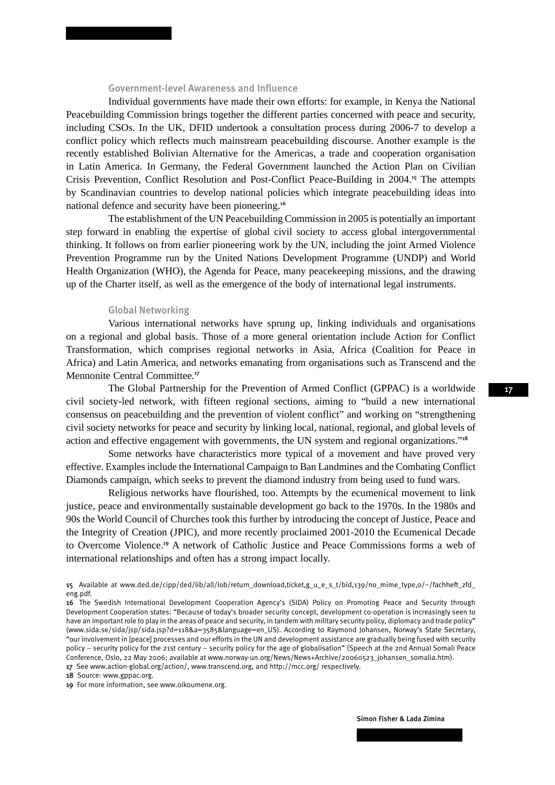### Government-level Awareness and Influence

Individual governments have made their own efforts: for example, in Kenya the National Peacebuilding Commission brings together the different parties concerned with peace and security, including CSOs. In the UK, DFID undertook a consultation process during 2006-7 to develop a conflict policy which reflects much mainstream peacebuilding discourse. Another example is the recently established Bolivian Alternative for the Americas, a trade and cooperation organisation in Latin America. In Germany, the Federal Government launched the Action Plan on Civilian Crisis Prevention, Conflict Resolution and Post-Conflict Peace-Building in 2004.<sup>15</sup> The attempts by Scandinavian countries to develop national policies which integrate peacebuilding ideas into national defence and security have been pioneering.<sup>16</sup>

The establishment of the UN Peacebuilding Commission in 2005 is potentially an important step forward in enabling the expertise of global civil society to access global intergovernmental thinking. It follows on from earlier pioneering work by the UN, including the joint Armed Violence Prevention Programme run by the United Nations Development Programme (UNDP) and World Health Organization (WHO), the Agenda for Peace, many peacekeeping missions, and the drawing up of the Charter itself, as well as the emergence of the body of international legal instruments.

### Global Networking

Various international networks have sprung up, linking individuals and organisations on a regional and global basis. Those of a more general orientation include Action for Conflict Transformation, which comprises regional networks in Asia, Africa (Coalition for Peace in Africa) and Latin America, and networks emanating from organisations such as Transcend and the Mennonite Central Committee.<sup>17</sup>

The Global Partnership for the Prevention of Armed Conflict (GPPAC) is a worldwide civil society-led network, with fifteen regional sections, aiming to "build a new international consensus on peacebuilding and the prevention of violent conflict" and working on "strengthening civil society networks for peace and security by linking local, national, regional, and global levels of action and effective engagement with governments, the UN system and regional organizations."<sup>18</sup>

Some networks have characteristics more typical of a movement and have proved very effective. Examples include the International Campaign to Ban Landmines and the Combating Conflict Diamonds campaign, which seeks to prevent the diamond industry from being used to fund wars.

Religious networks have flourished, too. Attempts by the ecumenical movement to link justice, peace and environmentally sustainable development go back to the 1970s. In the 1980s and 90s the World Council of Churches took this further by introducing the concept of Justice, Peace and the Integrity of Creation (JPIC), and more recently proclaimed 2001-2010 the Ecumenical Decade to Overcome Violence.<sup>19</sup> A network of Catholic Justice and Peace Commissions forms a web of international relationships and often has a strong impact locally.

15 Available at www.ded.de/cipp/ded/lib/all/lob/return\_download,ticket,g\_u\_e\_s\_t/bid,139/no\_mime\_type,0/~/fachheft\_zfd\_ eng.pdf.

18 Source: www.gppac.org.

19 For more information, see www.oikoumene.org.

<sup>16</sup> The Swedish International Development Cooperation Agency's (SIDA) Policy on Promoting Peace and Security through Development Cooperation states: "Because of today's broader security concept, development co-operation is increasingly seen to have an important role to play in the areas of peace and security, in tandem with military security policy, diplomacy and trade policy" (www.sida.se/sida/jsp/sida.jsp?d=118&a=3585&language=en\_US). According to Raymond Johansen, Norway's State Secretary, "our involvement in [peace] processes and our efforts in the UN and development assistance are gradually being fused with security policy – security policy for the 21st century – security policy for the age of globalisation" (Speech at the 2nd Annual Somali Peace Conference, Oslo, 22 May 2006; available at www.norway-un.org/News/News+Archive/20060523\_johansen\_somalia.htm). 17 See www.action-global.org/action/, www.transcend.org, and http://mcc.org/ respectively.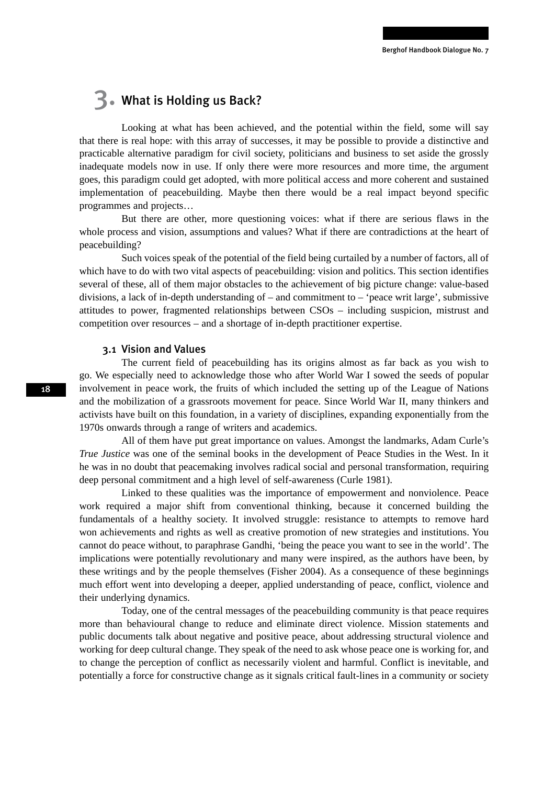## 3. What is Holding us Back?

Looking at what has been achieved, and the potential within the field, some will say that there is real hope: with this array of successes, it may be possible to provide a distinctive and practicable alternative paradigm for civil society, politicians and business to set aside the grossly inadequate models now in use. If only there were more resources and more time, the argument goes, this paradigm could get adopted, with more political access and more coherent and sustained implementation of peacebuilding. Maybe then there would be a real impact beyond specific programmes and projects…

But there are other, more questioning voices: what if there are serious flaws in the whole process and vision, assumptions and values? What if there are contradictions at the heart of peacebuilding?

Such voices speak of the potential of the field being curtailed by a number of factors, all of which have to do with two vital aspects of peacebuilding: vision and politics. This section identifies several of these, all of them major obstacles to the achievement of big picture change: value-based divisions, a lack of in-depth understanding of – and commitment to – 'peace writ large', submissive attitudes to power, fragmented relationships between CSOs – including suspicion, mistrust and competition over resources – and a shortage of in-depth practitioner expertise.

#### 3.1 Vision and Values

The current field of peacebuilding has its origins almost as far back as you wish to go. We especially need to acknowledge those who after World War I sowed the seeds of popular involvement in peace work, the fruits of which included the setting up of the League of Nations and the mobilization of a grassroots movement for peace. Since World War II, many thinkers and activists have built on this foundation, in a variety of disciplines, expanding exponentially from the 1970s onwards through a range of writers and academics.

All of them have put great importance on values. Amongst the landmarks, Adam Curle's *True Justice* was one of the seminal books in the development of Peace Studies in the West. In it he was in no doubt that peacemaking involves radical social and personal transformation, requiring deep personal commitment and a high level of self-awareness (Curle 1981).

Linked to these qualities was the importance of empowerment and nonviolence. Peace work required a major shift from conventional thinking, because it concerned building the fundamentals of a healthy society. It involved struggle: resistance to attempts to remove hard won achievements and rights as well as creative promotion of new strategies and institutions. You cannot do peace without, to paraphrase Gandhi, 'being the peace you want to see in the world'. The implications were potentially revolutionary and many were inspired, as the authors have been, by these writings and by the people themselves (Fisher 2004). As a consequence of these beginnings much effort went into developing a deeper, applied understanding of peace, conflict, violence and their underlying dynamics.

Today, one of the central messages of the peacebuilding community is that peace requires more than behavioural change to reduce and eliminate direct violence. Mission statements and public documents talk about negative and positive peace, about addressing structural violence and working for deep cultural change. They speak of the need to ask whose peace one is working for, and to change the perception of conflict as necessarily violent and harmful. Conflict is inevitable, and potentially a force for constructive change as it signals critical fault-lines in a community or society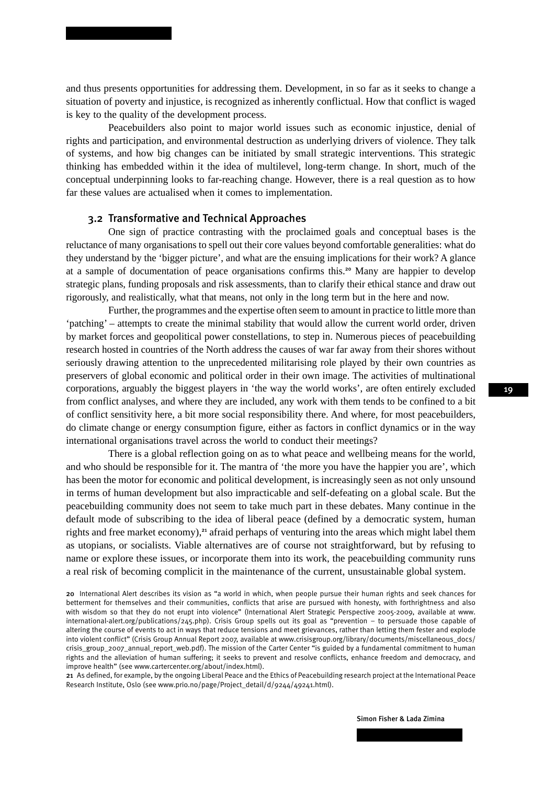and thus presents opportunities for addressing them. Development, in so far as it seeks to change a situation of poverty and injustice, is recognized as inherently conflictual. How that conflict is waged is key to the quality of the development process.

Peacebuilders also point to major world issues such as economic injustice, denial of rights and participation, and environmental destruction as underlying drivers of violence. They talk of systems, and how big changes can be initiated by small strategic interventions. This strategic thinking has embedded within it the idea of multilevel, long-term change. In short, much of the conceptual underpinning looks to far-reaching change. However, there is a real question as to how far these values are actualised when it comes to implementation.

### 3.2 Transformative and Technical Approaches

One sign of practice contrasting with the proclaimed goals and conceptual bases is the reluctance of many organisations to spell out their core values beyond comfortable generalities: what do they understand by the 'bigger picture', and what are the ensuing implications for their work? A glance at a sample of documentation of peace organisations confirms this.<sup>20</sup> Many are happier to develop strategic plans, funding proposals and risk assessments, than to clarify their ethical stance and draw out rigorously, and realistically, what that means, not only in the long term but in the here and now.

Further, the programmes and the expertise often seem to amount in practice to little more than 'patching' – attempts to create the minimal stability that would allow the current world order, driven by market forces and geopolitical power constellations, to step in. Numerous pieces of peacebuilding research hosted in countries of the North address the causes of war far away from their shores without seriously drawing attention to the unprecedented militarising role played by their own countries as preservers of global economic and political order in their own image. The activities of multinational corporations, arguably the biggest players in 'the way the world works', are often entirely excluded from conflict analyses, and where they are included, any work with them tends to be confined to a bit of conflict sensitivity here, a bit more social responsibility there. And where, for most peacebuilders, do climate change or energy consumption figure, either as factors in conflict dynamics or in the way international organisations travel across the world to conduct their meetings?

There is a global reflection going on as to what peace and wellbeing means for the world, and who should be responsible for it. The mantra of 'the more you have the happier you are', which has been the motor for economic and political development, is increasingly seen as not only unsound in terms of human development but also impracticable and self-defeating on a global scale. But the peacebuilding community does not seem to take much part in these debates. Many continue in the default mode of subscribing to the idea of liberal peace (defined by a democratic system, human rights and free market economy),<sup>21</sup> afraid perhaps of venturing into the areas which might label them as utopians, or socialists. Viable alternatives are of course not straightforward, but by refusing to name or explore these issues, or incorporate them into its work, the peacebuilding community runs a real risk of becoming complicit in the maintenance of the current, unsustainable global system.

20 International Alert describes its vision as "a world in which, when people pursue their human rights and seek chances for betterment for themselves and their communities, conflicts that arise are pursued with honesty, with forthrightness and also with wisdom so that they do not erupt into violence" (International Alert Strategic Perspective 2005-2009, available at www. international-alert.org/publications/245.php). Crisis Group spells out its goal as "prevention – to persuade those capable of altering the course of events to act in ways that reduce tensions and meet grievances, rather than letting them fester and explode into violent conflict" (Crisis Group Annual Report 2007, available at www.crisisgroup.org/library/documents/miscellaneous\_docs/ crisis\_group\_2007\_annual\_report\_web.pdf). The mission of the Carter Center "is guided by a fundamental commitment to human rights and the alleviation of human suffering; it seeks to prevent and resolve conflicts, enhance freedom and democracy, and improve health" (see www.cartercenter.org/about/index.html).

21 As defined, for example, by the ongoing Liberal Peace and the Ethics of Peacebuilding research project at the International Peace Research Institute, Oslo (see www.prio.no/page/Project\_detail/d/9244/49241.html).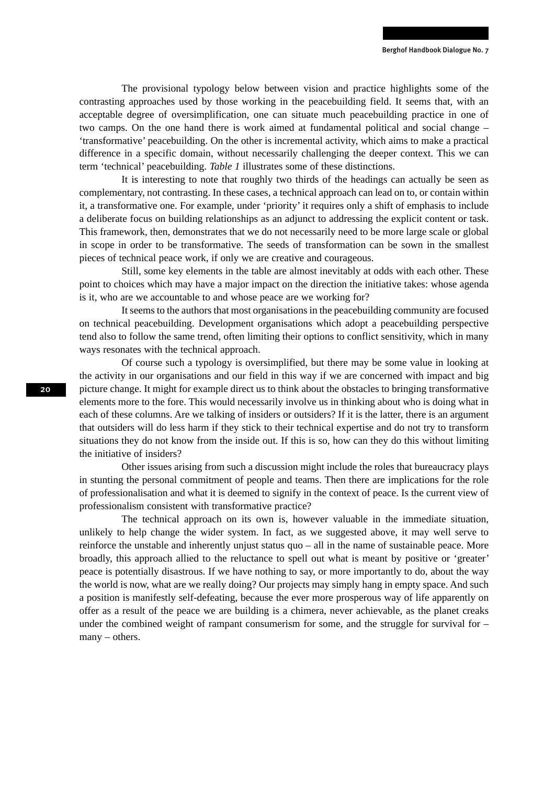The provisional typology below between vision and practice highlights some of the contrasting approaches used by those working in the peacebuilding field. It seems that, with an acceptable degree of oversimplification, one can situate much peacebuilding practice in one of two camps. On the one hand there is work aimed at fundamental political and social change – 'transformative' peacebuilding. On the other is incremental activity, which aims to make a practical difference in a specific domain, without necessarily challenging the deeper context. This we can term 'technical' peacebuilding. *Table 1* illustrates some of these distinctions.

It is interesting to note that roughly two thirds of the headings can actually be seen as complementary, not contrasting. In these cases, a technical approach can lead on to, or contain within it, a transformative one. For example, under 'priority' it requires only a shift of emphasis to include a deliberate focus on building relationships as an adjunct to addressing the explicit content or task. This framework, then, demonstrates that we do not necessarily need to be more large scale or global in scope in order to be transformative. The seeds of transformation can be sown in the smallest pieces of technical peace work, if only we are creative and courageous.

Still, some key elements in the table are almost inevitably at odds with each other. These point to choices which may have a major impact on the direction the initiative takes: whose agenda is it, who are we accountable to and whose peace are we working for?

It seems to the authors that most organisations in the peacebuilding community are focused on technical peacebuilding. Development organisations which adopt a peacebuilding perspective tend also to follow the same trend, often limiting their options to conflict sensitivity, which in many ways resonates with the technical approach.

Of course such a typology is oversimplified, but there may be some value in looking at the activity in our organisations and our field in this way if we are concerned with impact and big picture change. It might for example direct us to think about the obstacles to bringing transformative elements more to the fore. This would necessarily involve us in thinking about who is doing what in each of these columns. Are we talking of insiders or outsiders? If it is the latter, there is an argument that outsiders will do less harm if they stick to their technical expertise and do not try to transform situations they do not know from the inside out. If this is so, how can they do this without limiting the initiative of insiders?

Other issues arising from such a discussion might include the roles that bureaucracy plays in stunting the personal commitment of people and teams. Then there are implications for the role of professionalisation and what it is deemed to signify in the context of peace. Is the current view of professionalism consistent with transformative practice?

The technical approach on its own is, however valuable in the immediate situation, unlikely to help change the wider system. In fact, as we suggested above, it may well serve to reinforce the unstable and inherently unjust status quo – all in the name of sustainable peace. More broadly, this approach allied to the reluctance to spell out what is meant by positive or 'greater' peace is potentially disastrous. If we have nothing to say, or more importantly to do, about the way the world is now, what are we really doing? Our projects may simply hang in empty space. And such a position is manifestly self-defeating, because the ever more prosperous way of life apparently on offer as a result of the peace we are building is a chimera, never achievable, as the planet creaks under the combined weight of rampant consumerism for some, and the struggle for survival for  $$ many – others.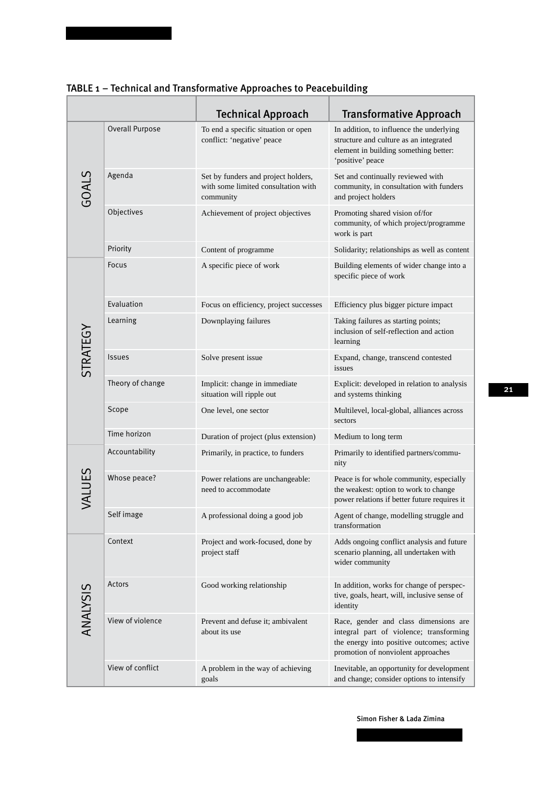|                 |                  | <b>Technical Approach</b>                                                               | <b>Transformative Approach</b>                                                                                                                                      |
|-----------------|------------------|-----------------------------------------------------------------------------------------|---------------------------------------------------------------------------------------------------------------------------------------------------------------------|
| GOALS           | Overall Purpose  | To end a specific situation or open<br>conflict: 'negative' peace                       | In addition, to influence the underlying<br>structure and culture as an integrated<br>element in building something better:<br>'positive' peace                     |
|                 | Agenda           | Set by funders and project holders,<br>with some limited consultation with<br>community | Set and continually reviewed with<br>community, in consultation with funders<br>and project holders                                                                 |
|                 | Objectives       | Achievement of project objectives                                                       | Promoting shared vision of/for<br>community, of which project/programme<br>work is part                                                                             |
|                 | Priority         | Content of programme                                                                    | Solidarity; relationships as well as content                                                                                                                        |
| STRATEGY        | <b>Focus</b>     | A specific piece of work                                                                | Building elements of wider change into a<br>specific piece of work                                                                                                  |
|                 | Evaluation       | Focus on efficiency, project successes                                                  | Efficiency plus bigger picture impact                                                                                                                               |
|                 | Learning         | Downplaying failures                                                                    | Taking failures as starting points;<br>inclusion of self-reflection and action<br>learning                                                                          |
|                 | <b>Issues</b>    | Solve present issue                                                                     | Expand, change, transcend contested<br>issues                                                                                                                       |
|                 | Theory of change | Implicit: change in immediate<br>situation will ripple out                              | Explicit: developed in relation to analysis<br>and systems thinking                                                                                                 |
|                 | Scope            | One level, one sector                                                                   | Multilevel, local-global, alliances across<br>sectors                                                                                                               |
|                 | Time horizon     | Duration of project (plus extension)                                                    | Medium to long term                                                                                                                                                 |
| VALUES          | Accountability   | Primarily, in practice, to funders                                                      | Primarily to identified partners/commu-<br>nity                                                                                                                     |
|                 | Whose peace?     | Power relations are unchangeable:<br>need to accommodate                                | Peace is for whole community, especially<br>the weakest: option to work to change<br>power relations if better future requires it                                   |
|                 | Self image       | A professional doing a good job                                                         | Agent of change, modelling struggle and<br>transformation                                                                                                           |
| <b>ANALYSIS</b> | Context          | Project and work-focused, done by<br>project staff                                      | Adds ongoing conflict analysis and future<br>scenario planning, all undertaken with<br>wider community                                                              |
|                 | Actors           | Good working relationship                                                               | In addition, works for change of perspec-<br>tive, goals, heart, will, inclusive sense of<br>identity                                                               |
|                 | View of violence | Prevent and defuse it; ambivalent<br>about its use                                      | Race, gender and class dimensions are<br>integral part of violence; transforming<br>the energy into positive outcomes; active<br>promotion of nonviolent approaches |
|                 | View of conflict | A problem in the way of achieving<br>goals                                              | Inevitable, an opportunity for development<br>and change; consider options to intensify                                                                             |

### TABLE 1 – Technical and Transformative Approaches to Peacebuilding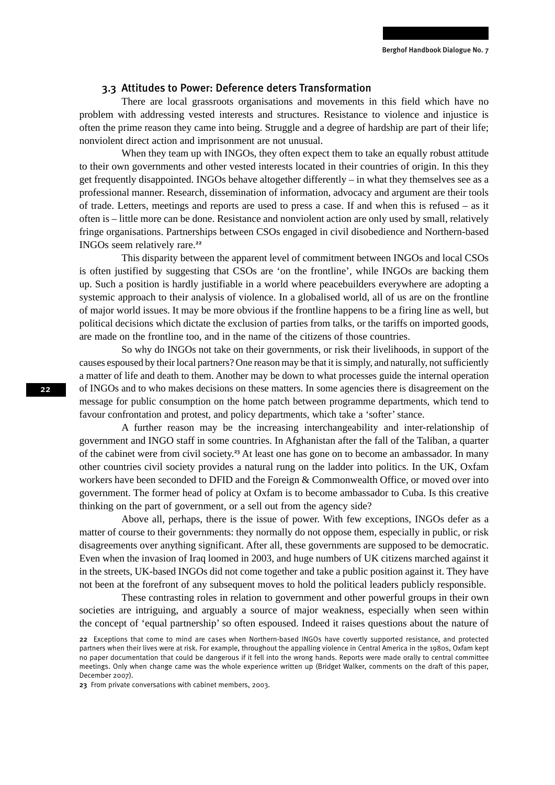### 3.3 Attitudes to Power: Deference deters Transformation

There are local grassroots organisations and movements in this field which have no problem with addressing vested interests and structures. Resistance to violence and injustice is often the prime reason they came into being. Struggle and a degree of hardship are part of their life; nonviolent direct action and imprisonment are not unusual.

When they team up with INGOs, they often expect them to take an equally robust attitude to their own governments and other vested interests located in their countries of origin. In this they get frequently disappointed. INGOs behave altogether differently – in what they themselves see as a professional manner. Research, dissemination of information, advocacy and argument are their tools of trade. Letters, meetings and reports are used to press a case. If and when this is refused – as it often is – little more can be done. Resistance and nonviolent action are only used by small, relatively fringe organisations. Partnerships between CSOs engaged in civil disobedience and Northern-based INGOs seem relatively rare.<sup>22</sup>

This disparity between the apparent level of commitment between INGOs and local CSOs is often justified by suggesting that CSOs are 'on the frontline', while INGOs are backing them up. Such a position is hardly justifiable in a world where peacebuilders everywhere are adopting a systemic approach to their analysis of violence. In a globalised world, all of us are on the frontline of major world issues. It may be more obvious if the frontline happens to be a firing line as well, but political decisions which dictate the exclusion of parties from talks, or the tariffs on imported goods, are made on the frontline too, and in the name of the citizens of those countries.

So why do INGOs not take on their governments, or risk their livelihoods, in support of the causes espoused by their local partners? One reason may be that it is simply, and naturally, not sufficiently a matter of life and death to them. Another may be down to what processes guide the internal operation of INGOs and to who makes decisions on these matters. In some agencies there is disagreement on the message for public consumption on the home patch between programme departments, which tend to favour confrontation and protest, and policy departments, which take a 'softer' stance.

A further reason may be the increasing interchangeability and inter-relationship of government and INGO staff in some countries. In Afghanistan after the fall of the Taliban, a quarter of the cabinet were from civil society.<sup>23</sup> At least one has gone on to become an ambassador. In many other countries civil society provides a natural rung on the ladder into politics. In the UK, Oxfam workers have been seconded to DFID and the Foreign & Commonwealth Office, or moved over into government. The former head of policy at Oxfam is to become ambassador to Cuba. Is this creative thinking on the part of government, or a sell out from the agency side?

Above all, perhaps, there is the issue of power. With few exceptions, INGOs defer as a matter of course to their governments: they normally do not oppose them, especially in public, or risk disagreements over anything significant. After all, these governments are supposed to be democratic. Even when the invasion of Iraq loomed in 2003, and huge numbers of UK citizens marched against it in the streets, UK-based INGOs did not come together and take a public position against it. They have not been at the forefront of any subsequent moves to hold the political leaders publicly responsible.

These contrasting roles in relation to government and other powerful groups in their own societies are intriguing, and arguably a source of major weakness, especially when seen within the concept of 'equal partnership' so often espoused. Indeed it raises questions about the nature of

23 From private conversations with cabinet members, 2003.

<sup>22</sup> Exceptions that come to mind are cases when Northern-based INGOs have covertly supported resistance, and protected partners when their lives were at risk. For example, throughout the appalling violence in Central America in the 1980s, Oxfam kept no paper documentation that could be dangerous if it fell into the wrong hands. Reports were made orally to central committee meetings. Only when change came was the whole experience written up (Bridget Walker, comments on the draft of this paper, December 2007).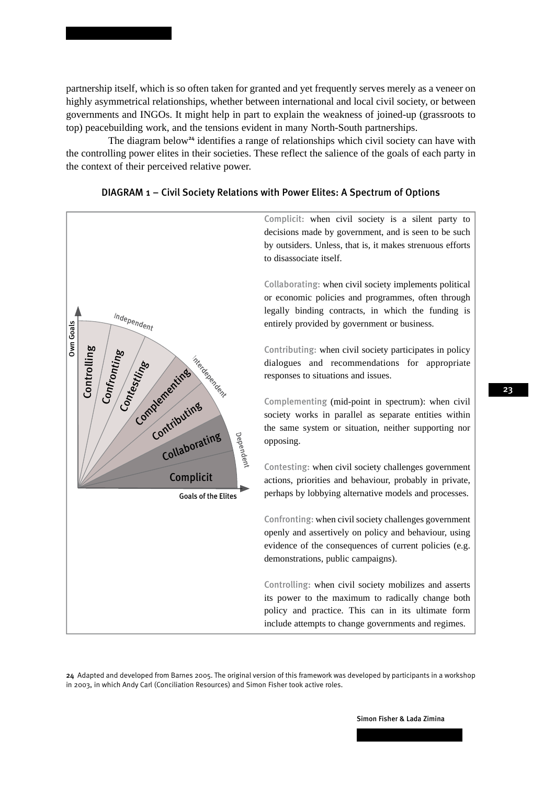partnership itself, which is so often taken for granted and yet frequently serves merely as a veneer on highly asymmetrical relationships, whether between international and local civil society, or between governments and INGOs. It might help in part to explain the weakness of joined-up (grassroots to top) peacebuilding work, and the tensions evident in many North-South partnerships.

The diagram below<sup>24</sup> identifies a range of relationships which civil society can have with the controlling power elites in their societies. These reflect the salience of the goals of each party in the context of their perceived relative power.



#### DIAGRAM 1 – Civil Society Relations with Power Elites: A Spectrum of Options

24 Adapted and developed from Barnes 2005. The original version of this framework was developed by participants in a workshop in 2003, in which Andy Carl (Conciliation Resources) and Simon Fisher took active roles.

23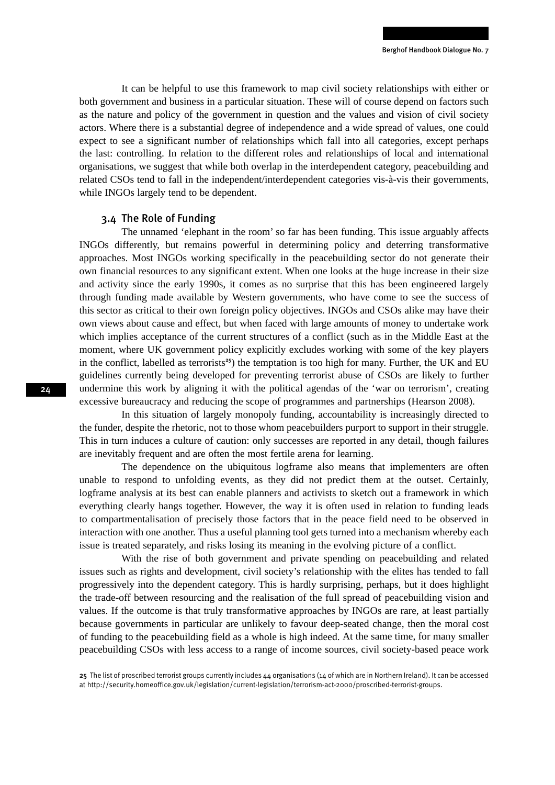It can be helpful to use this framework to map civil society relationships with either or both government and business in a particular situation. These will of course depend on factors such as the nature and policy of the government in question and the values and vision of civil society actors. Where there is a substantial degree of independence and a wide spread of values, one could expect to see a significant number of relationships which fall into all categories, except perhaps the last: controlling. In relation to the different roles and relationships of local and international organisations, we suggest that while both overlap in the interdependent category, peacebuilding and related CSOs tend to fall in the independent/interdependent categories vis-à-vis their governments, while INGOs largely tend to be dependent.

### 3.4 The Role of Funding

The unnamed 'elephant in the room' so far has been funding. This issue arguably affects INGOs differently, but remains powerful in determining policy and deterring transformative approaches. Most INGOs working specifically in the peacebuilding sector do not generate their own financial resources to any significant extent. When one looks at the huge increase in their size and activity since the early 1990s, it comes as no surprise that this has been engineered largely through funding made available by Western governments, who have come to see the success of this sector as critical to their own foreign policy objectives. INGOs and CSOs alike may have their own views about cause and effect, but when faced with large amounts of money to undertake work which implies acceptance of the current structures of a conflict (such as in the Middle East at the moment, where UK government policy explicitly excludes working with some of the key players in the conflict, labelled as terrorists<sup>25</sup>) the temptation is too high for many. Further, the UK and EU guidelines currently being developed for preventing terrorist abuse of CSOs are likely to further undermine this work by aligning it with the political agendas of the 'war on terrorism', creating excessive bureaucracy and reducing the scope of programmes and partnerships (Hearson 2008).

In this situation of largely monopoly funding, accountability is increasingly directed to the funder, despite the rhetoric, not to those whom peacebuilders purport to support in their struggle. This in turn induces a culture of caution: only successes are reported in any detail, though failures are inevitably frequent and are often the most fertile arena for learning.

The dependence on the ubiquitous logframe also means that implementers are often unable to respond to unfolding events, as they did not predict them at the outset. Certainly, logframe analysis at its best can enable planners and activists to sketch out a framework in which everything clearly hangs together. However, the way it is often used in relation to funding leads to compartmentalisation of precisely those factors that in the peace field need to be observed in interaction with one another. Thus a useful planning tool gets turned into a mechanism whereby each issue is treated separately, and risks losing its meaning in the evolving picture of a conflict.

With the rise of both government and private spending on peacebuilding and related issues such as rights and development, civil society's relationship with the elites has tended to fall progressively into the dependent category. This is hardly surprising, perhaps, but it does highlight the trade-off between resourcing and the realisation of the full spread of peacebuilding vision and values. If the outcome is that truly transformative approaches by INGOs are rare, at least partially because governments in particular are unlikely to favour deep-seated change, then the moral cost of funding to the peacebuilding field as a whole is high indeed. At the same time, for many smaller peacebuilding CSOs with less access to a range of income sources, civil society-based peace work

<sup>25</sup> The list of proscribed terrorist groups currently includes  $44$  organisations (14 of which are in Northern Ireland). It can be accessed at http://security.homeoffice.gov.uk/legislation/current-legislation/terrorism-act-2000/proscribed-terrorist-groups.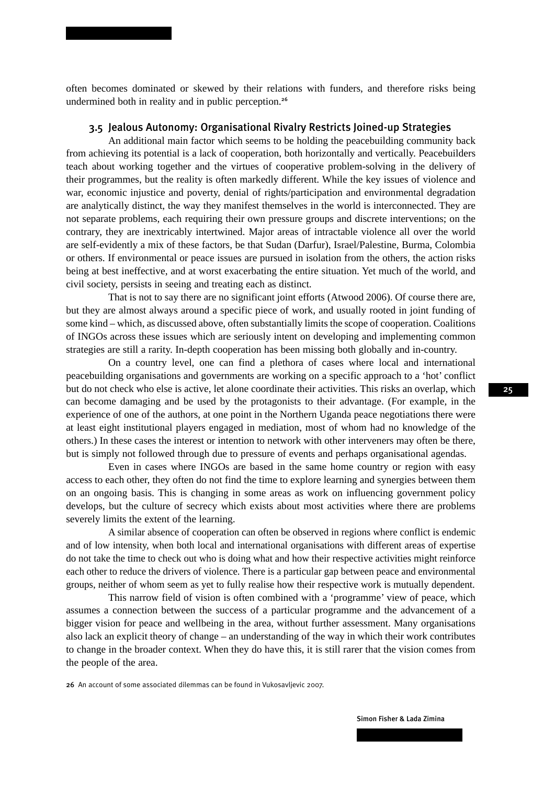often becomes dominated or skewed by their relations with funders, and therefore risks being undermined both in reality and in public perception.<sup>26</sup>

### 3.5 Jealous Autonomy: Organisational Rivalry Restricts Joined-up Strategies

An additional main factor which seems to be holding the peacebuilding community back from achieving its potential is a lack of cooperation, both horizontally and vertically. Peacebuilders teach about working together and the virtues of cooperative problem-solving in the delivery of their programmes, but the reality is often markedly different. While the key issues of violence and war, economic injustice and poverty, denial of rights/participation and environmental degradation are analytically distinct, the way they manifest themselves in the world is interconnected. They are not separate problems, each requiring their own pressure groups and discrete interventions; on the contrary, they are inextricably intertwined. Major areas of intractable violence all over the world are self-evidently a mix of these factors, be that Sudan (Darfur), Israel/Palestine, Burma, Colombia or others. If environmental or peace issues are pursued in isolation from the others, the action risks being at best ineffective, and at worst exacerbating the entire situation. Yet much of the world, and civil society, persists in seeing and treating each as distinct.

That is not to say there are no significant joint efforts (Atwood 2006). Of course there are, but they are almost always around a specific piece of work, and usually rooted in joint funding of some kind – which, as discussed above, often substantially limits the scope of cooperation. Coalitions of INGOs across these issues which are seriously intent on developing and implementing common strategies are still a rarity. In-depth cooperation has been missing both globally and in-country.

On a country level, one can find a plethora of cases where local and international peacebuilding organisations and governments are working on a specific approach to a 'hot' conflict but do not check who else is active, let alone coordinate their activities. This risks an overlap, which can become damaging and be used by the protagonists to their advantage. (For example, in the experience of one of the authors, at one point in the Northern Uganda peace negotiations there were at least eight institutional players engaged in mediation, most of whom had no knowledge of the others.) In these cases the interest or intention to network with other interveners may often be there, but is simply not followed through due to pressure of events and perhaps organisational agendas.

Even in cases where INGOs are based in the same home country or region with easy access to each other, they often do not find the time to explore learning and synergies between them on an ongoing basis. This is changing in some areas as work on influencing government policy develops, but the culture of secrecy which exists about most activities where there are problems severely limits the extent of the learning.

A similar absence of cooperation can often be observed in regions where conflict is endemic and of low intensity, when both local and international organisations with different areas of expertise do not take the time to check out who is doing what and how their respective activities might reinforce each other to reduce the drivers of violence. There is a particular gap between peace and environmental groups, neither of whom seem as yet to fully realise how their respective work is mutually dependent.

This narrow field of vision is often combined with a 'programme' view of peace, which assumes a connection between the success of a particular programme and the advancement of a bigger vision for peace and wellbeing in the area, without further assessment. Many organisations also lack an explicit theory of change – an understanding of the way in which their work contributes to change in the broader context. When they do have this, it is still rarer that the vision comes from the people of the area.

26 An account of some associated dilemmas can be found in Vukosavljevic 2007.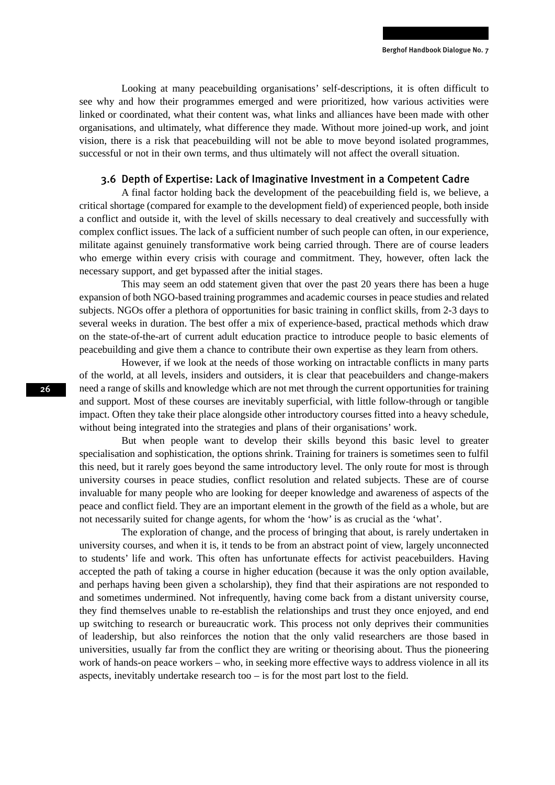Looking at many peacebuilding organisations' self-descriptions, it is often difficult to see why and how their programmes emerged and were prioritized, how various activities were linked or coordinated, what their content was, what links and alliances have been made with other organisations, and ultimately, what difference they made. Without more joined-up work, and joint vision, there is a risk that peacebuilding will not be able to move beyond isolated programmes, successful or not in their own terms, and thus ultimately will not affect the overall situation.

### 3.6 Depth of Expertise: Lack of Imaginative Investment in a Competent Cadre

A final factor holding back the development of the peacebuilding field is, we believe, a critical shortage (compared for example to the development field) of experienced people, both inside a conflict and outside it, with the level of skills necessary to deal creatively and successfully with complex conflict issues. The lack of a sufficient number of such people can often, in our experience, militate against genuinely transformative work being carried through. There are of course leaders who emerge within every crisis with courage and commitment. They, however, often lack the necessary support, and get bypassed after the initial stages.

This may seem an odd statement given that over the past 20 years there has been a huge expansion of both NGO-based training programmes and academic courses in peace studies and related subjects. NGOs offer a plethora of opportunities for basic training in conflict skills, from 2-3 days to several weeks in duration. The best offer a mix of experience-based, practical methods which draw on the state-of-the-art of current adult education practice to introduce people to basic elements of peacebuilding and give them a chance to contribute their own expertise as they learn from others.

However, if we look at the needs of those working on intractable conflicts in many parts of the world, at all levels, insiders and outsiders, it is clear that peacebuilders and change-makers need a range of skills and knowledge which are not met through the current opportunities for training and support. Most of these courses are inevitably superficial, with little follow-through or tangible impact. Often they take their place alongside other introductory courses fitted into a heavy schedule, without being integrated into the strategies and plans of their organisations' work.

But when people want to develop their skills beyond this basic level to greater specialisation and sophistication, the options shrink. Training for trainers is sometimes seen to fulfil this need, but it rarely goes beyond the same introductory level. The only route for most is through university courses in peace studies, conflict resolution and related subjects. These are of course invaluable for many people who are looking for deeper knowledge and awareness of aspects of the peace and conflict field. They are an important element in the growth of the field as a whole, but are not necessarily suited for change agents, for whom the 'how' is as crucial as the 'what'.

The exploration of change, and the process of bringing that about, is rarely undertaken in university courses, and when it is, it tends to be from an abstract point of view, largely unconnected to students' life and work. This often has unfortunate effects for activist peacebuilders. Having accepted the path of taking a course in higher education (because it was the only option available, and perhaps having been given a scholarship), they find that their aspirations are not responded to and sometimes undermined. Not infrequently, having come back from a distant university course, they find themselves unable to re-establish the relationships and trust they once enjoyed, and end up switching to research or bureaucratic work. This process not only deprives their communities of leadership, but also reinforces the notion that the only valid researchers are those based in universities, usually far from the conflict they are writing or theorising about. Thus the pioneering work of hands-on peace workers – who, in seeking more effective ways to address violence in all its aspects, inevitably undertake research too – is for the most part lost to the field.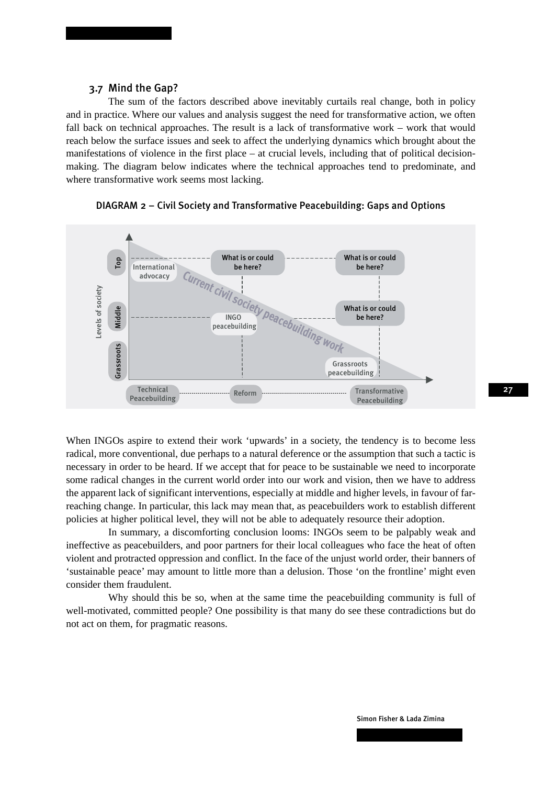### 3.7 Mind the Gap?

The sum of the factors described above inevitably curtails real change, both in policy and in practice. Where our values and analysis suggest the need for transformative action, we often fall back on technical approaches. The result is a lack of transformative work – work that would reach below the surface issues and seek to affect the underlying dynamics which brought about the manifestations of violence in the first place – at crucial levels, including that of political decisionmaking. The diagram below indicates where the technical approaches tend to predominate, and where transformative work seems most lacking.



DIAGRAM 2 – Civil Society and Transformative Peacebuilding: Gaps and Options

When INGOs aspire to extend their work 'upwards' in a society, the tendency is to become less radical, more conventional, due perhaps to a natural deference or the assumption that such a tactic is necessary in order to be heard. If we accept that for peace to be sustainable we need to incorporate some radical changes in the current world order into our work and vision, then we have to address the apparent lack of significant interventions, especially at middle and higher levels, in favour of farreaching change. In particular, this lack may mean that, as peacebuilders work to establish different policies at higher political level, they will not be able to adequately resource their adoption.

In summary, a discomforting conclusion looms: INGOs seem to be palpably weak and ineffective as peacebuilders, and poor partners for their local colleagues who face the heat of often violent and protracted oppression and conflict. In the face of the unjust world order, their banners of 'sustainable peace' may amount to little more than a delusion. Those 'on the frontline' might even consider them fraudulent.

Why should this be so, when at the same time the peacebuilding community is full of well-motivated, committed people? One possibility is that many do see these contradictions but do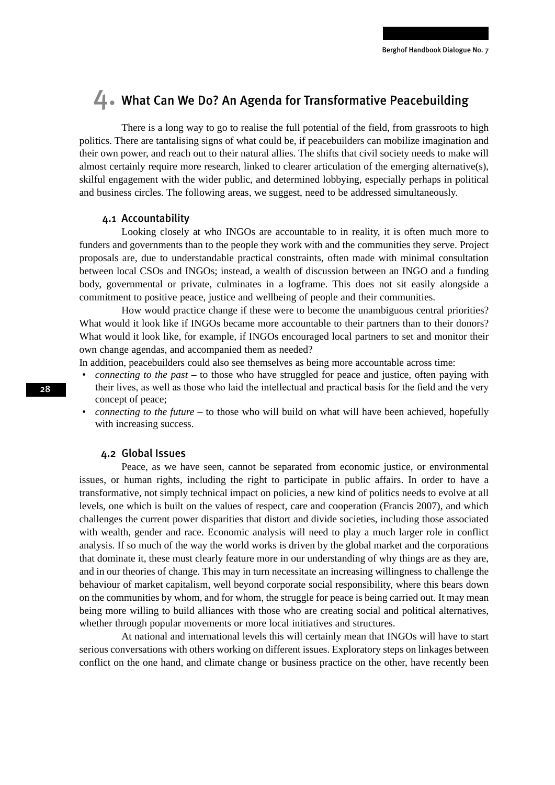### 4. What Can We Do? An Agenda for Transformative Peacebuilding

There is a long way to go to realise the full potential of the field, from grassroots to high politics. There are tantalising signs of what could be, if peacebuilders can mobilize imagination and their own power, and reach out to their natural allies. The shifts that civil society needs to make will almost certainly require more research, linked to clearer articulation of the emerging alternative(s), skilful engagement with the wider public, and determined lobbying, especially perhaps in political and business circles. The following areas, we suggest, need to be addressed simultaneously.

### 4.1 Accountability

Looking closely at who INGOs are accountable to in reality, it is often much more to funders and governments than to the people they work with and the communities they serve. Project proposals are, due to understandable practical constraints, often made with minimal consultation between local CSOs and INGOs; instead, a wealth of discussion between an INGO and a funding body, governmental or private, culminates in a logframe. This does not sit easily alongside a commitment to positive peace, justice and wellbeing of people and their communities.

How would practice change if these were to become the unambiguous central priorities? What would it look like if INGOs became more accountable to their partners than to their donors? What would it look like, for example, if INGOs encouraged local partners to set and monitor their own change agendas, and accompanied them as needed?

In addition, peacebuilders could also see themselves as being more accountable across time:

- *connecting to the past* to those who have struggled for peace and justice, often paying with their lives, as well as those who laid the intellectual and practical basis for the field and the very concept of peace;
- *connecting to the future* to those who will build on what will have been achieved, hopefully with increasing success.

### 4.2 Global Issues

Peace, as we have seen, cannot be separated from economic justice, or environmental issues, or human rights, including the right to participate in public affairs. In order to have a transformative, not simply technical impact on policies, a new kind of politics needs to evolve at all levels, one which is built on the values of respect, care and cooperation (Francis 2007), and which challenges the current power disparities that distort and divide societies, including those associated with wealth, gender and race. Economic analysis will need to play a much larger role in conflict analysis. If so much of the way the world works is driven by the global market and the corporations that dominate it, these must clearly feature more in our understanding of why things are as they are, and in our theories of change. This may in turn necessitate an increasing willingness to challenge the behaviour of market capitalism, well beyond corporate social responsibility, where this bears down on the communities by whom, and for whom, the struggle for peace is being carried out. It may mean being more willing to build alliances with those who are creating social and political alternatives, whether through popular movements or more local initiatives and structures.

At national and international levels this will certainly mean that INGOs will have to start serious conversations with others working on different issues. Exploratory steps on linkages between conflict on the one hand, and climate change or business practice on the other, have recently been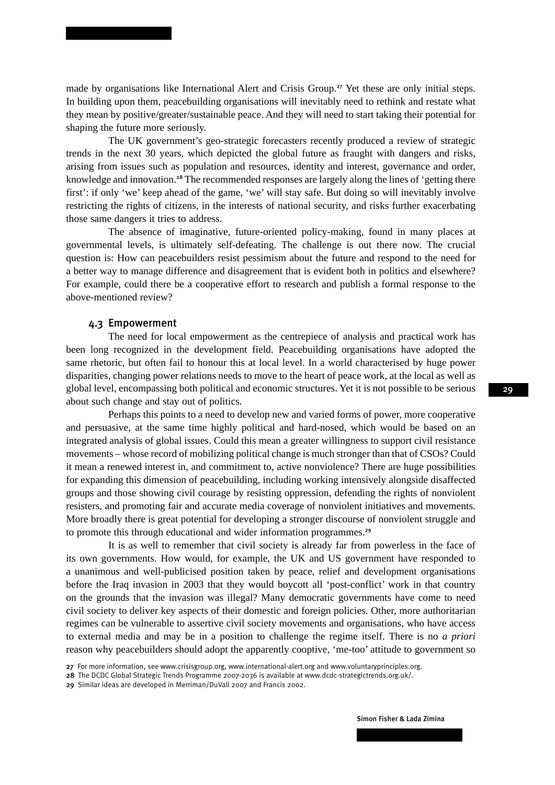made by organisations like International Alert and Crisis Group.<sup>27</sup> Yet these are only initial steps. In building upon them, peacebuilding organisations will inevitably need to rethink and restate what they mean by positive/greater/sustainable peace. And they will need to start taking their potential for shaping the future more seriously.

The UK government's geo-strategic forecasters recently produced a review of strategic trends in the next 30 years, which depicted the global future as fraught with dangers and risks, arising from issues such as population and resources, identity and interest, governance and order, knowledge and innovation.<sup>28</sup> The recommended responses are largely along the lines of 'getting there first': if only 'we' keep ahead of the game, 'we' will stay safe. But doing so will inevitably involve restricting the rights of citizens, in the interests of national security, and risks further exacerbating those same dangers it tries to address.

The absence of imaginative, future-oriented policy-making, found in many places at governmental levels, is ultimately self-defeating. The challenge is out there now. The crucial question is: How can peacebuilders resist pessimism about the future and respond to the need for a better way to manage difference and disagreement that is evident both in politics and elsewhere? For example, could there be a cooperative effort to research and publish a formal response to the above-mentioned review?

### 4.3 Empowerment

The need for local empowerment as the centrepiece of analysis and practical work has been long recognized in the development field. Peacebuilding organisations have adopted the same rhetoric, but often fail to honour this at local level. In a world characterised by huge power disparities, changing power relations needs to move to the heart of peace work, at the local as well as global level, encompassing both political and economic structures. Yet it is not possible to be serious about such change and stay out of politics.

Perhaps this points to a need to develop new and varied forms of power, more cooperative and persuasive, at the same time highly political and hard-nosed, which would be based on an integrated analysis of global issues. Could this mean a greater willingness to support civil resistance movements – whose record of mobilizing political change is much stronger than that of CSOs? Could it mean a renewed interest in, and commitment to, active nonviolence? There are huge possibilities for expanding this dimension of peacebuilding, including working intensively alongside disaffected groups and those showing civil courage by resisting oppression, defending the rights of nonviolent resisters, and promoting fair and accurate media coverage of nonviolent initiatives and movements. More broadly there is great potential for developing a stronger discourse of nonviolent struggle and to promote this through educational and wider information programmes.<sup>29</sup>

It is as well to remember that civil society is already far from powerless in the face of its own governments. How would, for example, the UK and US government have responded to a unanimous and well-publicised position taken by peace, relief and development organisations before the Iraq invasion in 2003 that they would boycott all 'post-conflict' work in that country on the grounds that the invasion was illegal? Many democratic governments have come to need civil society to deliver key aspects of their domestic and foreign policies. Other, more authoritarian regimes can be vulnerable to assertive civil society movements and organisations, who have access to external media and may be in a position to challenge the regime itself. There is no *a priori* reason why peacebuilders should adopt the apparently cooptive, 'me-too' attitude to government so

<sup>27</sup> For more information, see www.crisisgroup.org, www.international-alert.org and www.voluntaryprinciples.org.

<sup>28</sup> The DCDC Global Strategic Trends Programme 2007-2036 is available at www.dcdc-strategictrends.org.uk/.

<sup>29</sup> Similar ideas are developed in Merriman/DuVall 2007 and Francis 2002.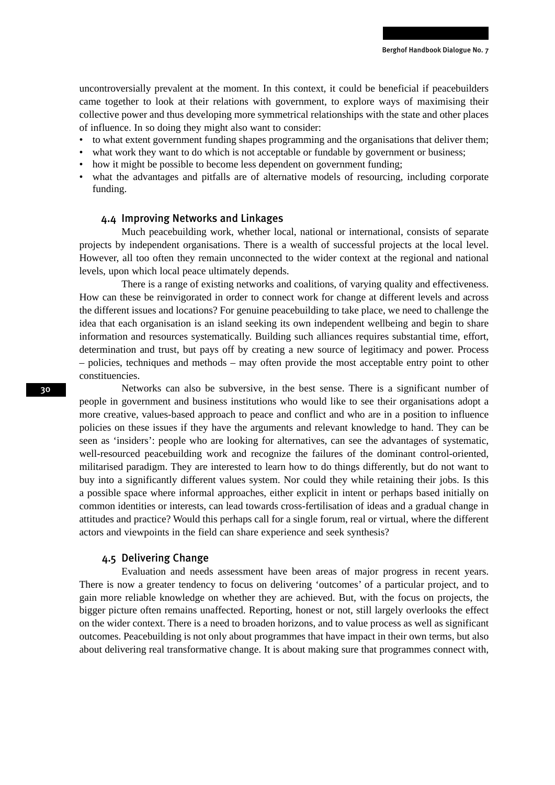uncontroversially prevalent at the moment. In this context, it could be beneficial if peacebuilders came together to look at their relations with government, to explore ways of maximising their collective power and thus developing more symmetrical relationships with the state and other places of influence. In so doing they might also want to consider:

- to what extent government funding shapes programming and the organisations that deliver them;
- what work they want to do which is not acceptable or fundable by government or business;
- how it might be possible to become less dependent on government funding;
- what the advantages and pitfalls are of alternative models of resourcing, including corporate funding.

### 4.4 Improving Networks and Linkages

Much peacebuilding work, whether local, national or international, consists of separate projects by independent organisations. There is a wealth of successful projects at the local level. However, all too often they remain unconnected to the wider context at the regional and national levels, upon which local peace ultimately depends.

There is a range of existing networks and coalitions, of varying quality and effectiveness. How can these be reinvigorated in order to connect work for change at different levels and across the different issues and locations? For genuine peacebuilding to take place, we need to challenge the idea that each organisation is an island seeking its own independent wellbeing and begin to share information and resources systematically. Building such alliances requires substantial time, effort, determination and trust, but pays off by creating a new source of legitimacy and power. Process – policies, techniques and methods – may often provide the most acceptable entry point to other constituencies.

Networks can also be subversive, in the best sense. There is a significant number of people in government and business institutions who would like to see their organisations adopt a more creative, values-based approach to peace and conflict and who are in a position to influence policies on these issues if they have the arguments and relevant knowledge to hand. They can be seen as 'insiders': people who are looking for alternatives, can see the advantages of systematic, well-resourced peacebuilding work and recognize the failures of the dominant control-oriented, militarised paradigm. They are interested to learn how to do things differently, but do not want to buy into a significantly different values system. Nor could they while retaining their jobs. Is this a possible space where informal approaches, either explicit in intent or perhaps based initially on common identities or interests, can lead towards cross-fertilisation of ideas and a gradual change in attitudes and practice? Would this perhaps call for a single forum, real or virtual, where the different actors and viewpoints in the field can share experience and seek synthesis?

### 4.5 Delivering Change

Evaluation and needs assessment have been areas of major progress in recent years. There is now a greater tendency to focus on delivering 'outcomes' of a particular project, and to gain more reliable knowledge on whether they are achieved. But, with the focus on projects, the bigger picture often remains unaffected. Reporting, honest or not, still largely overlooks the effect on the wider context. There is a need to broaden horizons, and to value process as well as significant outcomes. Peacebuilding is not only about programmes that have impact in their own terms, but also about delivering real transformative change. It is about making sure that programmes connect with,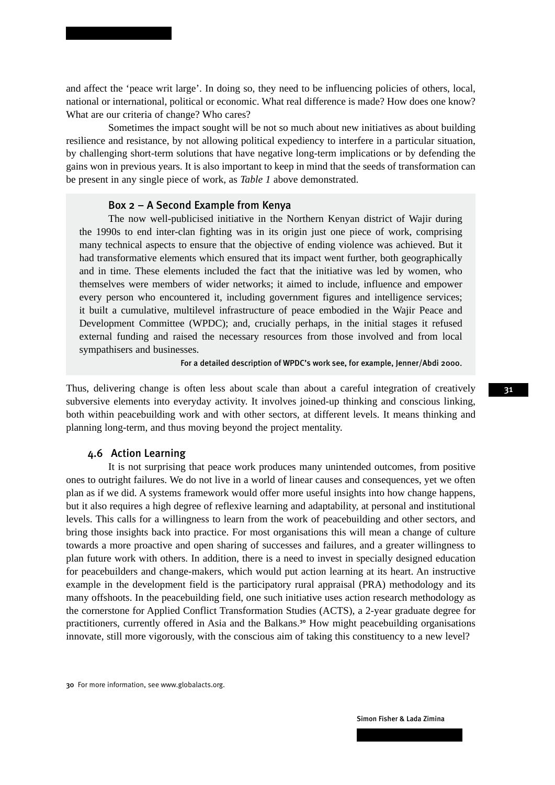and affect the 'peace writ large'. In doing so, they need to be influencing policies of others, local, national or international, political or economic. What real difference is made? How does one know? What are our criteria of change? Who cares?

Sometimes the impact sought will be not so much about new initiatives as about building resilience and resistance, by not allowing political expediency to interfere in a particular situation, by challenging short-term solutions that have negative long-term implications or by defending the gains won in previous years. It is also important to keep in mind that the seeds of transformation can be present in any single piece of work, as *Table 1* above demonstrated.

### Box 2 – A Second Example from Kenya

The now well-publicised initiative in the Northern Kenyan district of Wajir during the 1990s to end inter-clan fighting was in its origin just one piece of work, comprising many technical aspects to ensure that the objective of ending violence was achieved. But it had transformative elements which ensured that its impact went further, both geographically and in time. These elements included the fact that the initiative was led by women, who themselves were members of wider networks; it aimed to include, influence and empower every person who encountered it, including government figures and intelligence services; it built a cumulative, multilevel infrastructure of peace embodied in the Wajir Peace and Development Committee (WPDC); and, crucially perhaps, in the initial stages it refused external funding and raised the necessary resources from those involved and from local sympathisers and businesses.

For a detailed description of WPDC's work see, for example, Jenner/Abdi 2000.

Thus, delivering change is often less about scale than about a careful integration of creatively subversive elements into everyday activity. It involves joined-up thinking and conscious linking, both within peacebuilding work and with other sectors, at different levels. It means thinking and planning long-term, and thus moving beyond the project mentality.

### 4.6 Action Learning

It is not surprising that peace work produces many unintended outcomes, from positive ones to outright failures. We do not live in a world of linear causes and consequences, yet we often plan as if we did. A systems framework would offer more useful insights into how change happens, but it also requires a high degree of reflexive learning and adaptability, at personal and institutional levels. This calls for a willingness to learn from the work of peacebuilding and other sectors, and bring those insights back into practice. For most organisations this will mean a change of culture towards a more proactive and open sharing of successes and failures, and a greater willingness to plan future work with others. In addition, there is a need to invest in specially designed education for peacebuilders and change-makers, which would put action learning at its heart. An instructive example in the development field is the participatory rural appraisal (PRA) methodology and its many offshoots. In the peacebuilding field, one such initiative uses action research methodology as the cornerstone for Applied Conflict Transformation Studies (ACTS), a 2-year graduate degree for practitioners, currently offered in Asia and the Balkans.<sup>30</sup> How might peacebuilding organisations innovate, still more vigorously, with the conscious aim of taking this constituency to a new level?

<sup>30</sup> For more information, see www.globalacts.org.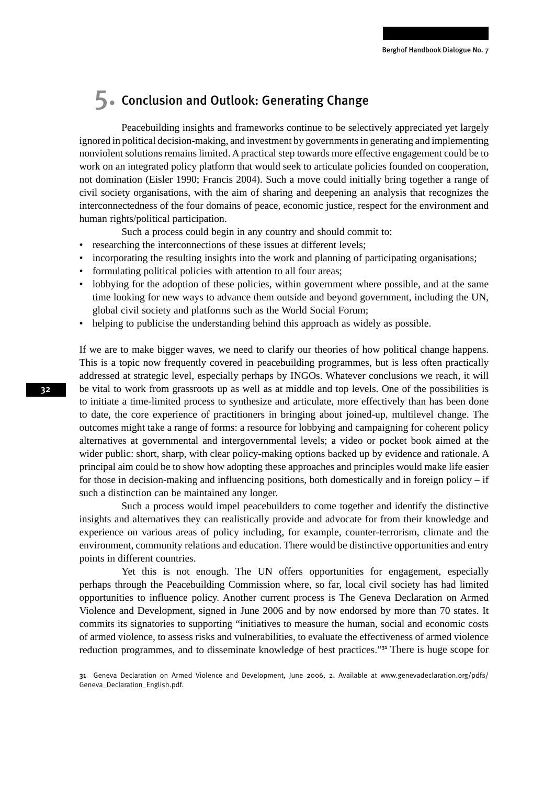## 5. Conclusion and Outlook: Generating Change

Peacebuilding insights and frameworks continue to be selectively appreciated yet largely ignored in political decision-making, and investment by governments in generating and implementing nonviolent solutions remains limited. A practical step towards more effective engagement could be to work on an integrated policy platform that would seek to articulate policies founded on cooperation, not domination (Eisler 1990; Francis 2004). Such a move could initially bring together a range of civil society organisations, with the aim of sharing and deepening an analysis that recognizes the interconnectedness of the four domains of peace, economic justice, respect for the environment and human rights/political participation.

Such a process could begin in any country and should commit to:

- researching the interconnections of these issues at different levels;
- incorporating the resulting insights into the work and planning of participating organisations;
- formulating political policies with attention to all four areas;
- lobbying for the adoption of these policies, within government where possible, and at the same time looking for new ways to advance them outside and beyond government, including the UN, global civil society and platforms such as the World Social Forum;
- helping to publicise the understanding behind this approach as widely as possible.

If we are to make bigger waves, we need to clarify our theories of how political change happens. This is a topic now frequently covered in peacebuilding programmes, but is less often practically addressed at strategic level, especially perhaps by INGOs. Whatever conclusions we reach, it will be vital to work from grassroots up as well as at middle and top levels. One of the possibilities is to initiate a time-limited process to synthesize and articulate, more effectively than has been done to date, the core experience of practitioners in bringing about joined-up, multilevel change. The outcomes might take a range of forms: a resource for lobbying and campaigning for coherent policy alternatives at governmental and intergovernmental levels; a video or pocket book aimed at the wider public: short, sharp, with clear policy-making options backed up by evidence and rationale. A principal aim could be to show how adopting these approaches and principles would make life easier for those in decision-making and influencing positions, both domestically and in foreign policy  $-$  if such a distinction can be maintained any longer.

Such a process would impel peacebuilders to come together and identify the distinctive insights and alternatives they can realistically provide and advocate for from their knowledge and experience on various areas of policy including, for example, counter-terrorism, climate and the environment, community relations and education. There would be distinctive opportunities and entry points in different countries.

Yet this is not enough. The UN offers opportunities for engagement, especially perhaps through the Peacebuilding Commission where, so far, local civil society has had limited opportunities to influence policy. Another current process is The Geneva Declaration on Armed Violence and Development, signed in June 2006 and by now endorsed by more than 70 states. It commits its signatories to supporting "initiatives to measure the human, social and economic costs of armed violence, to assess risks and vulnerabilities, to evaluate the effectiveness of armed violence reduction programmes, and to disseminate knowledge of best practices."<sup>31</sup> There is huge scope for

<sup>31</sup> Geneva Declaration on Armed Violence and Development, June 2006, 2. Available at www.genevadeclaration.org/pdfs/ Geneva\_Declaration\_English.pdf.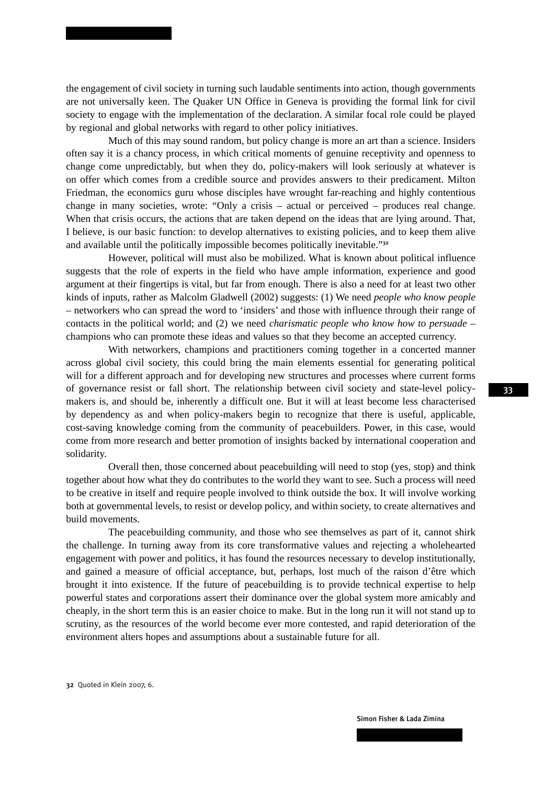the engagement of civil society in turning such laudable sentiments into action, though governments are not universally keen. The Quaker UN Office in Geneva is providing the formal link for civil society to engage with the implementation of the declaration. A similar focal role could be played by regional and global networks with regard to other policy initiatives.

Much of this may sound random, but policy change is more an art than a science. Insiders often say it is a chancy process, in which critical moments of genuine receptivity and openness to change come unpredictably, but when they do, policy-makers will look seriously at whatever is on offer which comes from a credible source and provides answers to their predicament. Milton Friedman, the economics guru whose disciples have wrought far-reaching and highly contentious change in many societies, wrote: "Only a crisis – actual or perceived – produces real change. When that crisis occurs, the actions that are taken depend on the ideas that are lying around. That, I believe, is our basic function: to develop alternatives to existing policies, and to keep them alive and available until the politically impossible becomes politically inevitable."<sup>32</sup>

However, political will must also be mobilized. What is known about political influence suggests that the role of experts in the field who have ample information, experience and good argument at their fingertips is vital, but far from enough. There is also a need for at least two other kinds of inputs, rather as Malcolm Gladwell (2002) suggests: (1) We need *people who know people* – networkers who can spread the word to 'insiders' and those with influence through their range of contacts in the political world; and (2) we need *charismatic people who know how to persuade* – champions who can promote these ideas and values so that they become an accepted currency.

With networkers, champions and practitioners coming together in a concerted manner across global civil society, this could bring the main elements essential for generating political will for a different approach and for developing new structures and processes where current forms of governance resist or fall short. The relationship between civil society and state-level policymakers is, and should be, inherently a difficult one. But it will at least become less characterised by dependency as and when policy-makers begin to recognize that there is useful, applicable, cost-saving knowledge coming from the community of peacebuilders. Power, in this case, would come from more research and better promotion of insights backed by international cooperation and solidarity.

Overall then, those concerned about peacebuilding will need to stop (yes, stop) and think together about how what they do contributes to the world they want to see. Such a process will need to be creative in itself and require people involved to think outside the box. It will involve working both at governmental levels, to resist or develop policy, and within society, to create alternatives and build movements.

The peacebuilding community, and those who see themselves as part of it, cannot shirk the challenge. In turning away from its core transformative values and rejecting a wholehearted engagement with power and politics, it has found the resources necessary to develop institutionally, and gained a measure of official acceptance, but, perhaps, lost much of the raison d'être which brought it into existence. If the future of peacebuilding is to provide technical expertise to help powerful states and corporations assert their dominance over the global system more amicably and cheaply, in the short term this is an easier choice to make. But in the long run it will not stand up to scrutiny, as the resources of the world become ever more contested, and rapid deterioration of the environment alters hopes and assumptions about a sustainable future for all.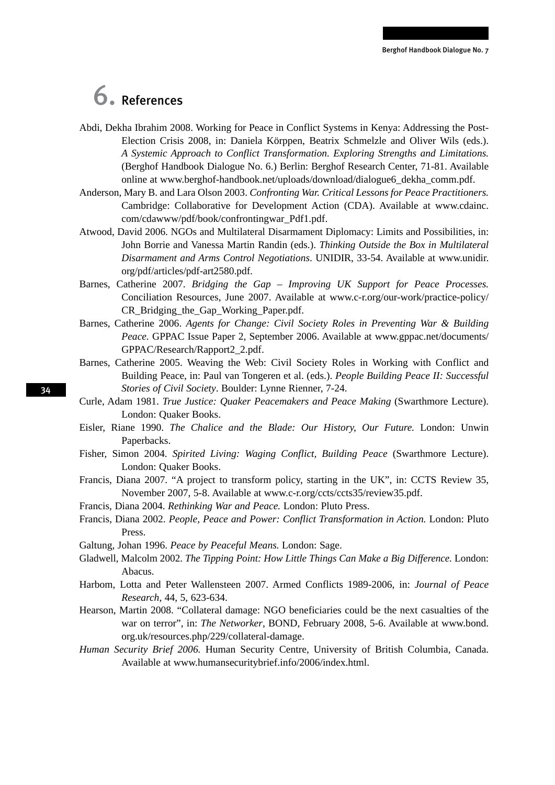# 6. References

- Abdi, Dekha Ibrahim 2008. Working for Peace in Conflict Systems in Kenya: Addressing the Post-Election Crisis 2008, in: Daniela Körppen, Beatrix Schmelzle and Oliver Wils (eds.). *A Systemic Approach to Conflict Transformation. Exploring Strengths and Limitations.*  (Berghof Handbook Dialogue No. 6.) Berlin: Berghof Research Center, 71-81. Available online at www.berghof-handbook.net/uploads/download/dialogue6\_dekha\_comm.pdf.
- Anderson, Mary B. and Lara Olson 2003. *Confronting War. Critical Lessons for Peace Practitioners.* Cambridge: Collaborative for Development Action (CDA). Available at www.cdainc. com/cdawww/pdf/book/confrontingwar\_Pdf1.pdf.
- Atwood, David 2006. NGOs and Multilateral Disarmament Diplomacy: Limits and Possibilities, in: John Borrie and Vanessa Martin Randin (eds.). *Thinking Outside the Box in Multilateral Disarmament and Arms Control Negotiations*. UNIDIR, 33-54. Available at www.unidir. org/pdf/articles/pdf-art2580.pdf.
- Barnes, Catherine 2007. *Bridging the Gap Improving UK Support for Peace Processes.* Conciliation Resources, June 2007. Available at www.c-r.org/our-work/practice-policy/ CR\_Bridging\_the\_Gap\_Working\_Paper.pdf.
- Barnes, Catherine 2006. *Agents for Change: Civil Society Roles in Preventing War & Building Peace.* GPPAC Issue Paper 2, September 2006. Available at www.gppac.net/documents/ GPPAC/Research/Rapport2\_2.pdf.
- Barnes, Catherine 2005. Weaving the Web: Civil Society Roles in Working with Conflict and Building Peace, in: Paul van Tongeren et al. (eds.). *People Building Peace II: Successful Stories of Civil Society*. Boulder: Lynne Rienner, 7-24.
- Curle, Adam 1981. *True Justice: Quaker Peacemakers and Peace Making* (Swarthmore Lecture). London: Quaker Books.
- Eisler, Riane 1990. *The Chalice and the Blade: Our History, Our Future.* London: Unwin Paperbacks.
- Fisher, Simon 2004. *Spirited Living: Waging Conflict, Building Peace* (Swarthmore Lecture). London: Quaker Books.
- Francis, Diana 2007. "A project to transform policy, starting in the UK", in: CCTS Review 35, November 2007, 5-8. Available at www.c-r.org/ccts/ccts35/review35.pdf.
- Francis, Diana 2004. *Rethinking War and Peace.* London: Pluto Press.
- Francis, Diana 2002. *People, Peace and Power: Conflict Transformation in Action.* London: Pluto Press.
- Galtung, Johan 1996. *Peace by Peaceful Means.* London: Sage.
- Gladwell, Malcolm 2002. *The Tipping Point: How Little Things Can Make a Big Difference.* London: Abacus.
- Harbom, Lotta and Peter Wallensteen 2007. Armed Conflicts 1989-2006, in: *Journal of Peace Research*, 44, 5, 623-634.
- Hearson, Martin 2008. "Collateral damage: NGO beneficiaries could be the next casualties of the war on terror", in: *The Networker*, BOND, February 2008, 5-6. Available at www.bond. org.uk/resources.php/229/collateral-damage.
- *Human Security Brief 2006.* Human Security Centre, University of British Columbia, Canada. Available at www.humansecuritybrief.info/2006/index.html.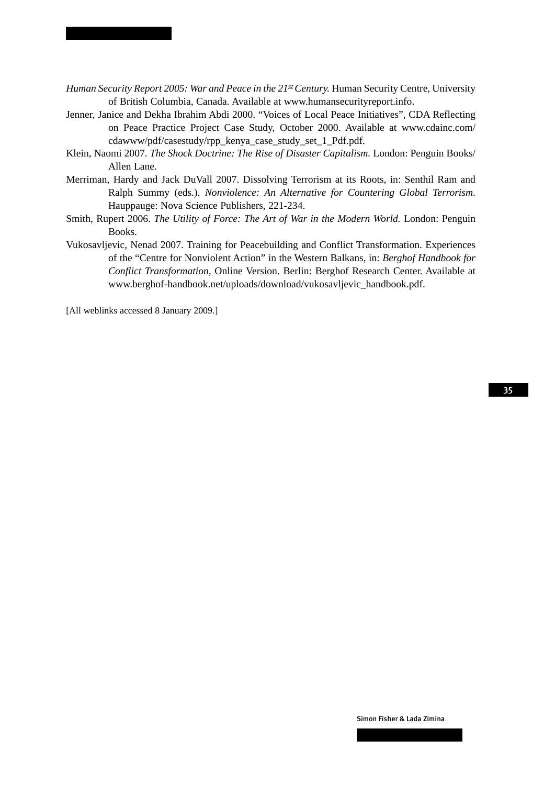- *Human Security Report 2005: War and Peace in the 21st Century. Human Security Centre, University* of British Columbia, Canada. Available at www.humansecurityreport.info.
- Jenner, Janice and Dekha Ibrahim Abdi 2000. "Voices of Local Peace Initiatives", CDA Reflecting on Peace Practice Project Case Study, October 2000. Available at www.cdainc.com/ cdawww/pdf/casestudy/rpp\_kenya\_case\_study\_set\_1\_Pdf.pdf.
- Klein, Naomi 2007. *The Shock Doctrine: The Rise of Disaster Capitalism.* London: Penguin Books/ Allen Lane.
- Merriman, Hardy and Jack DuVall 2007. Dissolving Terrorism at its Roots, in: Senthil Ram and Ralph Summy (eds.). *Nonviolence: An Alternative for Countering Global Terrorism*. Hauppauge: Nova Science Publishers, 221-234.
- Smith, Rupert 2006. *The Utility of Force: The Art of War in the Modern World.* London: Penguin Books.
- Vukosavljevic, Nenad 2007. Training for Peacebuilding and Conflict Transformation. Experiences of the "Centre for Nonviolent Action" in the Western Balkans, in: *Berghof Handbook for Conflict Transformation,* Online Version. Berlin: Berghof Research Center. Available at www.berghof-handbook.net/uploads/download/vukosavljevic\_handbook.pdf.

[All weblinks accessed 8 January 2009.]

Simon Fisher & Lada Zimina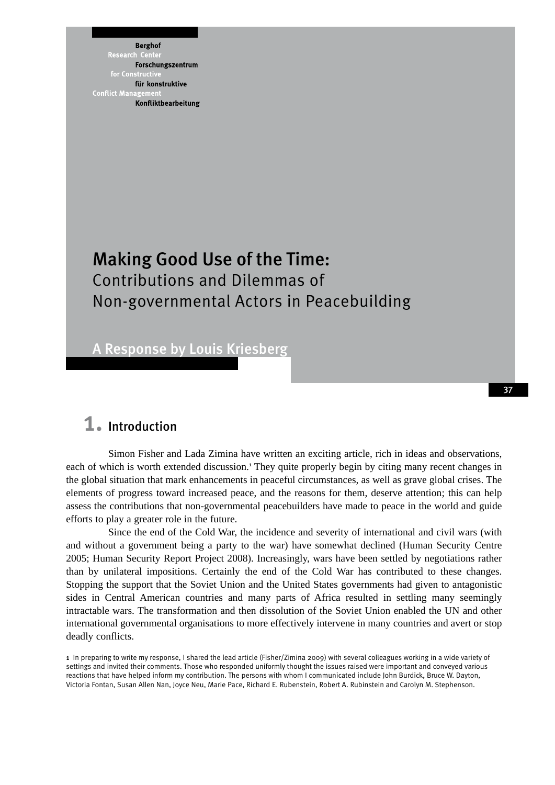**Berghof** Research Forschungszentrum für konstruktive **Conflict Mana** Konfliktbearbeitung

## Making Good Use of the Time: Contributions and Dilemmas of Non-governmental Actors in Peacebuilding

A Response by Louis Kriesberg

### 1. Introduction

Simon Fisher and Lada Zimina have written an exciting article, rich in ideas and observations, each of which is worth extended discussion.<sup>1</sup> They quite properly begin by citing many recent changes in the global situation that mark enhancements in peaceful circumstances, as well as grave global crises. The elements of progress toward increased peace, and the reasons for them, deserve attention; this can help assess the contributions that non-governmental peacebuilders have made to peace in the world and guide efforts to play a greater role in the future.

Since the end of the Cold War, the incidence and severity of international and civil wars (with and without a government being a party to the war) have somewhat declined (Human Security Centre 2005; Human Security Report Project 2008). Increasingly, wars have been settled by negotiations rather than by unilateral impositions. Certainly the end of the Cold War has contributed to these changes. Stopping the support that the Soviet Union and the United States governments had given to antagonistic sides in Central American countries and many parts of Africa resulted in settling many seemingly intractable wars. The transformation and then dissolution of the Soviet Union enabled the UN and other international governmental organisations to more effectively intervene in many countries and avert or stop deadly conflicts.

1 In preparing to write my response, I shared the lead article (Fisher/Zimina 2009) with several colleagues working in a wide variety of settings and invited their comments. Those who responded uniformly thought the issues raised were important and conveyed various reactions that have helped inform my contribution. The persons with whom I communicated include John Burdick, Bruce W. Dayton, Victoria Fontan, Susan Allen Nan, Joyce Neu, Marie Pace, Richard E. Rubenstein, Robert A. Rubinstein and Carolyn M. Stephenson.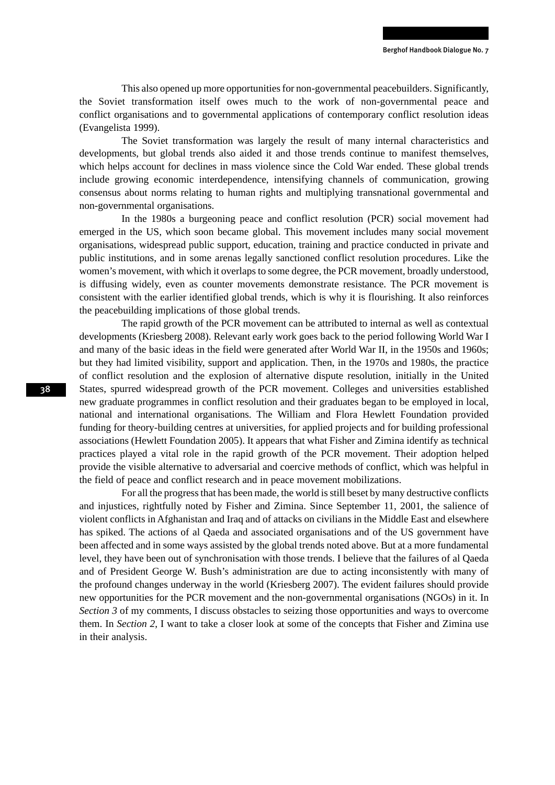This also opened up more opportunities for non-governmental peacebuilders. Significantly, the Soviet transformation itself owes much to the work of non-governmental peace and conflict organisations and to governmental applications of contemporary conflict resolution ideas (Evangelista 1999).

The Soviet transformation was largely the result of many internal characteristics and developments, but global trends also aided it and those trends continue to manifest themselves, which helps account for declines in mass violence since the Cold War ended. These global trends include growing economic interdependence, intensifying channels of communication, growing consensus about norms relating to human rights and multiplying transnational governmental and non-governmental organisations.

In the 1980s a burgeoning peace and conflict resolution (PCR) social movement had emerged in the US, which soon became global. This movement includes many social movement organisations, widespread public support, education, training and practice conducted in private and public institutions, and in some arenas legally sanctioned conflict resolution procedures. Like the women's movement, with which it overlaps to some degree, the PCR movement, broadly understood, is diffusing widely, even as counter movements demonstrate resistance. The PCR movement is consistent with the earlier identified global trends, which is why it is flourishing. It also reinforces the peacebuilding implications of those global trends.

The rapid growth of the PCR movement can be attributed to internal as well as contextual developments (Kriesberg 2008). Relevant early work goes back to the period following World War I and many of the basic ideas in the field were generated after World War II, in the 1950s and 1960s; but they had limited visibility, support and application. Then, in the 1970s and 1980s, the practice of conflict resolution and the explosion of alternative dispute resolution, initially in the United States, spurred widespread growth of the PCR movement. Colleges and universities established new graduate programmes in conflict resolution and their graduates began to be employed in local, national and international organisations. The William and Flora Hewlett Foundation provided funding for theory-building centres at universities, for applied projects and for building professional associations (Hewlett Foundation 2005). It appears that what Fisher and Zimina identify as technical practices played a vital role in the rapid growth of the PCR movement. Their adoption helped provide the visible alternative to adversarial and coercive methods of conflict, which was helpful in the field of peace and conflict research and in peace movement mobilizations.

For all the progress that has been made, the world is still beset by many destructive conflicts and injustices, rightfully noted by Fisher and Zimina. Since September 11, 2001, the salience of violent conflicts in Afghanistan and Iraq and of attacks on civilians in the Middle East and elsewhere has spiked. The actions of al Qaeda and associated organisations and of the US government have been affected and in some ways assisted by the global trends noted above. But at a more fundamental level, they have been out of synchronisation with those trends. I believe that the failures of al Qaeda and of President George W. Bush's administration are due to acting inconsistently with many of the profound changes underway in the world (Kriesberg 2007). The evident failures should provide new opportunities for the PCR movement and the non-governmental organisations (NGOs) in it. In *Section 3* of my comments, I discuss obstacles to seizing those opportunities and ways to overcome them. In *Section 2*, I want to take a closer look at some of the concepts that Fisher and Zimina use in their analysis.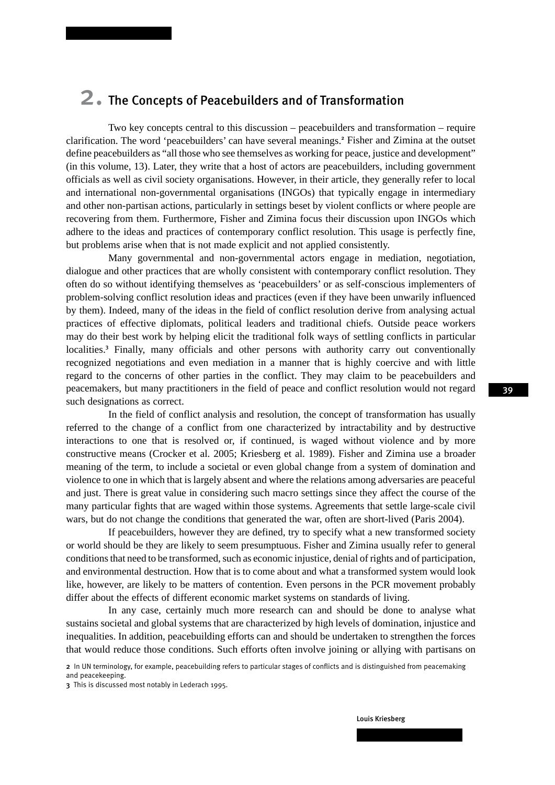## 2. The Concepts of Peacebuilders and of Transformation

Two key concepts central to this discussion – peacebuilders and transformation – require clarification. The word 'peacebuilders' can have several meanings.<sup>2</sup> Fisher and Zimina at the outset define peacebuilders as "all those who see themselves as working for peace, justice and development" (in this volume, 13). Later, they write that a host of actors are peacebuilders, including government officials as well as civil society organisations. However, in their article, they generally refer to local and international non-governmental organisations (INGOs) that typically engage in intermediary and other non-partisan actions, particularly in settings beset by violent conflicts or where people are recovering from them. Furthermore, Fisher and Zimina focus their discussion upon INGOs which adhere to the ideas and practices of contemporary conflict resolution. This usage is perfectly fine, but problems arise when that is not made explicit and not applied consistently.

Many governmental and non-governmental actors engage in mediation, negotiation, dialogue and other practices that are wholly consistent with contemporary conflict resolution. They often do so without identifying themselves as 'peacebuilders' or as self-conscious implementers of problem-solving conflict resolution ideas and practices (even if they have been unwarily influenced by them). Indeed, many of the ideas in the field of conflict resolution derive from analysing actual practices of effective diplomats, political leaders and traditional chiefs. Outside peace workers may do their best work by helping elicit the traditional folk ways of settling conflicts in particular localities.<sup>3</sup> Finally, many officials and other persons with authority carry out conventionally recognized negotiations and even mediation in a manner that is highly coercive and with little regard to the concerns of other parties in the conflict. They may claim to be peacebuilders and peacemakers, but many practitioners in the field of peace and conflict resolution would not regard such designations as correct.

In the field of conflict analysis and resolution, the concept of transformation has usually referred to the change of a conflict from one characterized by intractability and by destructive interactions to one that is resolved or, if continued, is waged without violence and by more constructive means (Crocker et al. 2005; Kriesberg et al. 1989). Fisher and Zimina use a broader meaning of the term, to include a societal or even global change from a system of domination and violence to one in which that is largely absent and where the relations among adversaries are peaceful and just. There is great value in considering such macro settings since they affect the course of the many particular fights that are waged within those systems. Agreements that settle large-scale civil wars, but do not change the conditions that generated the war, often are short-lived (Paris 2004).

If peacebuilders, however they are defined, try to specify what a new transformed society or world should be they are likely to seem presumptuous. Fisher and Zimina usually refer to general conditions that need to be transformed, such as economic injustice, denial of rights and of participation, and environmental destruction. How that is to come about and what a transformed system would look like, however, are likely to be matters of contention. Even persons in the PCR movement probably differ about the effects of different economic market systems on standards of living.

In any case, certainly much more research can and should be done to analyse what sustains societal and global systems that are characterized by high levels of domination, injustice and inequalities. In addition, peacebuilding efforts can and should be undertaken to strengthen the forces that would reduce those conditions. Such efforts often involve joining or allying with partisans on

Louis Kriesberg

<sup>2</sup> In UN terminology, for example, peacebuilding refers to particular stages of conflicts and is distinguished from peacemaking and peacekeeping.

<sup>3</sup> This is discussed most notably in Lederach 1995.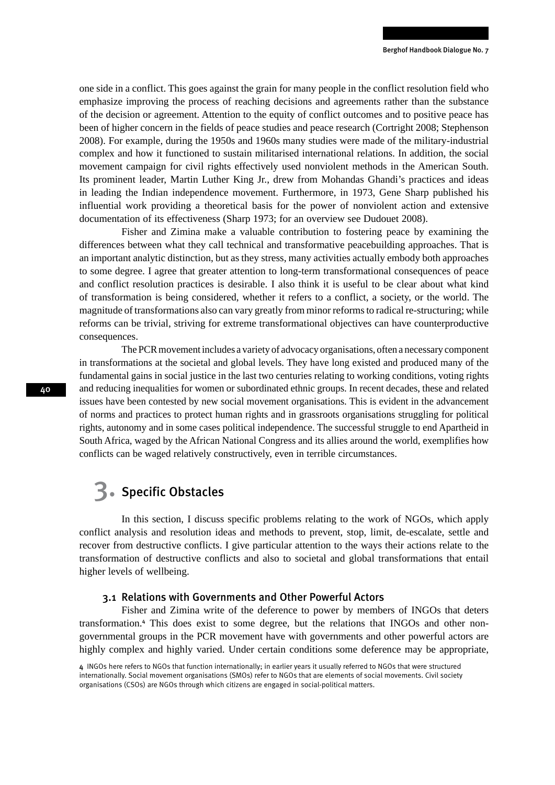one side in a conflict. This goes against the grain for many people in the conflict resolution field who emphasize improving the process of reaching decisions and agreements rather than the substance of the decision or agreement. Attention to the equity of conflict outcomes and to positive peace has been of higher concern in the fields of peace studies and peace research (Cortright 2008; Stephenson 2008). For example, during the 1950s and 1960s many studies were made of the military-industrial complex and how it functioned to sustain militarised international relations. In addition, the social movement campaign for civil rights effectively used nonviolent methods in the American South. Its prominent leader, Martin Luther King Jr., drew from Mohandas Ghandi's practices and ideas in leading the Indian independence movement. Furthermore, in 1973, Gene Sharp published his influential work providing a theoretical basis for the power of nonviolent action and extensive documentation of its effectiveness (Sharp 1973; for an overview see Dudouet 2008).

Fisher and Zimina make a valuable contribution to fostering peace by examining the differences between what they call technical and transformative peacebuilding approaches. That is an important analytic distinction, but as they stress, many activities actually embody both approaches to some degree. I agree that greater attention to long-term transformational consequences of peace and conflict resolution practices is desirable. I also think it is useful to be clear about what kind of transformation is being considered, whether it refers to a conflict, a society, or the world. The magnitude of transformations also can vary greatly from minor reforms to radical re-structuring; while reforms can be trivial, striving for extreme transformational objectives can have counterproductive consequences.

The PCR movement includes a variety of advocacy organisations, often a necessary component in transformations at the societal and global levels. They have long existed and produced many of the fundamental gains in social justice in the last two centuries relating to working conditions, voting rights and reducing inequalities for women or subordinated ethnic groups. In recent decades, these and related issues have been contested by new social movement organisations. This is evident in the advancement of norms and practices to protect human rights and in grassroots organisations struggling for political rights, autonomy and in some cases political independence. The successful struggle to end Apartheid in South Africa, waged by the African National Congress and its allies around the world, exemplifies how conflicts can be waged relatively constructively, even in terrible circumstances.

## 3. Specific Obstacles

In this section, I discuss specific problems relating to the work of NGOs, which apply conflict analysis and resolution ideas and methods to prevent, stop, limit, de-escalate, settle and recover from destructive conflicts. I give particular attention to the ways their actions relate to the transformation of destructive conflicts and also to societal and global transformations that entail higher levels of wellbeing.

### 3.1 Relations with Governments and Other Powerful Actors

Fisher and Zimina write of the deference to power by members of INGOs that deters transformation.<sup>4</sup> This does exist to some degree, but the relations that INGOs and other nongovernmental groups in the PCR movement have with governments and other powerful actors are highly complex and highly varied. Under certain conditions some deference may be appropriate,

<sup>4</sup> INGOs here refers to NGOs that function internationally; in earlier years it usually referred to NGOs that were structured internationally. Social movement organisations (SMOs) refer to NGOs that are elements of social movements. Civil society organisations (CSOs) are NGOs through which citizens are engaged in social-political matters.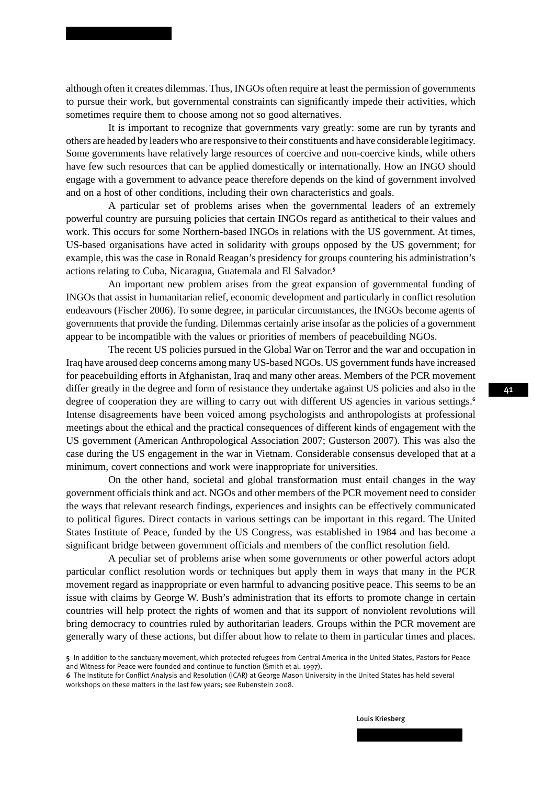although often it creates dilemmas. Thus, INGOs often require at least the permission of governments to pursue their work, but governmental constraints can significantly impede their activities, which sometimes require them to choose among not so good alternatives.

It is important to recognize that governments vary greatly: some are run by tyrants and others are headed by leaders who are responsive to their constituents and have considerable legitimacy. Some governments have relatively large resources of coercive and non-coercive kinds, while others have few such resources that can be applied domestically or internationally. How an INGO should engage with a government to advance peace therefore depends on the kind of government involved and on a host of other conditions, including their own characteristics and goals.

A particular set of problems arises when the governmental leaders of an extremely powerful country are pursuing policies that certain INGOs regard as antithetical to their values and work. This occurs for some Northern-based INGOs in relations with the US government. At times, US-based organisations have acted in solidarity with groups opposed by the US government; for example, this was the case in Ronald Reagan's presidency for groups countering his administration's actions relating to Cuba, Nicaragua, Guatemala and El Salvador.<sup>5</sup>

An important new problem arises from the great expansion of governmental funding of INGOs that assist in humanitarian relief, economic development and particularly in conflict resolution endeavours (Fischer 2006). To some degree, in particular circumstances, the INGOs become agents of governments that provide the funding. Dilemmas certainly arise insofar as the policies of a government appear to be incompatible with the values or priorities of members of peacebuilding NGOs.

The recent US policies pursued in the Global War on Terror and the war and occupation in Iraq have aroused deep concerns among many US-based NGOs. US government funds have increased for peacebuilding efforts in Afghanistan, Iraq and many other areas. Members of the PCR movement differ greatly in the degree and form of resistance they undertake against US policies and also in the degree of cooperation they are willing to carry out with different US agencies in various settings.<sup>6</sup> Intense disagreements have been voiced among psychologists and anthropologists at professional meetings about the ethical and the practical consequences of different kinds of engagement with the US government (American Anthropological Association 2007; Gusterson 2007). This was also the case during the US engagement in the war in Vietnam. Considerable consensus developed that at a minimum, covert connections and work were inappropriate for universities.

On the other hand, societal and global transformation must entail changes in the way government officials think and act. NGOs and other members of the PCR movement need to consider the ways that relevant research findings, experiences and insights can be effectively communicated to political figures. Direct contacts in various settings can be important in this regard. The United States Institute of Peace, funded by the US Congress, was established in 1984 and has become a significant bridge between government officials and members of the conflict resolution field.

A peculiar set of problems arise when some governments or other powerful actors adopt particular conflict resolution words or techniques but apply them in ways that many in the PCR movement regard as inappropriate or even harmful to advancing positive peace. This seems to be an issue with claims by George W. Bush's administration that its efforts to promote change in certain countries will help protect the rights of women and that its support of nonviolent revolutions will bring democracy to countries ruled by authoritarian leaders. Groups within the PCR movement are generally wary of these actions, but differ about how to relate to them in particular times and places.

<sup>5</sup> In addition to the sanctuary movement, which protected refugees from Central America in the United States, Pastors for Peace and Witness for Peace were founded and continue to function (Smith et al. 1997).

<sup>6</sup> The Institute for Conflict Analysis and Resolution (ICAR) at George Mason University in the United States has held several workshops on these matters in the last few years; see Rubenstein 2008.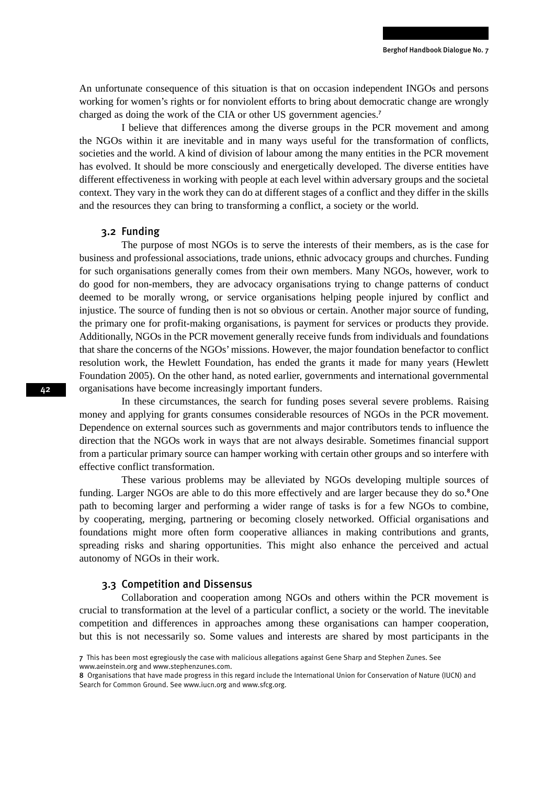An unfortunate consequence of this situation is that on occasion independent INGOs and persons working for women's rights or for nonviolent efforts to bring about democratic change are wrongly charged as doing the work of the CIA or other US government agencies.<sup>7</sup>

I believe that differences among the diverse groups in the PCR movement and among the NGOs within it are inevitable and in many ways useful for the transformation of conflicts, societies and the world. A kind of division of labour among the many entities in the PCR movement has evolved. It should be more consciously and energetically developed. The diverse entities have different effectiveness in working with people at each level within adversary groups and the societal context. They vary in the work they can do at different stages of a conflict and they differ in the skills and the resources they can bring to transforming a conflict, a society or the world.

### 3.2 Funding

The purpose of most NGOs is to serve the interests of their members, as is the case for business and professional associations, trade unions, ethnic advocacy groups and churches. Funding for such organisations generally comes from their own members. Many NGOs, however, work to do good for non-members, they are advocacy organisations trying to change patterns of conduct deemed to be morally wrong, or service organisations helping people injured by conflict and injustice. The source of funding then is not so obvious or certain. Another major source of funding, the primary one for profit-making organisations, is payment for services or products they provide. Additionally, NGOs in the PCR movement generally receive funds from individuals and foundations that share the concerns of the NGOs' missions. However, the major foundation benefactor to conflict resolution work, the Hewlett Foundation, has ended the grants it made for many years (Hewlett Foundation 2005). On the other hand, as noted earlier, governments and international governmental organisations have become increasingly important funders.

In these circumstances, the search for funding poses several severe problems. Raising money and applying for grants consumes considerable resources of NGOs in the PCR movement. Dependence on external sources such as governments and major contributors tends to influence the direction that the NGOs work in ways that are not always desirable. Sometimes financial support from a particular primary source can hamper working with certain other groups and so interfere with effective conflict transformation.

These various problems may be alleviated by NGOs developing multiple sources of funding. Larger NGOs are able to do this more effectively and are larger because they do so.<sup>8</sup>One path to becoming larger and performing a wider range of tasks is for a few NGOs to combine, by cooperating, merging, partnering or becoming closely networked. Official organisations and foundations might more often form cooperative alliances in making contributions and grants, spreading risks and sharing opportunities. This might also enhance the perceived and actual autonomy of NGOs in their work.

### 3.3 Competition and Dissensus

Collaboration and cooperation among NGOs and others within the PCR movement is crucial to transformation at the level of a particular conflict, a society or the world. The inevitable competition and differences in approaches among these organisations can hamper cooperation, but this is not necessarily so. Some values and interests are shared by most participants in the

<sup>7</sup> This has been most egregiously the case with malicious allegations against Gene Sharp and Stephen Zunes. See www.aeinstein.org and www.stephenzunes.com.

<sup>8</sup> Organisations that have made progress in this regard include the International Union for Conservation of Nature (IUCN) and Search for Common Ground. See www.iucn.org and www.sfcg.org.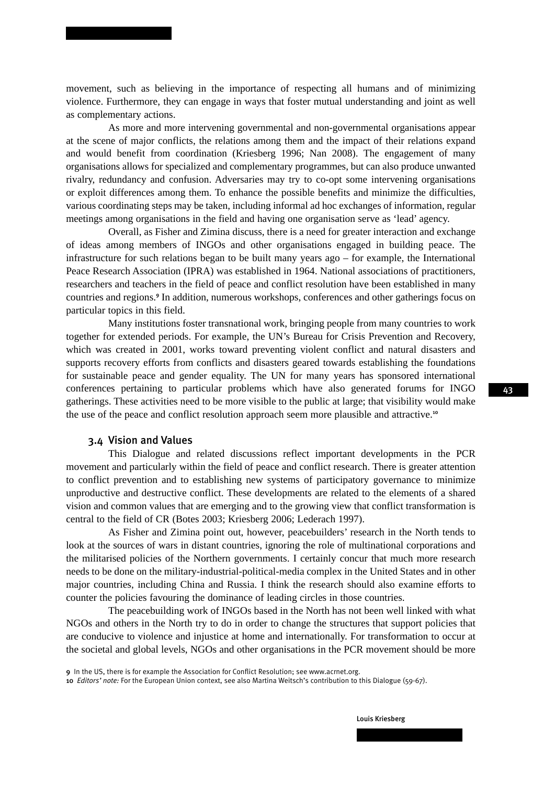movement, such as believing in the importance of respecting all humans and of minimizing violence. Furthermore, they can engage in ways that foster mutual understanding and joint as well as complementary actions.

As more and more intervening governmental and non-governmental organisations appear at the scene of major conflicts, the relations among them and the impact of their relations expand and would benefit from coordination (Kriesberg 1996; Nan 2008). The engagement of many organisations allows for specialized and complementary programmes, but can also produce unwanted rivalry, redundancy and confusion. Adversaries may try to co-opt some intervening organisations or exploit differences among them. To enhance the possible benefits and minimize the difficulties, various coordinating steps may be taken, including informal ad hoc exchanges of information, regular meetings among organisations in the field and having one organisation serve as 'lead' agency.

Overall, as Fisher and Zimina discuss, there is a need for greater interaction and exchange of ideas among members of INGOs and other organisations engaged in building peace. The infrastructure for such relations began to be built many years ago – for example, the International Peace Research Association (IPRA) was established in 1964. National associations of practitioners, researchers and teachers in the field of peace and conflict resolution have been established in many countries and regions.<sup>9</sup> In addition, numerous workshops, conferences and other gatherings focus on particular topics in this field.

Many institutions foster transnational work, bringing people from many countries to work together for extended periods. For example, the UN's Bureau for Crisis Prevention and Recovery, which was created in 2001, works toward preventing violent conflict and natural disasters and supports recovery efforts from conflicts and disasters geared towards establishing the foundations for sustainable peace and gender equality. The UN for many years has sponsored international conferences pertaining to particular problems which have also generated forums for INGO gatherings. These activities need to be more visible to the public at large; that visibility would make the use of the peace and conflict resolution approach seem more plausible and attractive.<sup>10</sup>

### 3.4 Vision and Values

This Dialogue and related discussions reflect important developments in the PCR movement and particularly within the field of peace and conflict research. There is greater attention to conflict prevention and to establishing new systems of participatory governance to minimize unproductive and destructive conflict. These developments are related to the elements of a shared vision and common values that are emerging and to the growing view that conflict transformation is central to the field of CR (Botes 2003; Kriesberg 2006; Lederach 1997).

As Fisher and Zimina point out, however, peacebuilders' research in the North tends to look at the sources of wars in distant countries, ignoring the role of multinational corporations and the militarised policies of the Northern governments. I certainly concur that much more research needs to be done on the military-industrial-political-media complex in the United States and in other major countries, including China and Russia. I think the research should also examine efforts to counter the policies favouring the dominance of leading circles in those countries.

The peacebuilding work of INGOs based in the North has not been well linked with what NGOs and others in the North try to do in order to change the structures that support policies that are conducive to violence and injustice at home and internationally. For transformation to occur at the societal and global levels, NGOs and other organisations in the PCR movement should be more

9 In the US, there is for example the Association for Conflict Resolution; see www.acrnet.org.

10 *Editors' note:* For the European Union context, see also Martina Weitsch's contribution to this Dialogue (59-67).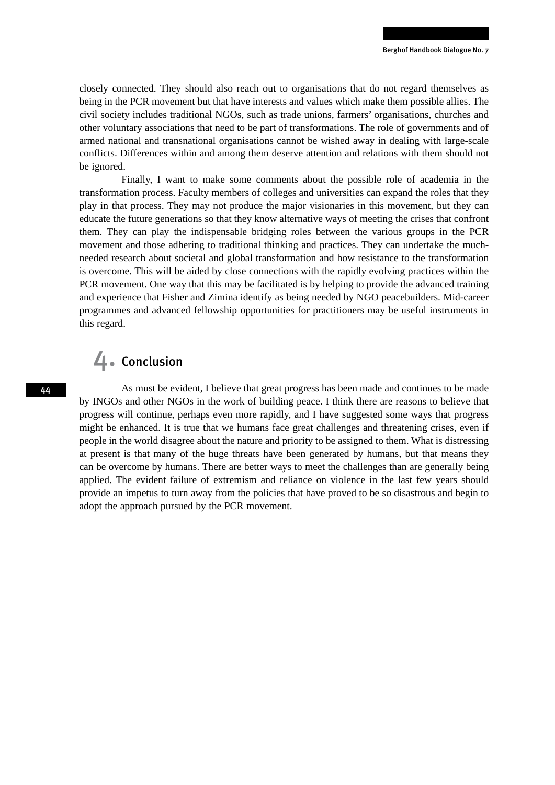closely connected. They should also reach out to organisations that do not regard themselves as being in the PCR movement but that have interests and values which make them possible allies. The civil society includes traditional NGOs, such as trade unions, farmers' organisations, churches and other voluntary associations that need to be part of transformations. The role of governments and of armed national and transnational organisations cannot be wished away in dealing with large-scale conflicts. Differences within and among them deserve attention and relations with them should not be ignored.

Finally, I want to make some comments about the possible role of academia in the transformation process. Faculty members of colleges and universities can expand the roles that they play in that process. They may not produce the major visionaries in this movement, but they can educate the future generations so that they know alternative ways of meeting the crises that confront them. They can play the indispensable bridging roles between the various groups in the PCR movement and those adhering to traditional thinking and practices. They can undertake the muchneeded research about societal and global transformation and how resistance to the transformation is overcome. This will be aided by close connections with the rapidly evolving practices within the PCR movement. One way that this may be facilitated is by helping to provide the advanced training and experience that Fisher and Zimina identify as being needed by NGO peacebuilders. Mid-career programmes and advanced fellowship opportunities for practitioners may be useful instruments in this regard.

## 4. Conclusion

As must be evident, I believe that great progress has been made and continues to be made by INGOs and other NGOs in the work of building peace. I think there are reasons to believe that progress will continue, perhaps even more rapidly, and I have suggested some ways that progress might be enhanced. It is true that we humans face great challenges and threatening crises, even if people in the world disagree about the nature and priority to be assigned to them. What is distressing at present is that many of the huge threats have been generated by humans, but that means they can be overcome by humans. There are better ways to meet the challenges than are generally being applied. The evident failure of extremism and reliance on violence in the last few years should provide an impetus to turn away from the policies that have proved to be so disastrous and begin to adopt the approach pursued by the PCR movement.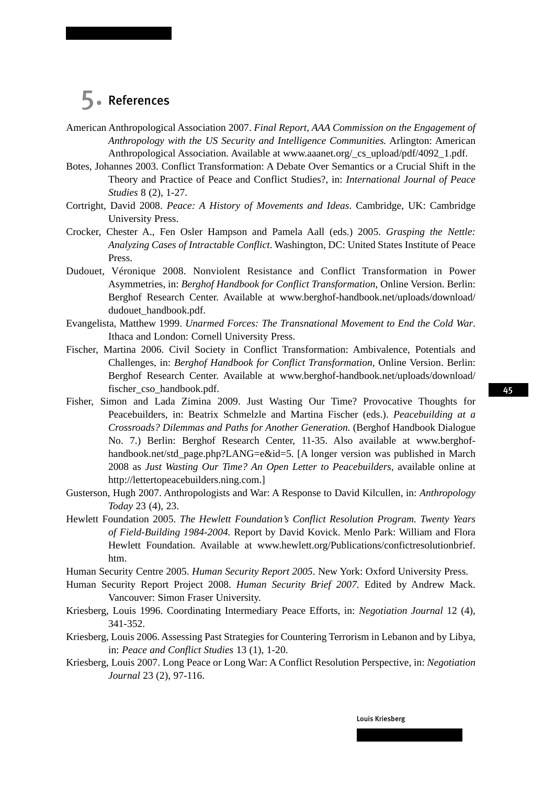## 5. References

- American Anthropological Association 2007. *Final Report, AAA Commission on the Engagement of Anthropology with the US Security and Intelligence Communities.* Arlington: American Anthropological Association. Available at www.aaanet.org/\_cs\_upload/pdf/4092\_1.pdf.
- Botes, Johannes 2003. Conflict Transformation: A Debate Over Semantics or a Crucial Shift in the Theory and Practice of Peace and Conflict Studies?, in: *International Journal of Peace Studies* 8 (2), 1-27.
- Cortright, David 2008. *Peace: A History of Movements and Ideas*. Cambridge, UK: Cambridge University Press.
- Crocker, Chester A., Fen Osler Hampson and Pamela Aall (eds.) 2005. *Grasping the Nettle: Analyzing Cases of Intractable Conflict*. Washington, DC: United States Institute of Peace Press.
- Dudouet, Véronique 2008. Nonviolent Resistance and Conflict Transformation in Power Asymmetries, in: *Berghof Handbook for Conflict Transformation*, Online Version. Berlin: Berghof Research Center. Available at www.berghof-handbook.net/uploads/download/ dudouet\_handbook.pdf.
- Evangelista, Matthew 1999. *Unarmed Forces: The Transnational Movement to End the Cold War*. Ithaca and London: Cornell University Press.
- Fischer, Martina 2006. Civil Society in Conflict Transformation: Ambivalence, Potentials and Challenges, in: *Berghof Handbook for Conflict Transformation,* Online Version. Berlin: Berghof Research Center. Available at www.berghof-handbook.net/uploads/download/ fischer\_cso\_handbook.pdf.
- Fisher, Simon and Lada Zimina 2009. Just Wasting Our Time? Provocative Thoughts for Peacebuilders, in: Beatrix Schmelzle and Martina Fischer (eds.). *Peacebuilding at a Crossroads? Dilemmas and Paths for Another Generation.* (Berghof Handbook Dialogue No. 7.) Berlin: Berghof Research Center, 11-35. Also available at www.berghofhandbook.net/std\_page.php?LANG=e&id=5. [A longer version was published in March 2008 as *Just Wasting Our Time? An Open Letter to Peacebuilders*, available online at http://lettertopeacebuilders.ning.com.]
- Gusterson, Hugh 2007. Anthropologists and War: A Response to David Kilcullen, in: *Anthropology Today* 23 (4), 23.
- Hewlett Foundation 2005. *The Hewlett Foundation's Conflict Resolution Program. Twenty Years of Field-Building 1984-2004.* Report by David Kovick. Menlo Park: William and Flora Hewlett Foundation. Available at www.hewlett.org/Publications/confictresolutionbrief. htm.
- Human Security Centre 2005. *Human Security Report 2005*. New York: Oxford University Press.
- Human Security Report Project 2008. *Human Security Brief 2007.* Edited by Andrew Mack. Vancouver: Simon Fraser University.
- Kriesberg, Louis 1996. Coordinating Intermediary Peace Efforts, in: *Negotiation Journal* 12 (4), 341-352.
- Kriesberg, Louis 2006. Assessing Past Strategies for Countering Terrorism in Lebanon and by Libya, in: *Peace and Conflict Studies* 13 (1), 1-20.
- Kriesberg, Louis 2007. Long Peace or Long War: A Conflict Resolution Perspective, in: *Negotiation Journal* 23 (2), 97-116.

45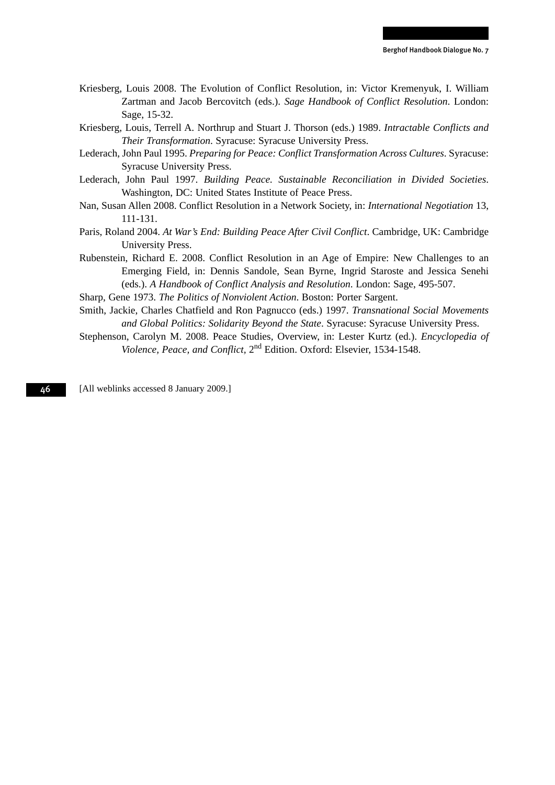- Kriesberg, Louis 2008. The Evolution of Conflict Resolution, in: Victor Kremenyuk, I. William Zartman and Jacob Bercovitch (eds.). *Sage Handbook of Conflict Resolution*. London: Sage, 15-32.
- Kriesberg, Louis, Terrell A. Northrup and Stuart J. Thorson (eds.) 1989. *Intractable Conflicts and Their Transformation*. Syracuse: Syracuse University Press.
- Lederach, John Paul 1995. *Preparing for Peace: Conflict Transformation Across Cultures*. Syracuse: Syracuse University Press.
- Lederach, John Paul 1997. *Building Peace. Sustainable Reconciliation in Divided Societies*. Washington, DC: United States Institute of Peace Press.
- Nan, Susan Allen 2008. Conflict Resolution in a Network Society, in: *International Negotiation* 13, 111-131.
- Paris, Roland 2004. *At War's End: Building Peace After Civil Conflict*. Cambridge, UK: Cambridge University Press.
- Rubenstein, Richard E. 2008. Conflict Resolution in an Age of Empire: New Challenges to an Emerging Field, in: Dennis Sandole, Sean Byrne, Ingrid Staroste and Jessica Senehi (eds.). *A Handbook of Conflict Analysis and Resolution*. London: Sage, 495-507.
- Sharp, Gene 1973. *The Politics of Nonviolent Action*. Boston: Porter Sargent.
- Smith, Jackie, Charles Chatfield and Ron Pagnucco (eds.) 1997. *Transnational Social Movements and Global Politics: Solidarity Beyond the State*. Syracuse: Syracuse University Press.
- Stephenson, Carolyn M. 2008. Peace Studies, Overview, in: Lester Kurtz (ed.). *Encyclopedia of Violence, Peace, and Conflict,* 2nd Edition. Oxford: Elsevier, 1534-1548.

[All weblinks accessed 8 January 2009.]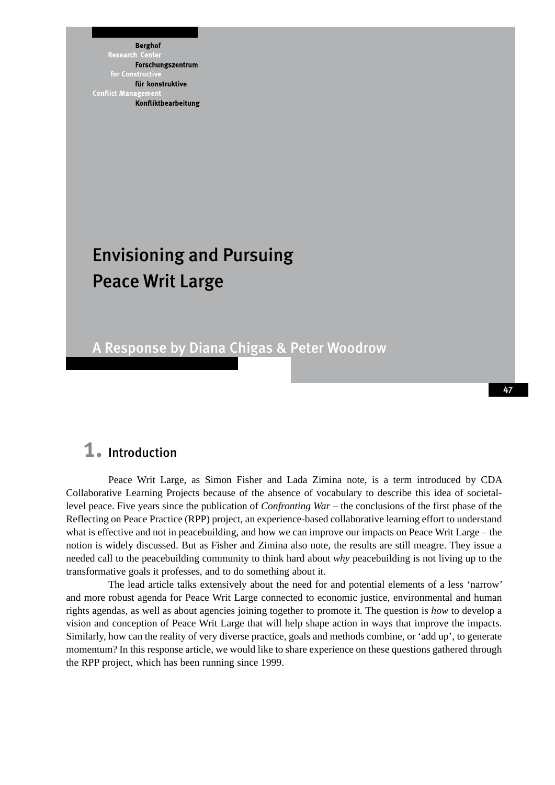**Berghof** Research Forschungszentrum für konstruktive **Conflict Mana** Konfliktbearbeitung

# Envisioning and Pursuing Peace Writ Large

## A Response by Diana Chigas & Peter Woodrow

## 1. Introduction

Peace Writ Large, as Simon Fisher and Lada Zimina note, is a term introduced by CDA Collaborative Learning Projects because of the absence of vocabulary to describe this idea of societallevel peace. Five years since the publication of *Confronting War* – the conclusions of the first phase of the Reflecting on Peace Practice (RPP) project, an experience-based collaborative learning effort to understand what is effective and not in peacebuilding, and how we can improve our impacts on Peace Writ Large – the notion is widely discussed. But as Fisher and Zimina also note, the results are still meagre. They issue a needed call to the peacebuilding community to think hard about *why* peacebuilding is not living up to the transformative goals it professes, and to do something about it.

The lead article talks extensively about the need for and potential elements of a less 'narrow' and more robust agenda for Peace Writ Large connected to economic justice, environmental and human rights agendas, as well as about agencies joining together to promote it. The question is *how* to develop a vision and conception of Peace Writ Large that will help shape action in ways that improve the impacts. Similarly, how can the reality of very diverse practice, goals and methods combine, or 'add up', to generate momentum? In this response article, we would like to share experience on these questions gathered through the RPP project, which has been running since 1999.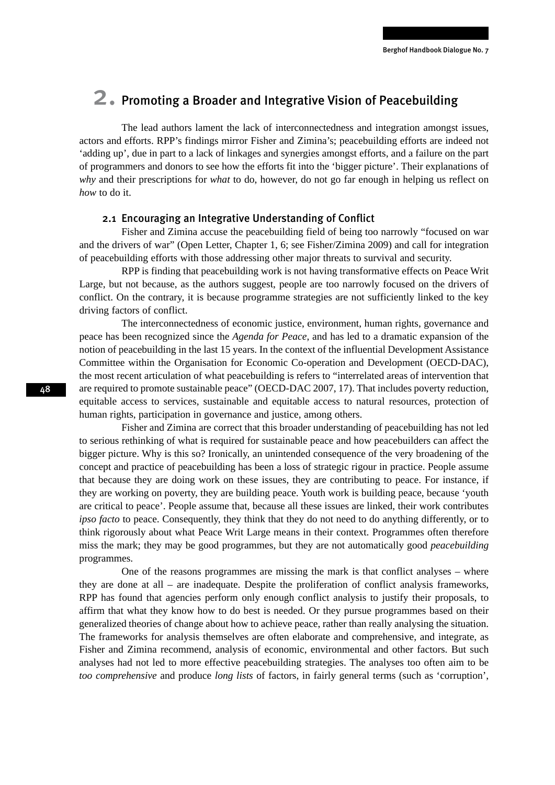## 2. Promoting a Broader and Integrative Vision of Peacebuilding

The lead authors lament the lack of interconnectedness and integration amongst issues, actors and efforts. RPP's findings mirror Fisher and Zimina's; peacebuilding efforts are indeed not 'adding up', due in part to a lack of linkages and synergies amongst efforts, and a failure on the part of programmers and donors to see how the efforts fit into the 'bigger picture'. Their explanations of *why* and their prescriptions for *what* to do, however, do not go far enough in helping us reflect on *how* to do it.

### 2.1 Encouraging an Integrative Understanding of Conflict

Fisher and Zimina accuse the peacebuilding field of being too narrowly "focused on war and the drivers of war" (Open Letter, Chapter 1, 6; see Fisher/Zimina 2009) and call for integration of peacebuilding efforts with those addressing other major threats to survival and security.

RPP is finding that peacebuilding work is not having transformative effects on Peace Writ Large, but not because, as the authors suggest, people are too narrowly focused on the drivers of conflict. On the contrary, it is because programme strategies are not sufficiently linked to the key driving factors of conflict.

The interconnectedness of economic justice, environment, human rights, governance and peace has been recognized since the *Agenda for Peace*, and has led to a dramatic expansion of the notion of peacebuilding in the last 15 years. In the context of the influential Development Assistance Committee within the Organisation for Economic Co-operation and Development (OECD-DAC), the most recent articulation of what peacebuilding is refers to "interrelated areas of intervention that are required to promote sustainable peace" (OECD-DAC 2007, 17). That includes poverty reduction, equitable access to services, sustainable and equitable access to natural resources, protection of human rights, participation in governance and justice, among others.

Fisher and Zimina are correct that this broader understanding of peacebuilding has not led to serious rethinking of what is required for sustainable peace and how peacebuilders can affect the bigger picture. Why is this so? Ironically, an unintended consequence of the very broadening of the concept and practice of peacebuilding has been a loss of strategic rigour in practice. People assume that because they are doing work on these issues, they are contributing to peace. For instance, if they are working on poverty, they are building peace. Youth work is building peace, because 'youth are critical to peace'. People assume that, because all these issues are linked, their work contributes *ipso facto* to peace. Consequently, they think that they do not need to do anything differently, or to think rigorously about what Peace Writ Large means in their context. Programmes often therefore miss the mark; they may be good programmes, but they are not automatically good *peacebuilding* programmes.

One of the reasons programmes are missing the mark is that conflict analyses – where they are done at all – are inadequate. Despite the proliferation of conflict analysis frameworks, RPP has found that agencies perform only enough conflict analysis to justify their proposals, to affirm that what they know how to do best is needed. Or they pursue programmes based on their generalized theories of change about how to achieve peace, rather than really analysing the situation. The frameworks for analysis themselves are often elaborate and comprehensive, and integrate, as Fisher and Zimina recommend, analysis of economic, environmental and other factors. But such analyses had not led to more effective peacebuilding strategies. The analyses too often aim to be *too comprehensive* and produce *long lists* of factors, in fairly general terms (such as 'corruption',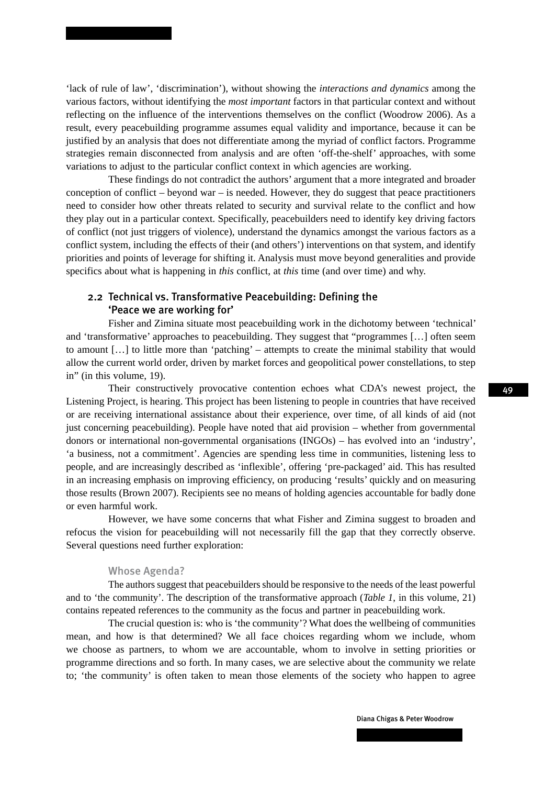'lack of rule of law', 'discrimination'), without showing the *interactions and dynamics* among the various factors, without identifying the *most important* factors in that particular context and without reflecting on the influence of the interventions themselves on the conflict (Woodrow 2006). As a result, every peacebuilding programme assumes equal validity and importance, because it can be justified by an analysis that does not differentiate among the myriad of conflict factors. Programme strategies remain disconnected from analysis and are often 'off-the-shelf' approaches, with some variations to adjust to the particular conflict context in which agencies are working.

These findings do not contradict the authors' argument that a more integrated and broader conception of conflict – beyond war – is needed. However, they do suggest that peace practitioners need to consider how other threats related to security and survival relate to the conflict and how they play out in a particular context. Specifically, peacebuilders need to identify key driving factors of conflict (not just triggers of violence), understand the dynamics amongst the various factors as a conflict system, including the effects of their (and others') interventions on that system, and identify priorities and points of leverage for shifting it. Analysis must move beyond generalities and provide specifics about what is happening in *this* conflict, at *this* time (and over time) and why.

## 2.2 Technical vs. Transformative Peacebuilding: Defining the 'Peace we are working for'

Fisher and Zimina situate most peacebuilding work in the dichotomy between 'technical' and 'transformative' approaches to peacebuilding. They suggest that "programmes […] often seem to amount […] to little more than 'patching' – attempts to create the minimal stability that would allow the current world order, driven by market forces and geopolitical power constellations, to step in" (in this volume, 19).

Their constructively provocative contention echoes what CDA's newest project, the Listening Project, is hearing. This project has been listening to people in countries that have received or are receiving international assistance about their experience, over time, of all kinds of aid (not just concerning peacebuilding). People have noted that aid provision – whether from governmental donors or international non-governmental organisations (INGOs) – has evolved into an 'industry', 'a business, not a commitment'. Agencies are spending less time in communities, listening less to people, and are increasingly described as 'inflexible', offering 'pre-packaged' aid. This has resulted in an increasing emphasis on improving efficiency, on producing 'results' quickly and on measuring those results (Brown 2007). Recipients see no means of holding agencies accountable for badly done or even harmful work.

However, we have some concerns that what Fisher and Zimina suggest to broaden and refocus the vision for peacebuilding will not necessarily fill the gap that they correctly observe. Several questions need further exploration:

### Whose Agenda?

The authors suggest that peacebuilders should be responsive to the needs of the least powerful and to 'the community'. The description of the transformative approach (*Table 1*, in this volume, 21) contains repeated references to the community as the focus and partner in peacebuilding work.

The crucial question is: who is 'the community'? What does the wellbeing of communities mean, and how is that determined? We all face choices regarding whom we include, whom we choose as partners, to whom we are accountable, whom to involve in setting priorities or programme directions and so forth. In many cases, we are selective about the community we relate to; 'the community' is often taken to mean those elements of the society who happen to agree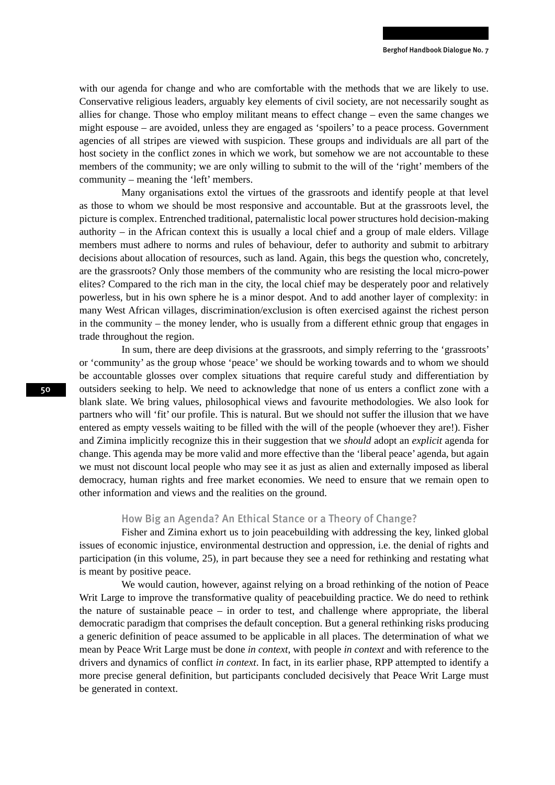with our agenda for change and who are comfortable with the methods that we are likely to use. Conservative religious leaders, arguably key elements of civil society, are not necessarily sought as allies for change. Those who employ militant means to effect change – even the same changes we might espouse – are avoided, unless they are engaged as 'spoilers' to a peace process. Government agencies of all stripes are viewed with suspicion. These groups and individuals are all part of the host society in the conflict zones in which we work, but somehow we are not accountable to these members of the community; we are only willing to submit to the will of the 'right' members of the community – meaning the 'left' members.

Many organisations extol the virtues of the grassroots and identify people at that level as those to whom we should be most responsive and accountable. But at the grassroots level, the picture is complex. Entrenched traditional, paternalistic local power structures hold decision-making authority – in the African context this is usually a local chief and a group of male elders. Village members must adhere to norms and rules of behaviour, defer to authority and submit to arbitrary decisions about allocation of resources, such as land. Again, this begs the question who, concretely, are the grassroots? Only those members of the community who are resisting the local micro-power elites? Compared to the rich man in the city, the local chief may be desperately poor and relatively powerless, but in his own sphere he is a minor despot. And to add another layer of complexity: in many West African villages, discrimination/exclusion is often exercised against the richest person in the community – the money lender, who is usually from a different ethnic group that engages in trade throughout the region.

In sum, there are deep divisions at the grassroots, and simply referring to the 'grassroots' or 'community' as the group whose 'peace' we should be working towards and to whom we should be accountable glosses over complex situations that require careful study and differentiation by outsiders seeking to help. We need to acknowledge that none of us enters a conflict zone with a blank slate. We bring values, philosophical views and favourite methodologies. We also look for partners who will 'fit' our profile. This is natural. But we should not suffer the illusion that we have entered as empty vessels waiting to be filled with the will of the people (whoever they are!). Fisher and Zimina implicitly recognize this in their suggestion that we *should* adopt an *explicit* agenda for change. This agenda may be more valid and more effective than the 'liberal peace' agenda, but again we must not discount local people who may see it as just as alien and externally imposed as liberal democracy, human rights and free market economies. We need to ensure that we remain open to other information and views and the realities on the ground.

### How Big an Agenda? An Ethical Stance or a Theory of Change?

Fisher and Zimina exhort us to join peacebuilding with addressing the key, linked global issues of economic injustice, environmental destruction and oppression, i.e. the denial of rights and participation (in this volume, 25), in part because they see a need for rethinking and restating what is meant by positive peace.

We would caution, however, against relying on a broad rethinking of the notion of Peace Writ Large to improve the transformative quality of peacebuilding practice. We do need to rethink the nature of sustainable peace – in order to test, and challenge where appropriate, the liberal democratic paradigm that comprises the default conception. But a general rethinking risks producing a generic definition of peace assumed to be applicable in all places. The determination of what we mean by Peace Writ Large must be done *in context*, with people *in context* and with reference to the drivers and dynamics of conflict *in context*. In fact, in its earlier phase, RPP attempted to identify a more precise general definition, but participants concluded decisively that Peace Writ Large must be generated in context.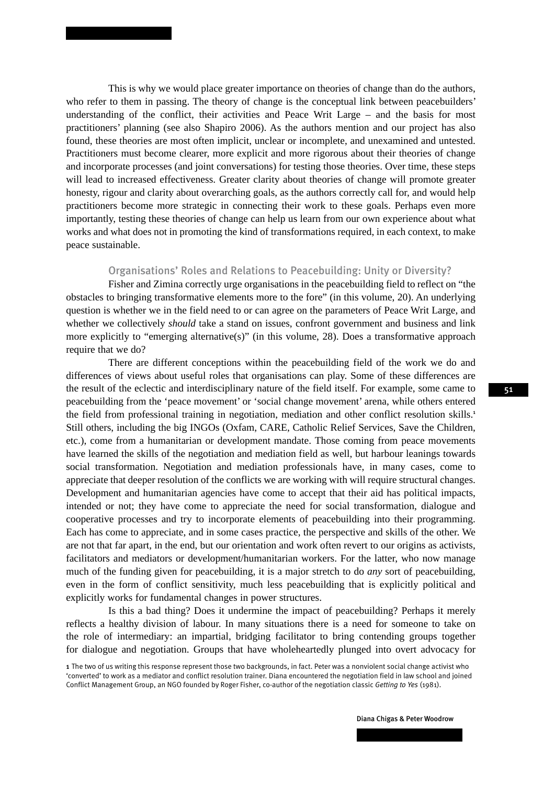This is why we would place greater importance on theories of change than do the authors, who refer to them in passing. The theory of change is the conceptual link between peacebuilders' understanding of the conflict, their activities and Peace Writ Large – and the basis for most practitioners' planning (see also Shapiro 2006). As the authors mention and our project has also found, these theories are most often implicit, unclear or incomplete, and unexamined and untested. Practitioners must become clearer, more explicit and more rigorous about their theories of change and incorporate processes (and joint conversations) for testing those theories. Over time, these steps will lead to increased effectiveness. Greater clarity about theories of change will promote greater honesty, rigour and clarity about overarching goals, as the authors correctly call for, and would help practitioners become more strategic in connecting their work to these goals. Perhaps even more importantly, testing these theories of change can help us learn from our own experience about what works and what does not in promoting the kind of transformations required, in each context, to make peace sustainable.

### Organisations' Roles and Relations to Peacebuilding: Unity or Diversity?

Fisher and Zimina correctly urge organisations in the peacebuilding field to reflect on "the obstacles to bringing transformative elements more to the fore" (in this volume, 20). An underlying question is whether we in the field need to or can agree on the parameters of Peace Writ Large, and whether we collectively *should* take a stand on issues, confront government and business and link more explicitly to "emerging alternative(s)" (in this volume, 28). Does a transformative approach require that we do?

There are different conceptions within the peacebuilding field of the work we do and differences of views about useful roles that organisations can play. Some of these differences are the result of the eclectic and interdisciplinary nature of the field itself. For example, some came to peacebuilding from the 'peace movement' or 'social change movement' arena, while others entered the field from professional training in negotiation, mediation and other conflict resolution skills.<sup>1</sup> Still others, including the big INGOs (Oxfam, CARE, Catholic Relief Services, Save the Children, etc.), come from a humanitarian or development mandate. Those coming from peace movements have learned the skills of the negotiation and mediation field as well, but harbour leanings towards social transformation. Negotiation and mediation professionals have, in many cases, come to appreciate that deeper resolution of the conflicts we are working with will require structural changes. Development and humanitarian agencies have come to accept that their aid has political impacts, intended or not; they have come to appreciate the need for social transformation, dialogue and cooperative processes and try to incorporate elements of peacebuilding into their programming. Each has come to appreciate, and in some cases practice, the perspective and skills of the other. We are not that far apart, in the end, but our orientation and work often revert to our origins as activists, facilitators and mediators or development/humanitarian workers. For the latter, who now manage much of the funding given for peacebuilding, it is a major stretch to do *any* sort of peacebuilding, even in the form of conflict sensitivity, much less peacebuilding that is explicitly political and explicitly works for fundamental changes in power structures.

Is this a bad thing? Does it undermine the impact of peacebuilding? Perhaps it merely reflects a healthy division of labour. In many situations there is a need for someone to take on the role of intermediary: an impartial, bridging facilitator to bring contending groups together for dialogue and negotiation. Groups that have wholeheartedly plunged into overt advocacy for

<sup>1</sup> The two of us writing this response represent those two backgrounds, in fact. Peter was a nonviolent social change activist who 'converted' to work as a mediator and conflict resolution trainer. Diana encountered the negotiation field in law school and joined Conflict Management Group, an NGO founded by Roger Fisher, co-author of the negotiation classic *Getting to Yes* (1981).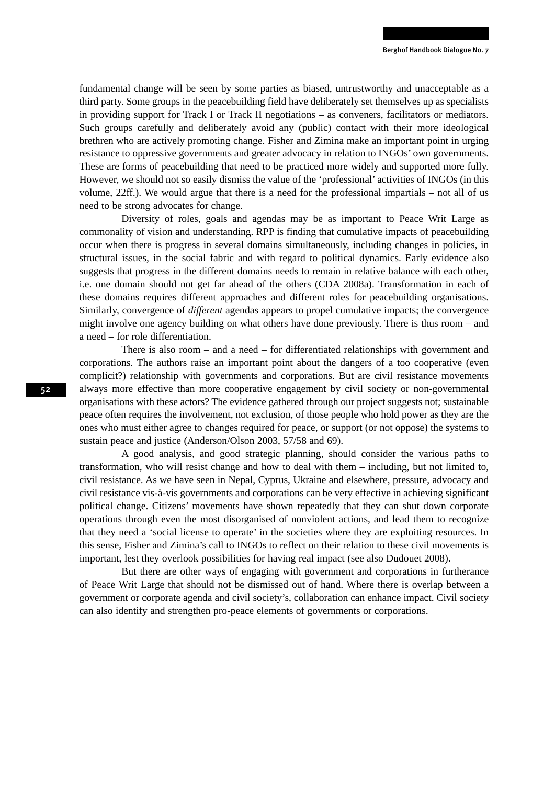fundamental change will be seen by some parties as biased, untrustworthy and unacceptable as a third party. Some groups in the peacebuilding field have deliberately set themselves up as specialists in providing support for Track I or Track II negotiations – as conveners, facilitators or mediators. Such groups carefully and deliberately avoid any (public) contact with their more ideological brethren who are actively promoting change. Fisher and Zimina make an important point in urging resistance to oppressive governments and greater advocacy in relation to INGOs' own governments. These are forms of peacebuilding that need to be practiced more widely and supported more fully. However, we should not so easily dismiss the value of the 'professional' activities of INGOs (in this volume, 22ff.). We would argue that there is a need for the professional impartials – not all of us need to be strong advocates for change.

Diversity of roles, goals and agendas may be as important to Peace Writ Large as commonality of vision and understanding. RPP is finding that cumulative impacts of peacebuilding occur when there is progress in several domains simultaneously, including changes in policies, in structural issues, in the social fabric and with regard to political dynamics. Early evidence also suggests that progress in the different domains needs to remain in relative balance with each other, i.e. one domain should not get far ahead of the others (CDA 2008a). Transformation in each of these domains requires different approaches and different roles for peacebuilding organisations. Similarly, convergence of *different* agendas appears to propel cumulative impacts; the convergence might involve one agency building on what others have done previously. There is thus room – and a need – for role differentiation.

There is also room – and a need – for differentiated relationships with government and corporations. The authors raise an important point about the dangers of a too cooperative (even complicit?) relationship with governments and corporations. But are civil resistance movements always more effective than more cooperative engagement by civil society or non-governmental organisations with these actors? The evidence gathered through our project suggests not; sustainable peace often requires the involvement, not exclusion, of those people who hold power as they are the ones who must either agree to changes required for peace, or support (or not oppose) the systems to sustain peace and justice (Anderson/Olson 2003, 57/58 and 69).

A good analysis, and good strategic planning, should consider the various paths to transformation, who will resist change and how to deal with them – including, but not limited to, civil resistance. As we have seen in Nepal, Cyprus, Ukraine and elsewhere, pressure, advocacy and civil resistance vis-à-vis governments and corporations can be very effective in achieving significant political change. Citizens' movements have shown repeatedly that they can shut down corporate operations through even the most disorganised of nonviolent actions, and lead them to recognize that they need a 'social license to operate' in the societies where they are exploiting resources. In this sense, Fisher and Zimina's call to INGOs to reflect on their relation to these civil movements is important, lest they overlook possibilities for having real impact (see also Dudouet 2008).

But there are other ways of engaging with government and corporations in furtherance of Peace Writ Large that should not be dismissed out of hand. Where there is overlap between a government or corporate agenda and civil society's, collaboration can enhance impact. Civil society can also identify and strengthen pro-peace elements of governments or corporations.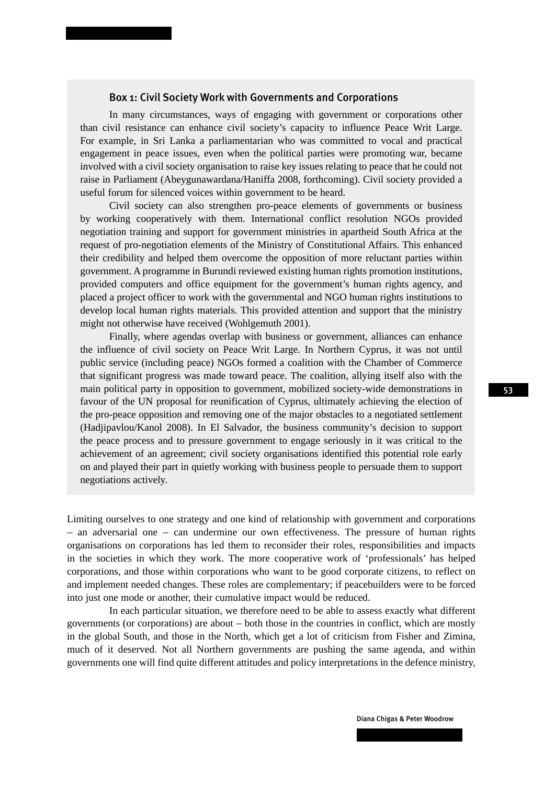### Box 1: Civil Society Work with Governments and Corporations

In many circumstances, ways of engaging with government or corporations other than civil resistance can enhance civil society's capacity to influence Peace Writ Large. For example, in Sri Lanka a parliamentarian who was committed to vocal and practical engagement in peace issues, even when the political parties were promoting war, became involved with a civil society organisation to raise key issues relating to peace that he could not raise in Parliament (Abeygunawardana/Haniffa 2008, forthcoming). Civil society provided a useful forum for silenced voices within government to be heard.

Civil society can also strengthen pro-peace elements of governments or business by working cooperatively with them. International conflict resolution NGOs provided negotiation training and support for government ministries in apartheid South Africa at the request of pro-negotiation elements of the Ministry of Constitutional Affairs. This enhanced their credibility and helped them overcome the opposition of more reluctant parties within government. A programme in Burundi reviewed existing human rights promotion institutions, provided computers and office equipment for the government's human rights agency, and placed a project officer to work with the governmental and NGO human rights institutions to develop local human rights materials. This provided attention and support that the ministry might not otherwise have received (Wohlgemuth 2001).

Finally, where agendas overlap with business or government, alliances can enhance the influence of civil society on Peace Writ Large. In Northern Cyprus, it was not until public service (including peace) NGOs formed a coalition with the Chamber of Commerce that significant progress was made toward peace. The coalition, allying itself also with the main political party in opposition to government, mobilized society-wide demonstrations in favour of the UN proposal for reunification of Cyprus, ultimately achieving the election of the pro-peace opposition and removing one of the major obstacles to a negotiated settlement (Hadjipavlou/Kanol 2008). In El Salvador, the business community's decision to support the peace process and to pressure government to engage seriously in it was critical to the achievement of an agreement; civil society organisations identified this potential role early on and played their part in quietly working with business people to persuade them to support negotiations actively.

Limiting ourselves to one strategy and one kind of relationship with government and corporations – an adversarial one – can undermine our own effectiveness. The pressure of human rights organisations on corporations has led them to reconsider their roles, responsibilities and impacts in the societies in which they work. The more cooperative work of 'professionals' has helped corporations, and those within corporations who want to be good corporate citizens, to reflect on and implement needed changes. These roles are complementary; if peacebuilders were to be forced into just one mode or another, their cumulative impact would be reduced.

In each particular situation, we therefore need to be able to assess exactly what different governments (or corporations) are about – both those in the countries in conflict, which are mostly in the global South, and those in the North, which get a lot of criticism from Fisher and Zimina, much of it deserved. Not all Northern governments are pushing the same agenda, and within governments one will find quite different attitudes and policy interpretations in the defence ministry,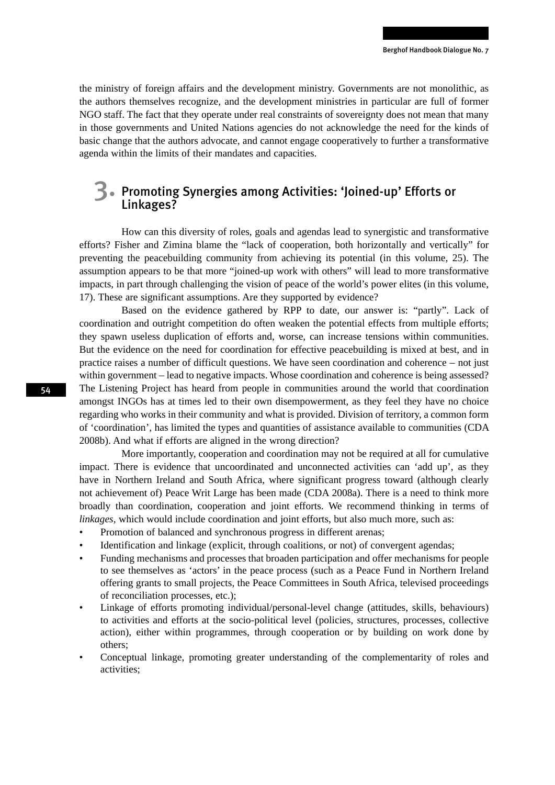the ministry of foreign affairs and the development ministry. Governments are not monolithic, as the authors themselves recognize, and the development ministries in particular are full of former NGO staff. The fact that they operate under real constraints of sovereignty does not mean that many in those governments and United Nations agencies do not acknowledge the need for the kinds of basic change that the authors advocate, and cannot engage cooperatively to further a transformative agenda within the limits of their mandates and capacities.

## 3. Promoting Synergies among Activities: 'Joined-up' Efforts or Linkages?

How can this diversity of roles, goals and agendas lead to synergistic and transformative efforts? Fisher and Zimina blame the "lack of cooperation, both horizontally and vertically" for preventing the peacebuilding community from achieving its potential (in this volume, 25). The assumption appears to be that more "joined-up work with others" will lead to more transformative impacts, in part through challenging the vision of peace of the world's power elites (in this volume, 17). These are significant assumptions. Are they supported by evidence?

Based on the evidence gathered by RPP to date, our answer is: "partly". Lack of coordination and outright competition do often weaken the potential effects from multiple efforts; they spawn useless duplication of efforts and, worse, can increase tensions within communities. But the evidence on the need for coordination for effective peacebuilding is mixed at best, and in practice raises a number of difficult questions. We have seen coordination and coherence – not just within government – lead to negative impacts. Whose coordination and coherence is being assessed? The Listening Project has heard from people in communities around the world that coordination amongst INGOs has at times led to their own disempowerment, as they feel they have no choice regarding who works in their community and what is provided. Division of territory, a common form of 'coordination', has limited the types and quantities of assistance available to communities (CDA 2008b). And what if efforts are aligned in the wrong direction?

More importantly, cooperation and coordination may not be required at all for cumulative impact. There is evidence that uncoordinated and unconnected activities can 'add up', as they have in Northern Ireland and South Africa, where significant progress toward (although clearly not achievement of) Peace Writ Large has been made (CDA 2008a). There is a need to think more broadly than coordination, cooperation and joint efforts. We recommend thinking in terms of *linkages*, which would include coordination and joint efforts, but also much more, such as:

- Promotion of balanced and synchronous progress in different arenas;
- Identification and linkage (explicit, through coalitions, or not) of convergent agendas;
- Funding mechanisms and processes that broaden participation and offer mechanisms for people to see themselves as 'actors' in the peace process (such as a Peace Fund in Northern Ireland offering grants to small projects, the Peace Committees in South Africa, televised proceedings of reconciliation processes, etc.);
- Linkage of efforts promoting individual/personal-level change (attitudes, skills, behaviours) to activities and efforts at the socio-political level (policies, structures, processes, collective action), either within programmes, through cooperation or by building on work done by others;
- Conceptual linkage, promoting greater understanding of the complementarity of roles and activities;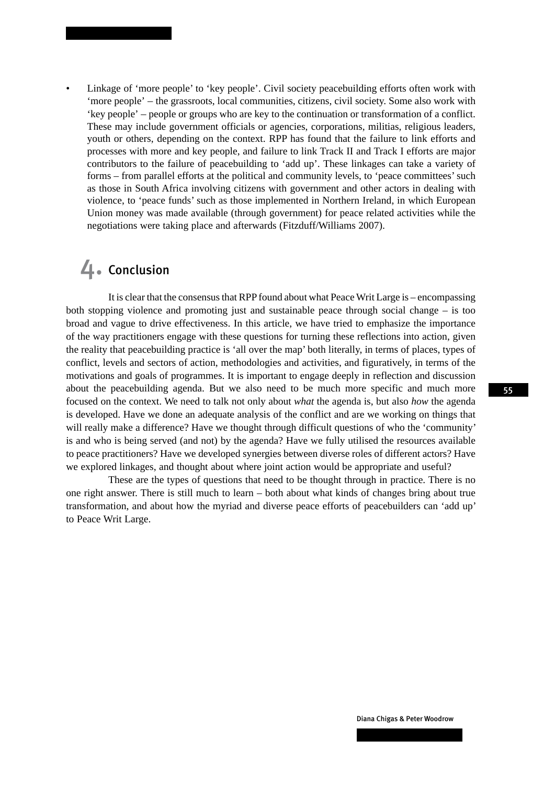Linkage of 'more people' to 'key people'. Civil society peacebuilding efforts often work with 'more people' – the grassroots, local communities, citizens, civil society. Some also work with 'key people' – people or groups who are key to the continuation or transformation of a conflict. These may include government officials or agencies, corporations, militias, religious leaders, youth or others, depending on the context. RPP has found that the failure to link efforts and processes with more and key people, and failure to link Track II and Track I efforts are major contributors to the failure of peacebuilding to 'add up'. These linkages can take a variety of forms – from parallel efforts at the political and community levels, to 'peace committees' such as those in South Africa involving citizens with government and other actors in dealing with violence, to 'peace funds' such as those implemented in Northern Ireland, in which European Union money was made available (through government) for peace related activities while the negotiations were taking place and afterwards (Fitzduff/Williams 2007).

## 4. Conclusion

It is clear that the consensus that RPP found about what Peace Writ Large is – encompassing both stopping violence and promoting just and sustainable peace through social change – is too broad and vague to drive effectiveness. In this article, we have tried to emphasize the importance of the way practitioners engage with these questions for turning these reflections into action, given the reality that peacebuilding practice is 'all over the map' both literally, in terms of places, types of conflict, levels and sectors of action, methodologies and activities, and figuratively, in terms of the motivations and goals of programmes. It is important to engage deeply in reflection and discussion about the peacebuilding agenda. But we also need to be much more specific and much more focused on the context. We need to talk not only about *what* the agenda is, but also *how* the agenda is developed. Have we done an adequate analysis of the conflict and are we working on things that will really make a difference? Have we thought through difficult questions of who the 'community' is and who is being served (and not) by the agenda? Have we fully utilised the resources available to peace practitioners? Have we developed synergies between diverse roles of different actors? Have we explored linkages, and thought about where joint action would be appropriate and useful?

These are the types of questions that need to be thought through in practice. There is no one right answer. There is still much to learn – both about what kinds of changes bring about true transformation, and about how the myriad and diverse peace efforts of peacebuilders can 'add up' to Peace Writ Large.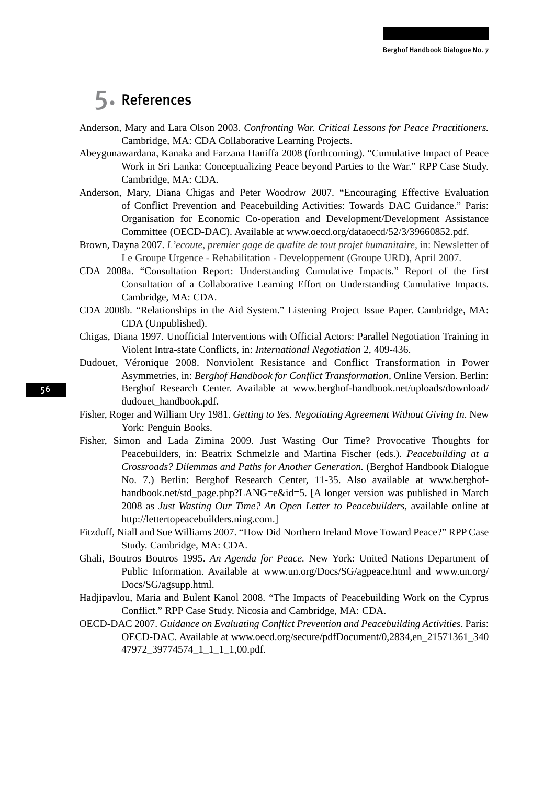## 5. References

- Anderson, Mary and Lara Olson 2003. *Confronting War. Critical Lessons for Peace Practitioners.*  Cambridge, MA: CDA Collaborative Learning Projects.
- Abeygunawardana, Kanaka and Farzana Haniffa 2008 (forthcoming). "Cumulative Impact of Peace Work in Sri Lanka: Conceptualizing Peace beyond Parties to the War." RPP Case Study. Cambridge, MA: CDA.
- Anderson, Mary, Diana Chigas and Peter Woodrow 2007. "Encouraging Effective Evaluation of Conflict Prevention and Peacebuilding Activities: Towards DAC Guidance." Paris: Organisation for Economic Co-operation and Development/Development Assistance Committee (OECD-DAC). Available at www.oecd.org/dataoecd/52/3/39660852.pdf.
- Brown, Dayna 2007. *L'ecoute, premier gage de qualite de tout projet humanitaire,* in: Newsletter of Le Groupe Urgence - Rehabilitation - Developpement (Groupe URD), April 2007.
- CDA 2008a. "Consultation Report: Understanding Cumulative Impacts." Report of the first Consultation of a Collaborative Learning Effort on Understanding Cumulative Impacts. Cambridge, MA: CDA.
- CDA 2008b. "Relationships in the Aid System." Listening Project Issue Paper. Cambridge, MA: CDA (Unpublished).
- Chigas, Diana 1997. Unofficial Interventions with Official Actors: Parallel Negotiation Training in Violent Intra-state Conflicts, in: *International Negotiation* 2, 409-436.
- Dudouet, Véronique 2008. Nonviolent Resistance and Conflict Transformation in Power Asymmetries, in: *Berghof Handbook for Conflict Transformation,* Online Version. Berlin: Berghof Research Center. Available at www.berghof-handbook.net/uploads/download/ dudouet\_handbook.pdf.
- Fisher, Roger and William Ury 1981. *Getting to Yes. Negotiating Agreement Without Giving In.* New York: Penguin Books.
- Fisher, Simon and Lada Zimina 2009. Just Wasting Our Time? Provocative Thoughts for Peacebuilders, in: Beatrix Schmelzle and Martina Fischer (eds.). *Peacebuilding at a Crossroads? Dilemmas and Paths for Another Generation.* (Berghof Handbook Dialogue No. 7.) Berlin: Berghof Research Center, 11-35. Also available at www.berghofhandbook.net/std\_page.php?LANG=e&id=5. [A longer version was published in March 2008 as *Just Wasting Our Time? An Open Letter to Peacebuilders,* available online at http://lettertopeacebuilders.ning.com.]
- Fitzduff, Niall and Sue Williams 2007. "How Did Northern Ireland Move Toward Peace?" RPP Case Study. Cambridge, MA: CDA.
- Ghali, Boutros Boutros 1995. *An Agenda for Peace.* New York: United Nations Department of Public Information. Available at www.un.org/Docs/SG/agpeace.html and www.un.org/ Docs/SG/agsupp.html.
- Hadjipavlou, Maria and Bulent Kanol 2008. "The Impacts of Peacebuilding Work on the Cyprus Conflict." RPP Case Study. Nicosia and Cambridge, MA: CDA.
- OECD-DAC 2007. *Guidance on Evaluating Conflict Prevention and Peacebuilding Activities*. Paris: OECD-DAC. Available at www.oecd.org/secure/pdfDocument/0,2834,en\_21571361\_340 47972 39774574 1 1 1 1,00.pdf.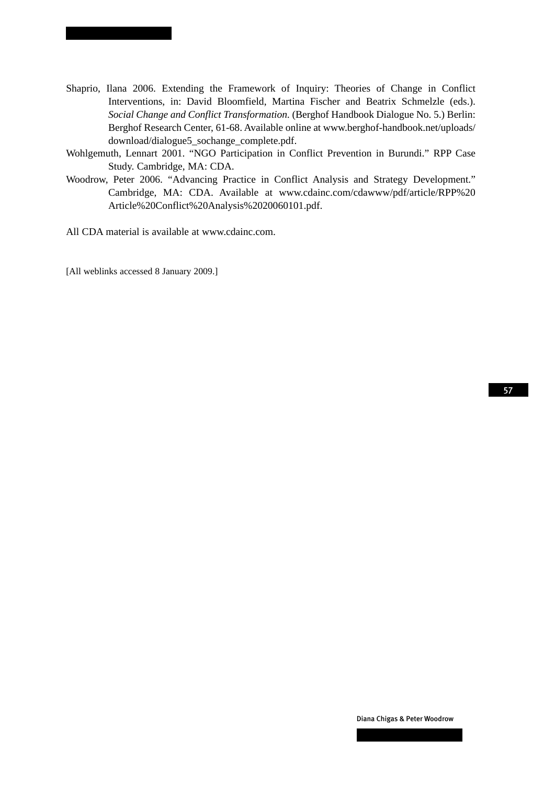- Shaprio, Ilana 2006. Extending the Framework of Inquiry: Theories of Change in Conflict Interventions, in: David Bloomfield, Martina Fischer and Beatrix Schmelzle (eds.). *Social Change and Conflict Transformation.* (Berghof Handbook Dialogue No. 5.) Berlin: Berghof Research Center, 61-68. Available online at www.berghof-handbook.net/uploads/ download/dialogue5\_sochange\_complete.pdf.
- Wohlgemuth, Lennart 2001. "NGO Participation in Conflict Prevention in Burundi." RPP Case Study. Cambridge, MA: CDA.
- Woodrow, Peter 2006. "Advancing Practice in Conflict Analysis and Strategy Development." Cambridge, MA: CDA. Available at www.cdainc.com/cdawww/pdf/article/RPP%20 Article%20Conflict%20Analysis%2020060101.pdf.

All CDA material is available at www.cdainc.com.

[All weblinks accessed 8 January 2009.]

57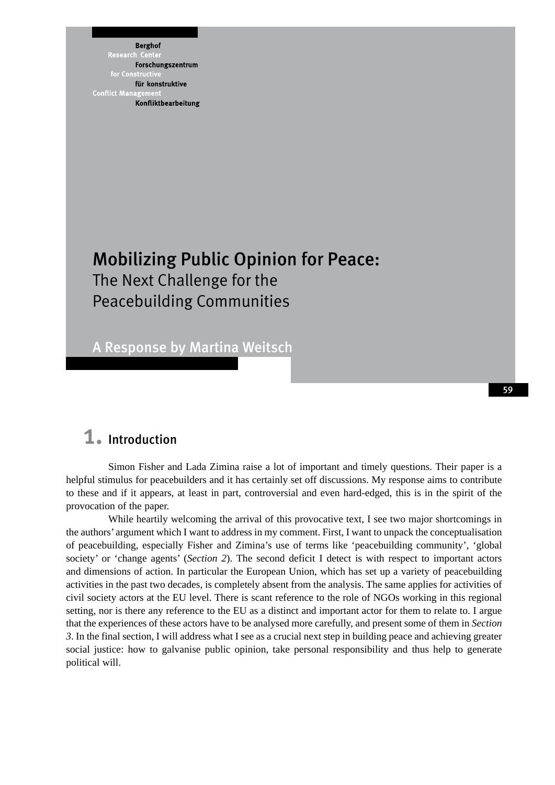**Berghof** Research Forschungszentrum für konstruktive **Conflict Mana** Konfliktbearbeitung

# Mobilizing Public Opinion for Peace: The Next Challenge for the Peacebuilding Communities

A Response by Martina Weitsch

## 1. Introduction

Simon Fisher and Lada Zimina raise a lot of important and timely questions. Their paper is a helpful stimulus for peacebuilders and it has certainly set off discussions. My response aims to contribute to these and if it appears, at least in part, controversial and even hard-edged, this is in the spirit of the provocation of the paper.

While heartily welcoming the arrival of this provocative text, I see two major shortcomings in the authors' argument which I want to address in my comment. First, I want to unpack the conceptualisation of peacebuilding, especially Fisher and Zimina's use of terms like 'peacebuilding community', 'global society' or 'change agents' (*Section 2*). The second deficit I detect is with respect to important actors and dimensions of action. In particular the European Union, which has set up a variety of peacebuilding activities in the past two decades, is completely absent from the analysis. The same applies for activities of civil society actors at the EU level. There is scant reference to the role of NGOs working in this regional setting, nor is there any reference to the EU as a distinct and important actor for them to relate to. I argue that the experiences of these actors have to be analysed more carefully, and present some of them in *Section 3*. In the final section, I will address what I see as a crucial next step in building peace and achieving greater social justice: how to galvanise public opinion, take personal responsibility and thus help to generate political will.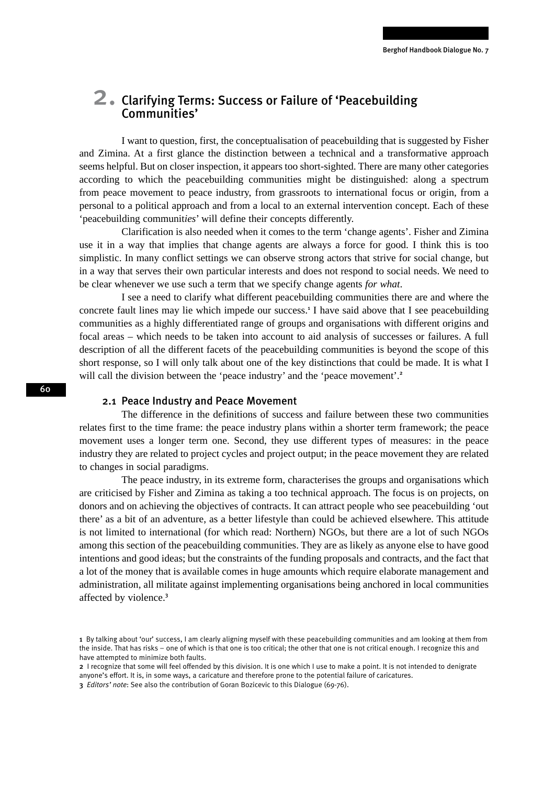# 2. Clarifying Terms: Success or Failure of 'Peacebuilding Communities'

I want to question, first, the conceptualisation of peacebuilding that is suggested by Fisher and Zimina. At a first glance the distinction between a technical and a transformative approach seems helpful. But on closer inspection, it appears too short-sighted. There are many other categories according to which the peacebuilding communities might be distinguished: along a spectrum from peace movement to peace industry, from grassroots to international focus or origin, from a personal to a political approach and from a local to an external intervention concept. Each of these 'peacebuilding communit*ies*' will define their concepts differently.

Clarification is also needed when it comes to the term 'change agents'. Fisher and Zimina use it in a way that implies that change agents are always a force for good. I think this is too simplistic. In many conflict settings we can observe strong actors that strive for social change, but in a way that serves their own particular interests and does not respond to social needs. We need to be clear whenever we use such a term that we specify change agents *for what*.

I see a need to clarify what different peacebuilding communities there are and where the concrete fault lines may lie which impede our success.<sup>1</sup> I have said above that I see peacebuilding communities as a highly differentiated range of groups and organisations with different origins and focal areas – which needs to be taken into account to aid analysis of successes or failures. A full description of all the different facets of the peacebuilding communities is beyond the scope of this short response, so I will only talk about one of the key distinctions that could be made. It is what I will call the division between the 'peace industry' and the 'peace movement'.<sup>2</sup>

### 2.1 Peace Industry and Peace Movement

The difference in the definitions of success and failure between these two communities relates first to the time frame: the peace industry plans within a shorter term framework; the peace movement uses a longer term one. Second, they use different types of measures: in the peace industry they are related to project cycles and project output; in the peace movement they are related to changes in social paradigms.

The peace industry, in its extreme form, characterises the groups and organisations which are criticised by Fisher and Zimina as taking a too technical approach. The focus is on projects, on donors and on achieving the objectives of contracts. It can attract people who see peacebuilding 'out there' as a bit of an adventure, as a better lifestyle than could be achieved elsewhere. This attitude is not limited to international (for which read: Northern) NGOs, but there are a lot of such NGOs among this section of the peacebuilding communities. They are as likely as anyone else to have good intentions and good ideas; but the constraints of the funding proposals and contracts, and the fact that a lot of the money that is available comes in huge amounts which require elaborate management and administration, all militate against implementing organisations being anchored in local communities affected by violence.<sup>3</sup>

<sup>1</sup> By talking about 'our' success, I am clearly aligning myself with these peacebuilding communities and am looking at them from the inside. That has risks – one of which is that one is too critical; the other that one is not critical enough. I recognize this and have attempted to minimize both faults.

<sup>2</sup> I recognize that some will feel offended by this division. It is one which I use to make a point. It is not intended to denigrate anyone's effort. It is, in some ways, a caricature and therefore prone to the potential failure of caricatures.

<sup>3</sup> *Editors' note*: See also the contribution of Goran Bozicevic to this Dialogue (69-76).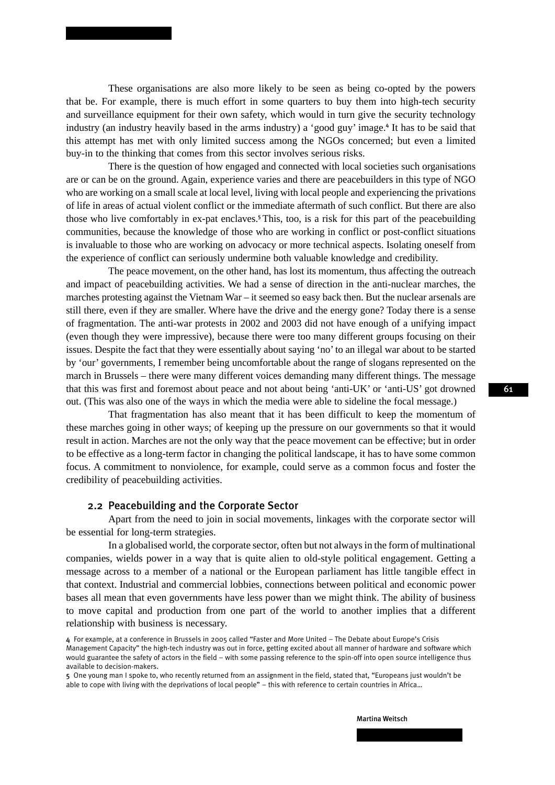These organisations are also more likely to be seen as being co-opted by the powers that be. For example, there is much effort in some quarters to buy them into high-tech security and surveillance equipment for their own safety, which would in turn give the security technology industry (an industry heavily based in the arms industry) a 'good guy' image.<sup>4</sup> It has to be said that this attempt has met with only limited success among the NGOs concerned; but even a limited buy-in to the thinking that comes from this sector involves serious risks.

There is the question of how engaged and connected with local societies such organisations are or can be on the ground. Again, experience varies and there are peacebuilders in this type of NGO who are working on a small scale at local level, living with local people and experiencing the privations of life in areas of actual violent conflict or the immediate aftermath of such conflict. But there are also those who live comfortably in ex-pat enclaves.<sup>5</sup>This, too, is a risk for this part of the peacebuilding communities, because the knowledge of those who are working in conflict or post-conflict situations is invaluable to those who are working on advocacy or more technical aspects. Isolating oneself from the experience of conflict can seriously undermine both valuable knowledge and credibility.

The peace movement, on the other hand, has lost its momentum, thus affecting the outreach and impact of peacebuilding activities. We had a sense of direction in the anti-nuclear marches, the marches protesting against the Vietnam War – it seemed so easy back then. But the nuclear arsenals are still there, even if they are smaller. Where have the drive and the energy gone? Today there is a sense of fragmentation. The anti-war protests in 2002 and 2003 did not have enough of a unifying impact (even though they were impressive), because there were too many different groups focusing on their issues. Despite the fact that they were essentially about saying 'no' to an illegal war about to be started by 'our' governments, I remember being uncomfortable about the range of slogans represented on the march in Brussels – there were many different voices demanding many different things. The message that this was first and foremost about peace and not about being 'anti-UK' or 'anti-US' got drowned out. (This was also one of the ways in which the media were able to sideline the focal message.)

That fragmentation has also meant that it has been difficult to keep the momentum of these marches going in other ways; of keeping up the pressure on our governments so that it would result in action. Marches are not the only way that the peace movement can be effective; but in order to be effective as a long-term factor in changing the political landscape, it has to have some common focus. A commitment to nonviolence, for example, could serve as a common focus and foster the credibility of peacebuilding activities.

### 2.2 Peacebuilding and the Corporate Sector

Apart from the need to join in social movements, linkages with the corporate sector will be essential for long-term strategies.

In a globalised world, the corporate sector, often but not always in the form of multinational companies, wields power in a way that is quite alien to old-style political engagement. Getting a message across to a member of a national or the European parliament has little tangible effect in that context. Industrial and commercial lobbies, connections between political and economic power bases all mean that even governments have less power than we might think. The ability of business to move capital and production from one part of the world to another implies that a different relationship with business is necessary.

<sup>4</sup> For example, at a conference in Brussels in 2005 called "Faster and More United – The Debate about Europe's Crisis Management Capacity" the high-tech industry was out in force, getting excited about all manner of hardware and software which would guarantee the safety of actors in the field – with some passing reference to the spin-off into open source intelligence thus available to decision-makers.

<sup>5</sup> One young man I spoke to, who recently returned from an assignment in the field, stated that, "Europeans just wouldn't be able to cope with living with the deprivations of local people" – this with reference to certain countries in Africa…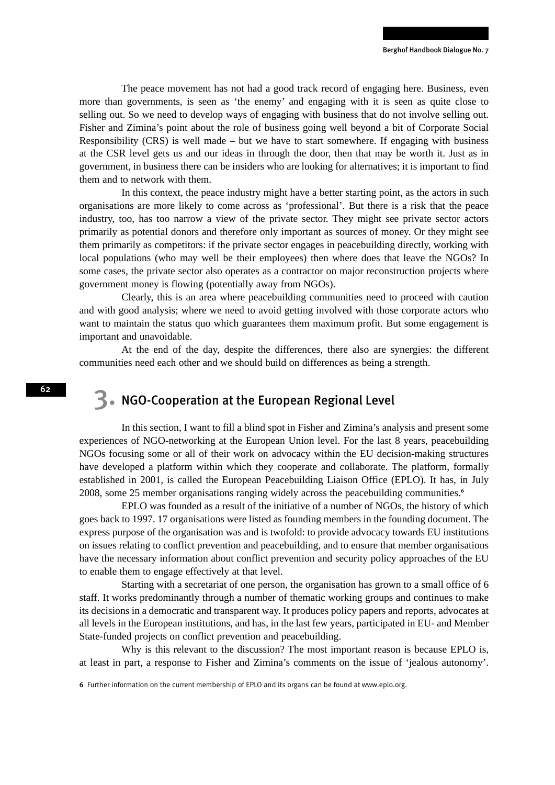The peace movement has not had a good track record of engaging here. Business, even more than governments, is seen as 'the enemy' and engaging with it is seen as quite close to selling out. So we need to develop ways of engaging with business that do not involve selling out. Fisher and Zimina's point about the role of business going well beyond a bit of Corporate Social Responsibility (CRS) is well made – but we have to start somewhere. If engaging with business at the CSR level gets us and our ideas in through the door, then that may be worth it. Just as in government, in business there can be insiders who are looking for alternatives; it is important to find them and to network with them.

In this context, the peace industry might have a better starting point, as the actors in such organisations are more likely to come across as 'professional'. But there is a risk that the peace industry, too, has too narrow a view of the private sector. They might see private sector actors primarily as potential donors and therefore only important as sources of money. Or they might see them primarily as competitors: if the private sector engages in peacebuilding directly, working with local populations (who may well be their employees) then where does that leave the NGOs? In some cases, the private sector also operates as a contractor on major reconstruction projects where government money is flowing (potentially away from NGOs).

Clearly, this is an area where peacebuilding communities need to proceed with caution and with good analysis; where we need to avoid getting involved with those corporate actors who want to maintain the status quo which guarantees them maximum profit. But some engagement is important and unavoidable.

At the end of the day, despite the differences, there also are synergies: the different communities need each other and we should build on differences as being a strength.

## 3. NGO-Cooperation at the European Regional Level

In this section, I want to fill a blind spot in Fisher and Zimina's analysis and present some experiences of NGO-networking at the European Union level. For the last 8 years, peacebuilding NGOs focusing some or all of their work on advocacy within the EU decision-making structures have developed a platform within which they cooperate and collaborate. The platform, formally established in 2001, is called the European Peacebuilding Liaison Office (EPLO). It has, in July 2008, some 25 member organisations ranging widely across the peacebuilding communities.<sup>6</sup>

EPLO was founded as a result of the initiative of a number of NGOs, the history of which goes back to 1997. 17 organisations were listed as founding members in the founding document. The express purpose of the organisation was and is twofold: to provide advocacy towards EU institutions on issues relating to conflict prevention and peacebuilding, and to ensure that member organisations have the necessary information about conflict prevention and security policy approaches of the EU to enable them to engage effectively at that level.

Starting with a secretariat of one person, the organisation has grown to a small office of 6 staff. It works predominantly through a number of thematic working groups and continues to make its decisions in a democratic and transparent way. It produces policy papers and reports, advocates at all levels in the European institutions, and has, in the last few years, participated in EU- and Member State-funded projects on conflict prevention and peacebuilding.

Why is this relevant to the discussion? The most important reason is because EPLO is, at least in part, a response to Fisher and Zimina's comments on the issue of 'jealous autonomy'.

6 Further information on the current membership of EPLO and its organs can be found at www.eplo.org.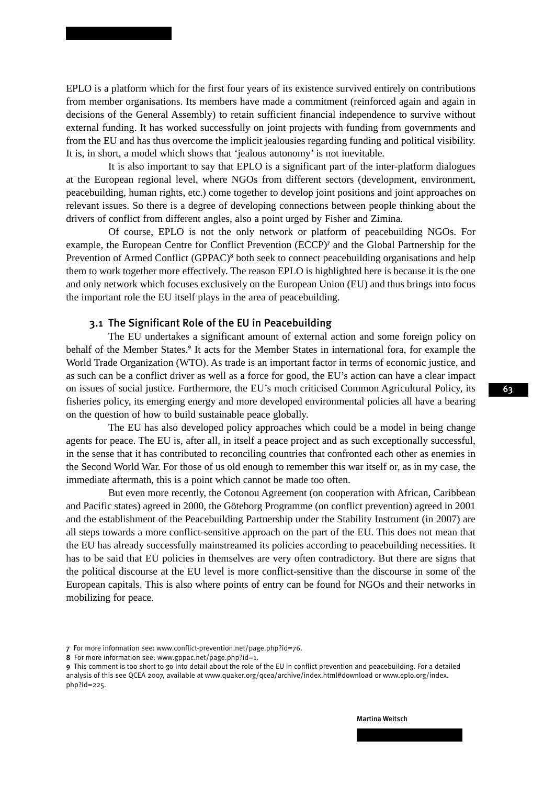EPLO is a platform which for the first four years of its existence survived entirely on contributions from member organisations. Its members have made a commitment (reinforced again and again in decisions of the General Assembly) to retain sufficient financial independence to survive without external funding. It has worked successfully on joint projects with funding from governments and from the EU and has thus overcome the implicit jealousies regarding funding and political visibility. It is, in short, a model which shows that 'jealous autonomy' is not inevitable.

It is also important to say that EPLO is a significant part of the inter-platform dialogues at the European regional level, where NGOs from different sectors (development, environment, peacebuilding, human rights, etc.) come together to develop joint positions and joint approaches on relevant issues. So there is a degree of developing connections between people thinking about the drivers of conflict from different angles, also a point urged by Fisher and Zimina.

Of course, EPLO is not the only network or platform of peacebuilding NGOs. For example, the European Centre for Conflict Prevention (ECCP)<sup>7</sup> and the Global Partnership for the Prevention of Armed Conflict (GPPAC)<sup>8</sup> both seek to connect peacebuilding organisations and help them to work together more effectively. The reason EPLO is highlighted here is because it is the one and only network which focuses exclusively on the European Union (EU) and thus brings into focus the important role the EU itself plays in the area of peacebuilding.

### 3.1 The Significant Role of the EU in Peacebuilding

The EU undertakes a significant amount of external action and some foreign policy on behalf of the Member States.<sup>9</sup> It acts for the Member States in international fora, for example the World Trade Organization (WTO). As trade is an important factor in terms of economic justice, and as such can be a conflict driver as well as a force for good, the EU's action can have a clear impact on issues of social justice. Furthermore, the EU's much criticised Common Agricultural Policy, its fisheries policy, its emerging energy and more developed environmental policies all have a bearing on the question of how to build sustainable peace globally.

The EU has also developed policy approaches which could be a model in being change agents for peace. The EU is, after all, in itself a peace project and as such exceptionally successful, in the sense that it has contributed to reconciling countries that confronted each other as enemies in the Second World War. For those of us old enough to remember this war itself or, as in my case, the immediate aftermath, this is a point which cannot be made too often.

But even more recently, the Cotonou Agreement (on cooperation with African, Caribbean and Pacific states) agreed in 2000, the Göteborg Programme (on conflict prevention) agreed in 2001 and the establishment of the Peacebuilding Partnership under the Stability Instrument (in 2007) are all steps towards a more conflict-sensitive approach on the part of the EU. This does not mean that the EU has already successfully mainstreamed its policies according to peacebuilding necessities. It has to be said that EU policies in themselves are very often contradictory. But there are signs that the political discourse at the EU level is more conflict-sensitive than the discourse in some of the European capitals. This is also where points of entry can be found for NGOs and their networks in mobilizing for peace.

8 For more information see: www.gppac.net/page.php?id=1.

<sup>7</sup> For more information see: www.conflict-prevention.net/page.php?id=76.

<sup>9</sup> This comment is too short to go into detail about the role of the EU in conflict prevention and peacebuilding. For a detailed analysis of this see QCEA 2007, available at www.quaker.org/qcea/archive/index.html#download or www.eplo.org/index. php?id=225.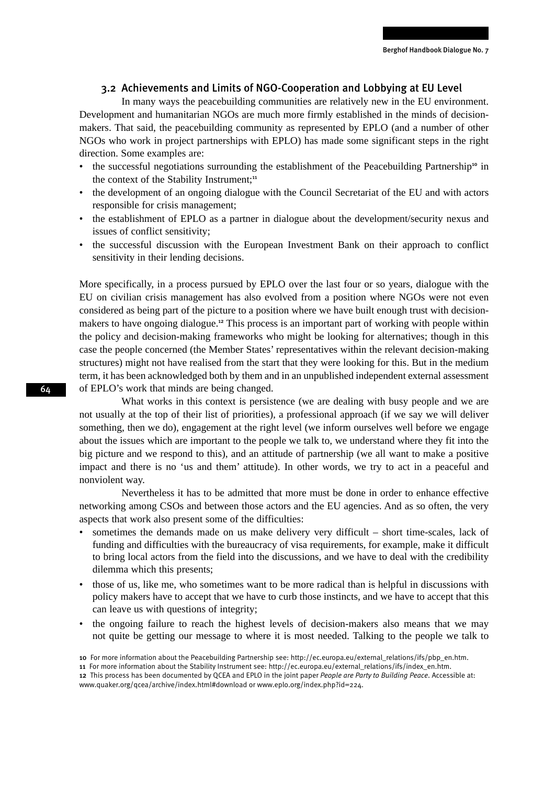### 3.2 Achievements and Limits of NGO-Cooperation and Lobbying at EU Level

In many ways the peacebuilding communities are relatively new in the EU environment. Development and humanitarian NGOs are much more firmly established in the minds of decisionmakers. That said, the peacebuilding community as represented by EPLO (and a number of other NGOs who work in project partnerships with EPLO) has made some significant steps in the right direction. Some examples are:

- the successful negotiations surrounding the establishment of the Peacebuilding Partnership<sup>10</sup> in the context of the Stability Instrument;<sup>11</sup>
- the development of an ongoing dialogue with the Council Secretariat of the EU and with actors responsible for crisis management;
- the establishment of EPLO as a partner in dialogue about the development/security nexus and issues of conflict sensitivity;
- the successful discussion with the European Investment Bank on their approach to conflict sensitivity in their lending decisions.

More specifically, in a process pursued by EPLO over the last four or so years, dialogue with the EU on civilian crisis management has also evolved from a position where NGOs were not even considered as being part of the picture to a position where we have built enough trust with decisionmakers to have ongoing dialogue.<sup>12</sup> This process is an important part of working with people within the policy and decision-making frameworks who might be looking for alternatives; though in this case the people concerned (the Member States' representatives within the relevant decision-making structures) might not have realised from the start that they were looking for this. But in the medium term, it has been acknowledged both by them and in an unpublished independent external assessment of EPLO's work that minds are being changed.

What works in this context is persistence (we are dealing with busy people and we are not usually at the top of their list of priorities), a professional approach (if we say we will deliver something, then we do), engagement at the right level (we inform ourselves well before we engage about the issues which are important to the people we talk to, we understand where they fit into the big picture and we respond to this), and an attitude of partnership (we all want to make a positive impact and there is no 'us and them' attitude). In other words, we try to act in a peaceful and nonviolent way.

Nevertheless it has to be admitted that more must be done in order to enhance effective networking among CSOs and between those actors and the EU agencies. And as so often, the very aspects that work also present some of the difficulties:

- sometimes the demands made on us make delivery very difficult short time-scales, lack of funding and difficulties with the bureaucracy of visa requirements, for example, make it difficult to bring local actors from the field into the discussions, and we have to deal with the credibility dilemma which this presents;
- those of us, like me, who sometimes want to be more radical than is helpful in discussions with policy makers have to accept that we have to curb those instincts, and we have to accept that this can leave us with questions of integrity;
- the ongoing failure to reach the highest levels of decision-makers also means that we may not quite be getting our message to where it is most needed. Talking to the people we talk to

<sup>10</sup> For more information about the Peacebuilding Partnership see: http://ec.europa.eu/external\_relations/ifs/pbp\_en.htm.

<sup>11</sup> For more information about the Stability Instrument see: http://ec.europa.eu/external\_relations/ifs/index\_en.htm.

<sup>12</sup> This process has been documented by QCEA and EPLO in the joint paper *People are Party to Building Peace*. Accessible at: www.quaker.org/qcea/archive/index.html#download or www.eplo.org/index.php?id=224.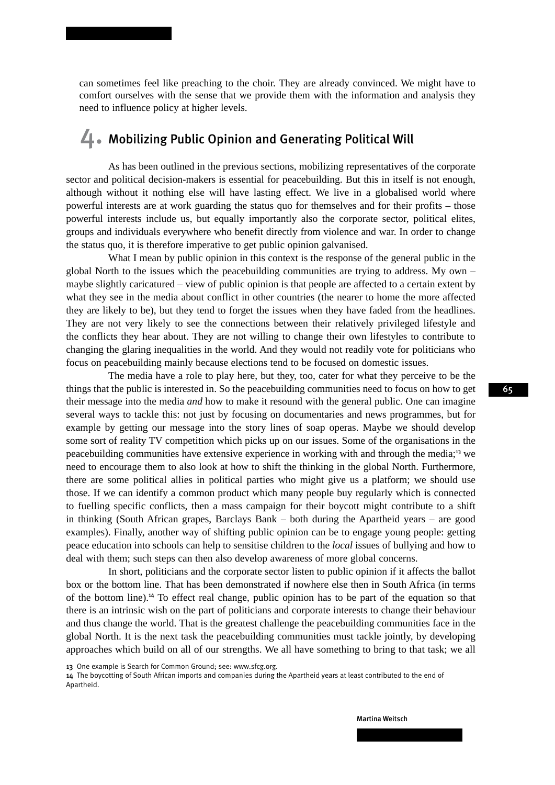can sometimes feel like preaching to the choir. They are already convinced. We might have to comfort ourselves with the sense that we provide them with the information and analysis they need to influence policy at higher levels.

## 4. Mobilizing Public Opinion and Generating Political Will

As has been outlined in the previous sections, mobilizing representatives of the corporate sector and political decision-makers is essential for peacebuilding. But this in itself is not enough, although without it nothing else will have lasting effect. We live in a globalised world where powerful interests are at work guarding the status quo for themselves and for their profits – those powerful interests include us, but equally importantly also the corporate sector, political elites, groups and individuals everywhere who benefit directly from violence and war. In order to change the status quo, it is therefore imperative to get public opinion galvanised.

What I mean by public opinion in this context is the response of the general public in the global North to the issues which the peacebuilding communities are trying to address. My own – maybe slightly caricatured – view of public opinion is that people are affected to a certain extent by what they see in the media about conflict in other countries (the nearer to home the more affected they are likely to be), but they tend to forget the issues when they have faded from the headlines. They are not very likely to see the connections between their relatively privileged lifestyle and the conflicts they hear about. They are not willing to change their own lifestyles to contribute to changing the glaring inequalities in the world. And they would not readily vote for politicians who focus on peacebuilding mainly because elections tend to be focused on domestic issues.

The media have a role to play here, but they, too, cater for what they perceive to be the things that the public is interested in. So the peacebuilding communities need to focus on how to get their message into the media *and* how to make it resound with the general public. One can imagine several ways to tackle this: not just by focusing on documentaries and news programmes, but for example by getting our message into the story lines of soap operas. Maybe we should develop some sort of reality TV competition which picks up on our issues. Some of the organisations in the peacebuilding communities have extensive experience in working with and through the media;<sup>13</sup> we need to encourage them to also look at how to shift the thinking in the global North. Furthermore, there are some political allies in political parties who might give us a platform; we should use those. If we can identify a common product which many people buy regularly which is connected to fuelling specific conflicts, then a mass campaign for their boycott might contribute to a shift in thinking (South African grapes, Barclays Bank – both during the Apartheid years – are good examples). Finally, another way of shifting public opinion can be to engage young people: getting peace education into schools can help to sensitise children to the *local* issues of bullying and how to deal with them; such steps can then also develop awareness of more global concerns.

In short, politicians and the corporate sector listen to public opinion if it affects the ballot box or the bottom line. That has been demonstrated if nowhere else then in South Africa (in terms of the bottom line).<sup>14</sup> To effect real change, public opinion has to be part of the equation so that there is an intrinsic wish on the part of politicians and corporate interests to change their behaviour and thus change the world. That is the greatest challenge the peacebuilding communities face in the global North. It is the next task the peacebuilding communities must tackle jointly, by developing approaches which build on all of our strengths. We all have something to bring to that task; we all

13 One example is Search for Common Ground; see: www.sfcg.org.

14 The boycotting of South African imports and companies during the Apartheid years at least contributed to the end of Apartheid.

Martina Weitsch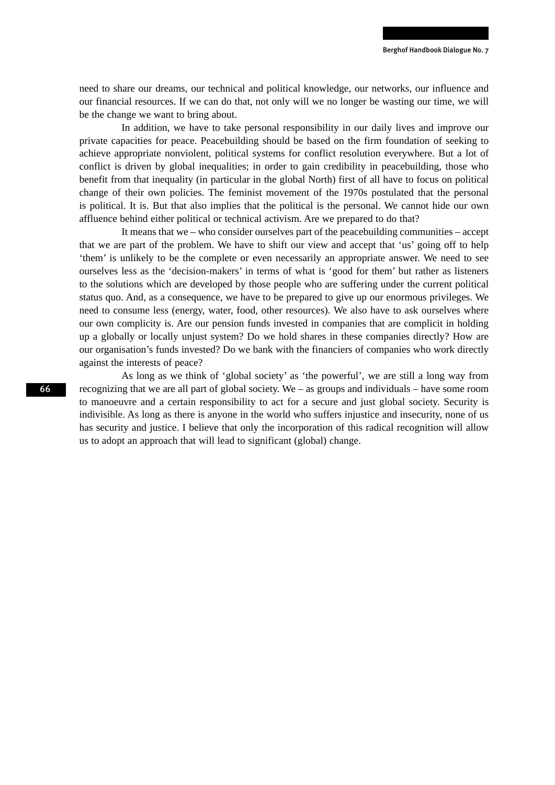need to share our dreams, our technical and political knowledge, our networks, our influence and our financial resources. If we can do that, not only will we no longer be wasting our time, we will be the change we want to bring about.

In addition, we have to take personal responsibility in our daily lives and improve our private capacities for peace. Peacebuilding should be based on the firm foundation of seeking to achieve appropriate nonviolent, political systems for conflict resolution everywhere. But a lot of conflict is driven by global inequalities; in order to gain credibility in peacebuilding, those who benefit from that inequality (in particular in the global North) first of all have to focus on political change of their own policies. The feminist movement of the 1970s postulated that the personal is political. It is. But that also implies that the political is the personal. We cannot hide our own affluence behind either political or technical activism. Are we prepared to do that?

It means that we – who consider ourselves part of the peacebuilding communities – accept that we are part of the problem. We have to shift our view and accept that 'us' going off to help 'them' is unlikely to be the complete or even necessarily an appropriate answer. We need to see ourselves less as the 'decision-makers' in terms of what is 'good for them' but rather as listeners to the solutions which are developed by those people who are suffering under the current political status quo. And, as a consequence, we have to be prepared to give up our enormous privileges. We need to consume less (energy, water, food, other resources). We also have to ask ourselves where our own complicity is. Are our pension funds invested in companies that are complicit in holding up a globally or locally unjust system? Do we hold shares in these companies directly? How are our organisation's funds invested? Do we bank with the financiers of companies who work directly against the interests of peace?

As long as we think of 'global society' as 'the powerful', we are still a long way from recognizing that we are all part of global society. We – as groups and individuals – have some room to manoeuvre and a certain responsibility to act for a secure and just global society. Security is indivisible. As long as there is anyone in the world who suffers injustice and insecurity, none of us has security and justice. I believe that only the incorporation of this radical recognition will allow us to adopt an approach that will lead to significant (global) change.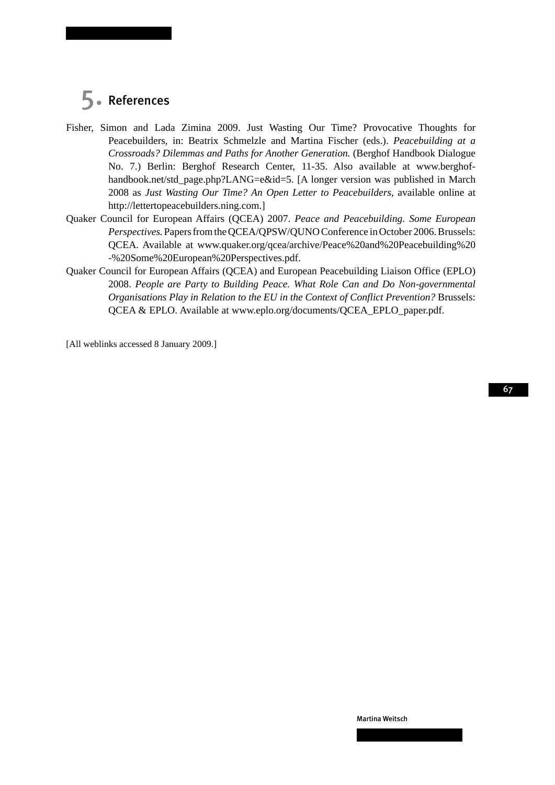## 5. References

- Fisher, Simon and Lada Zimina 2009. Just Wasting Our Time? Provocative Thoughts for Peacebuilders, in: Beatrix Schmelzle and Martina Fischer (eds.). *Peacebuilding at a Crossroads? Dilemmas and Paths for Another Generation.* (Berghof Handbook Dialogue No. 7.) Berlin: Berghof Research Center, 11-35. Also available at www.berghofhandbook.net/std\_page.php?LANG=e&id=5. [A longer version was published in March 2008 as *Just Wasting Our Time? An Open Letter to Peacebuilders*, available online at http://lettertopeacebuilders.ning.com.]
- Quaker Council for European Affairs (QCEA) 2007. *Peace and Peacebuilding. Some European Perspectives.* Papers from the QCEA/QPSW/QUNO Conference in October 2006. Brussels: QCEA. Available at www.quaker.org/qcea/archive/Peace%20and%20Peacebuilding%20 -%20Some%20European%20Perspectives.pdf.
- Quaker Council for European Affairs (QCEA) and European Peacebuilding Liaison Office (EPLO) 2008. *People are Party to Building Peace. What Role Can and Do Non-governmental Organisations Play in Relation to the EU in the Context of Conflict Prevention?* Brussels: QCEA & EPLO. Available at www.eplo.org/documents/QCEA\_EPLO\_paper.pdf.

[All weblinks accessed 8 January 2009.]

67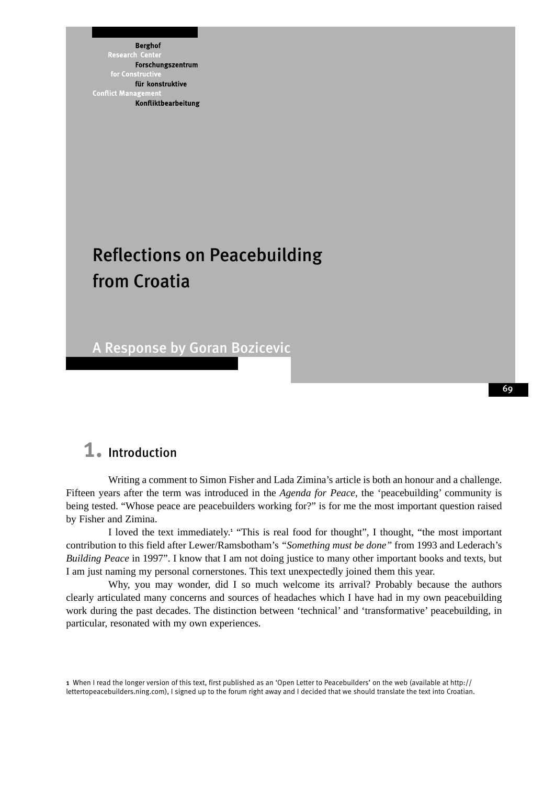**Berghof** Research Forschungszentrum für konstruktive **Conflict Mana** Konfliktbearbeitung

# Reflections on Peacebuilding from Croatia

A Response by Goran Bozicevic

## 1. Introduction

Writing a comment to Simon Fisher and Lada Zimina's article is both an honour and a challenge. Fifteen years after the term was introduced in the *Agenda for Peace*, the 'peacebuilding' community is being tested. "Whose peace are peacebuilders working for?" is for me the most important question raised by Fisher and Zimina.

I loved the text immediately.<sup>1</sup> "This is real food for thought", I thought, "the most important contribution to this field after Lewer/Ramsbotham's *"Something must be done"* from 1993 and Lederach's *Building Peace* in 1997". I know that I am not doing justice to many other important books and texts, but I am just naming my personal cornerstones. This text unexpectedly joined them this year.

Why, you may wonder, did I so much welcome its arrival? Probably because the authors clearly articulated many concerns and sources of headaches which I have had in my own peacebuilding work during the past decades. The distinction between 'technical' and 'transformative' peacebuilding, in particular, resonated with my own experiences.

<sup>1</sup> When I read the longer version of this text, first published as an 'Open Letter to Peacebuilders' on the web (available at http:// lettertopeacebuilders.ning.com), I signed up to the forum right away and I decided that we should translate the text into Croatian.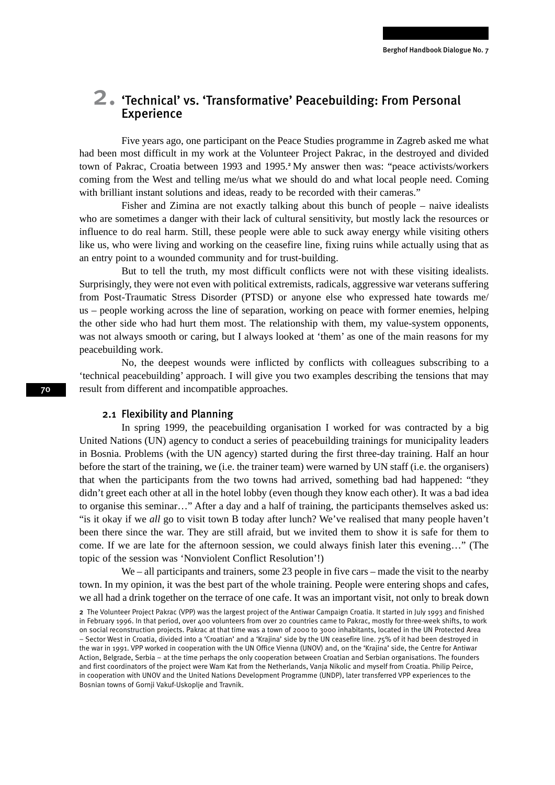# 2. 'Technical' vs. 'Transformative' Peacebuilding: From Personal Experience

Five years ago, one participant on the Peace Studies programme in Zagreb asked me what had been most difficult in my work at the Volunteer Project Pakrac, in the destroyed and divided town of Pakrac, Croatia between 1993 and 1995.<sup>2</sup>My answer then was: "peace activists/workers coming from the West and telling me/us what we should do and what local people need. Coming with brilliant instant solutions and ideas, ready to be recorded with their cameras."

Fisher and Zimina are not exactly talking about this bunch of people – naive idealists who are sometimes a danger with their lack of cultural sensitivity, but mostly lack the resources or influence to do real harm. Still, these people were able to suck away energy while visiting others like us, who were living and working on the ceasefire line, fixing ruins while actually using that as an entry point to a wounded community and for trust-building.

But to tell the truth, my most difficult conflicts were not with these visiting idealists. Surprisingly, they were not even with political extremists, radicals, aggressive war veterans suffering from Post-Traumatic Stress Disorder (PTSD) or anyone else who expressed hate towards me/ us – people working across the line of separation, working on peace with former enemies, helping the other side who had hurt them most. The relationship with them, my value-system opponents, was not always smooth or caring, but I always looked at 'them' as one of the main reasons for my peacebuilding work.

No, the deepest wounds were inflicted by conflicts with colleagues subscribing to a 'technical peacebuilding' approach. I will give you two examples describing the tensions that may result from different and incompatible approaches.

### 2.1 Flexibility and Planning

In spring 1999, the peacebuilding organisation I worked for was contracted by a big United Nations (UN) agency to conduct a series of peacebuilding trainings for municipality leaders in Bosnia. Problems (with the UN agency) started during the first three-day training. Half an hour before the start of the training, we (i.e. the trainer team) were warned by UN staff (i.e. the organisers) that when the participants from the two towns had arrived, something bad had happened: "they didn't greet each other at all in the hotel lobby (even though they know each other). It was a bad idea to organise this seminar…" After a day and a half of training, the participants themselves asked us: "is it okay if we *all* go to visit town B today after lunch? We've realised that many people haven't been there since the war. They are still afraid, but we invited them to show it is safe for them to come. If we are late for the afternoon session, we could always finish later this evening…" (The topic of the session was 'Nonviolent Conflict Resolution'!)

We – all participants and trainers, some 23 people in five cars – made the visit to the nearby town. In my opinion, it was the best part of the whole training. People were entering shops and cafes, we all had a drink together on the terrace of one cafe. It was an important visit, not only to break down

<sup>2</sup> The Volunteer Project Pakrac (VPP) was the largest project of the Antiwar Campaign Croatia. It started in July 1993 and finished in February 1996. In that period, over 400 volunteers from over 20 countries came to Pakrac, mostly for three-week shifts, to work on social reconstruction projects. Pakrac at that time was a town of 2000 to 3000 inhabitants, located in the UN Protected Area – Sector West in Croatia, divided into a 'Croatian' and a 'Krajina' side by the UN ceasefire line. 75% of it had been destroyed in the war in 1991. VPP worked in cooperation with the UN Office Vienna (UNOV) and, on the 'Krajina' side, the Centre for Antiwar Action, Belgrade, Serbia – at the time perhaps the only cooperation between Croatian and Serbian organisations. The founders and first coordinators of the project were Wam Kat from the Netherlands, Vanja Nikolic and myself from Croatia. Philip Peirce, in cooperation with UNOV and the United Nations Development Programme (UNDP), later transferred VPP experiences to the Bosnian towns of Gornji Vakuf-Uskoplje and Travnik.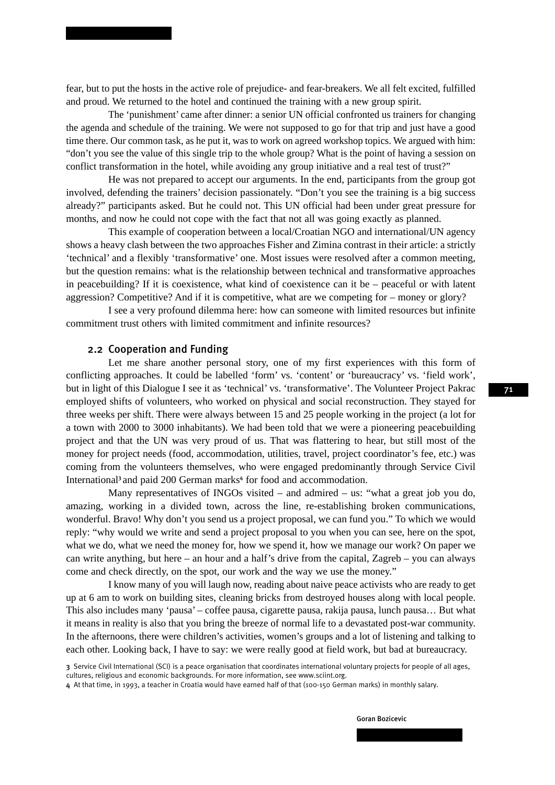fear, but to put the hosts in the active role of prejudice- and fear-breakers. We all felt excited, fulfilled and proud. We returned to the hotel and continued the training with a new group spirit.

The 'punishment' came after dinner: a senior UN official confronted us trainers for changing the agenda and schedule of the training. We were not supposed to go for that trip and just have a good time there. Our common task, as he put it, was to work on agreed workshop topics. We argued with him: "don't you see the value of this single trip to the whole group? What is the point of having a session on conflict transformation in the hotel, while avoiding any group initiative and a real test of trust?"

He was not prepared to accept our arguments. In the end, participants from the group got involved, defending the trainers' decision passionately. "Don't you see the training is a big success already?" participants asked. But he could not. This UN official had been under great pressure for months, and now he could not cope with the fact that not all was going exactly as planned.

This example of cooperation between a local/Croatian NGO and international/UN agency shows a heavy clash between the two approaches Fisher and Zimina contrast in their article: a strictly 'technical' and a flexibly 'transformative' one. Most issues were resolved after a common meeting, but the question remains: what is the relationship between technical and transformative approaches in peacebuilding? If it is coexistence, what kind of coexistence can it be – peaceful or with latent aggression? Competitive? And if it is competitive, what are we competing for – money or glory?

I see a very profound dilemma here: how can someone with limited resources but infinite commitment trust others with limited commitment and infinite resources?

### 2.2 Cooperation and Funding

Let me share another personal story, one of my first experiences with this form of conflicting approaches. It could be labelled 'form' vs. 'content' or 'bureaucracy' vs. 'field work', but in light of this Dialogue I see it as 'technical' vs. 'transformative'. The Volunteer Project Pakrac employed shifts of volunteers, who worked on physical and social reconstruction. They stayed for three weeks per shift. There were always between 15 and 25 people working in the project (a lot for a town with 2000 to 3000 inhabitants). We had been told that we were a pioneering peacebuilding project and that the UN was very proud of us. That was flattering to hear, but still most of the money for project needs (food, accommodation, utilities, travel, project coordinator's fee, etc.) was coming from the volunteers themselves, who were engaged predominantly through Service Civil International<sup>3</sup> and paid 200 German marks<sup>4</sup> for food and accommodation.

Many representatives of INGOs visited – and admired – us: "what a great job you do, amazing, working in a divided town, across the line, re-establishing broken communications, wonderful. Bravo! Why don't you send us a project proposal, we can fund you." To which we would reply: "why would we write and send a project proposal to you when you can see, here on the spot, what we do, what we need the money for, how we spend it, how we manage our work? On paper we can write anything, but here – an hour and a half's drive from the capital, Zagreb – you can always come and check directly, on the spot, our work and the way we use the money."

I know many of you will laugh now, reading about naive peace activists who are ready to get up at 6 am to work on building sites, cleaning bricks from destroyed houses along with local people. This also includes many 'pausa' – coffee pausa, cigarette pausa, rakija pausa, lunch pausa… But what it means in reality is also that you bring the breeze of normal life to a devastated post-war community. In the afternoons, there were children's activities, women's groups and a lot of listening and talking to each other. Looking back, I have to say: we were really good at field work, but bad at bureaucracy.

Goran Bozicevic

<sup>3</sup> Service Civil International (SCI) is a peace organisation that coordinates international voluntary projects for people of all ages, cultures, religious and economic backgrounds. For more information, see www.sciint.org.

<sup>4</sup> At that time, in 1993, a teacher in Croatia would have earned half of that (100-150 German marks) in monthly salary.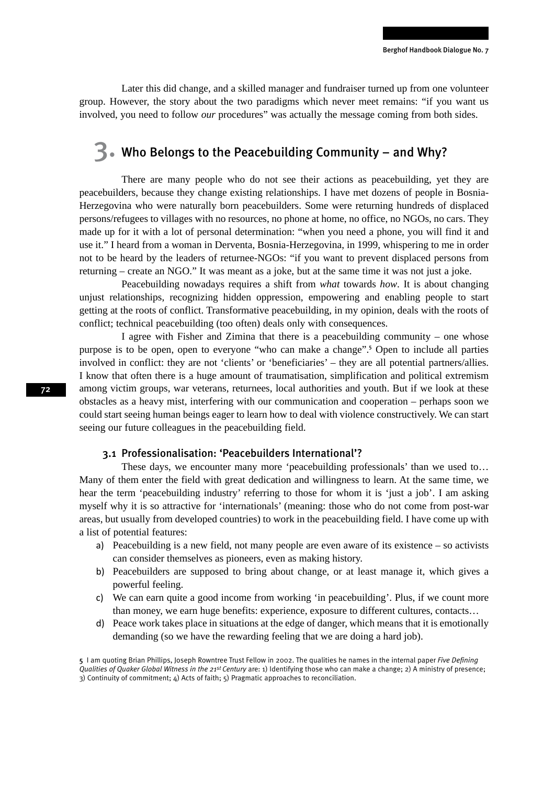Later this did change, and a skilled manager and fundraiser turned up from one volunteer group. However, the story about the two paradigms which never meet remains: "if you want us involved, you need to follow *our* procedures" was actually the message coming from both sides.

## $\mathbf{B}_{\bullet}$ . Who Belongs to the Peacebuilding Community – and Why?

There are many people who do not see their actions as peacebuilding, yet they are peacebuilders, because they change existing relationships. I have met dozens of people in Bosnia-Herzegovina who were naturally born peacebuilders. Some were returning hundreds of displaced persons/refugees to villages with no resources, no phone at home, no office, no NGOs, no cars. They made up for it with a lot of personal determination: "when you need a phone, you will find it and use it." I heard from a woman in Derventa, Bosnia-Herzegovina, in 1999, whispering to me in order not to be heard by the leaders of returnee-NGOs: "if you want to prevent displaced persons from returning – create an NGO." It was meant as a joke, but at the same time it was not just a joke.

Peacebuilding nowadays requires a shift from *what* towards *how*. It is about changing unjust relationships, recognizing hidden oppression, empowering and enabling people to start getting at the roots of conflict. Transformative peacebuilding, in my opinion, deals with the roots of conflict; technical peacebuilding (too often) deals only with consequences.

I agree with Fisher and Zimina that there is a peacebuilding community – one whose purpose is to be open, open to everyone "who can make a change".<sup>5</sup> Open to include all parties involved in conflict: they are not 'clients' or 'beneficiaries' – they are all potential partners/allies. I know that often there is a huge amount of traumatisation, simplification and political extremism among victim groups, war veterans, returnees, local authorities and youth. But if we look at these obstacles as a heavy mist, interfering with our communication and cooperation – perhaps soon we could start seeing human beings eager to learn how to deal with violence constructively. We can start seeing our future colleagues in the peacebuilding field.

### 3.1 Professionalisation: 'Peacebuilders International'?

These days, we encounter many more 'peacebuilding professionals' than we used to... Many of them enter the field with great dedication and willingness to learn. At the same time, we hear the term 'peacebuilding industry' referring to those for whom it is 'just a job'. I am asking myself why it is so attractive for 'internationals' (meaning: those who do not come from post-war areas, but usually from developed countries) to work in the peacebuilding field. I have come up with a list of potential features:

- a) Peacebuilding is a new field, not many people are even aware of its existence so activists can consider themselves as pioneers, even as making history.
- b) Peacebuilders are supposed to bring about change, or at least manage it, which gives a powerful feeling.
- c) We can earn quite a good income from working 'in peacebuilding'. Plus, if we count more than money, we earn huge benefits: experience, exposure to different cultures, contacts…
- d) Peace work takes place in situations at the edge of danger, which means that it is emotionally demanding (so we have the rewarding feeling that we are doing a hard job).

<sup>5</sup> I am quoting Brian Phillips, Joseph Rowntree Trust Fellow in 2002. The qualities he names in the internal paper *Five Defining Qualities of Quaker Global Witness in the 21st Century* are: 1) Identifying those who can make a change; 2) A ministry of presence; 3) Continuity of commitment; 4) Acts of faith; 5) Pragmatic approaches to reconciliation.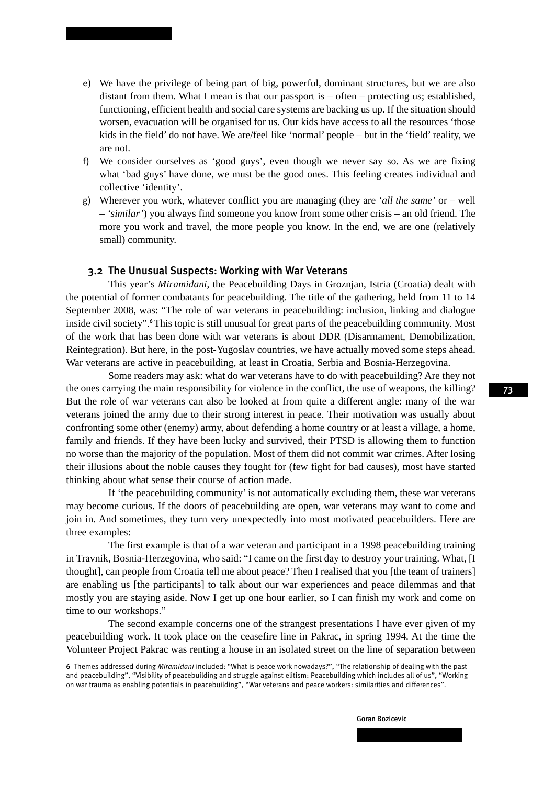- e) We have the privilege of being part of big, powerful, dominant structures, but we are also distant from them. What I mean is that our passport is – often – protecting us; established, functioning, efficient health and social care systems are backing us up. If the situation should worsen, evacuation will be organised for us. Our kids have access to all the resources 'those kids in the field' do not have. We are/feel like 'normal' people – but in the 'field' reality, we are not.
- f) We consider ourselves as 'good guys', even though we never say so. As we are fixing what 'bad guys' have done, we must be the good ones. This feeling creates individual and collective 'identity'.
- g) Wherever you work, whatever conflict you are managing (they are *'all the same'* or well – *'similar'*) you always find someone you know from some other crisis – an old friend. The more you work and travel, the more people you know. In the end, we are one (relatively small) community.

## 3.2 The Unusual Suspects: Working with War Veterans

This year's *Miramidani*, the Peacebuilding Days in Groznjan, Istria (Croatia) dealt with the potential of former combatants for peacebuilding. The title of the gathering, held from 11 to 14 September 2008, was: "The role of war veterans in peacebuilding: inclusion, linking and dialogue inside civil society".<sup>6</sup>This topic is still unusual for great parts of the peacebuilding community. Most of the work that has been done with war veterans is about DDR (Disarmament, Demobilization, Reintegration). But here, in the post-Yugoslav countries, we have actually moved some steps ahead. War veterans are active in peacebuilding, at least in Croatia, Serbia and Bosnia-Herzegovina.

Some readers may ask: what do war veterans have to do with peacebuilding? Are they not the ones carrying the main responsibility for violence in the conflict, the use of weapons, the killing? But the role of war veterans can also be looked at from quite a different angle: many of the war veterans joined the army due to their strong interest in peace. Their motivation was usually about confronting some other (enemy) army, about defending a home country or at least a village, a home, family and friends. If they have been lucky and survived, their PTSD is allowing them to function no worse than the majority of the population. Most of them did not commit war crimes. After losing their illusions about the noble causes they fought for (few fight for bad causes), most have started thinking about what sense their course of action made.

If 'the peacebuilding community' is not automatically excluding them, these war veterans may become curious. If the doors of peacebuilding are open, war veterans may want to come and join in. And sometimes, they turn very unexpectedly into most motivated peacebuilders. Here are three examples:

The first example is that of a war veteran and participant in a 1998 peacebuilding training in Travnik, Bosnia-Herzegovina, who said: "I came on the first day to destroy your training. What, [I thought], can people from Croatia tell me about peace? Then I realised that you [the team of trainers] are enabling us [the participants] to talk about our war experiences and peace dilemmas and that mostly you are staying aside. Now I get up one hour earlier, so I can finish my work and come on time to our workshops."

The second example concerns one of the strangest presentations I have ever given of my peacebuilding work. It took place on the ceasefire line in Pakrac, in spring 1994. At the time the Volunteer Project Pakrac was renting a house in an isolated street on the line of separation between

<sup>6</sup> Themes addressed during *Miramidani* included: "What is peace work nowadays?", "The relationship of dealing with the past and peacebuilding", "Visibility of peacebuilding and struggle against elitism: Peacebuilding which includes all of us", "Working on war trauma as enabling potentials in peacebuilding", "War veterans and peace workers: similarities and differences".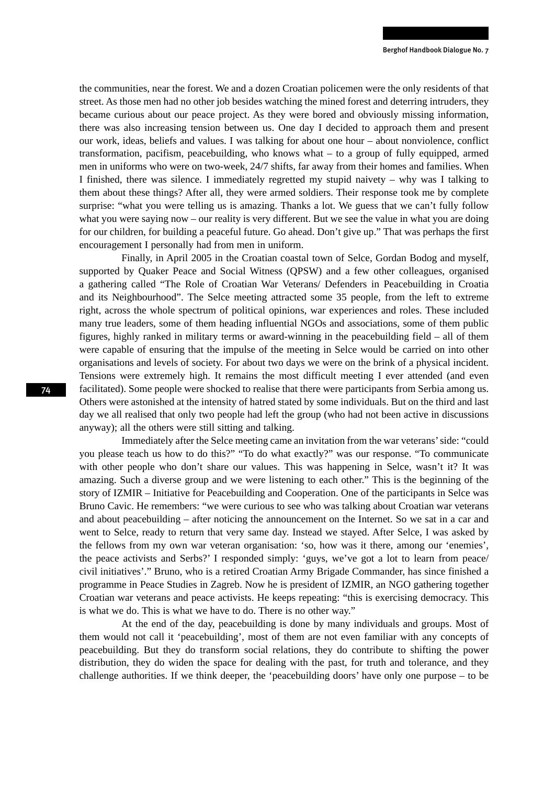the communities, near the forest. We and a dozen Croatian policemen were the only residents of that street. As those men had no other job besides watching the mined forest and deterring intruders, they became curious about our peace project. As they were bored and obviously missing information, there was also increasing tension between us. One day I decided to approach them and present our work, ideas, beliefs and values. I was talking for about one hour – about nonviolence, conflict transformation, pacifism, peacebuilding, who knows what – to a group of fully equipped, armed men in uniforms who were on two-week, 24/7 shifts, far away from their homes and families. When I finished, there was silence. I immediately regretted my stupid naivety – why was I talking to them about these things? After all, they were armed soldiers. Their response took me by complete surprise: "what you were telling us is amazing. Thanks a lot. We guess that we can't fully follow what you were saying now – our reality is very different. But we see the value in what you are doing for our children, for building a peaceful future. Go ahead. Don't give up." That was perhaps the first encouragement I personally had from men in uniform.

Finally, in April 2005 in the Croatian coastal town of Selce, Gordan Bodog and myself, supported by Quaker Peace and Social Witness (QPSW) and a few other colleagues, organised a gathering called "The Role of Croatian War Veterans/ Defenders in Peacebuilding in Croatia and its Neighbourhood". The Selce meeting attracted some 35 people, from the left to extreme right, across the whole spectrum of political opinions, war experiences and roles. These included many true leaders, some of them heading influential NGOs and associations, some of them public figures, highly ranked in military terms or award-winning in the peacebuilding field – all of them were capable of ensuring that the impulse of the meeting in Selce would be carried on into other organisations and levels of society. For about two days we were on the brink of a physical incident. Tensions were extremely high. It remains the most difficult meeting I ever attended (and even facilitated). Some people were shocked to realise that there were participants from Serbia among us. Others were astonished at the intensity of hatred stated by some individuals. But on the third and last day we all realised that only two people had left the group (who had not been active in discussions anyway); all the others were still sitting and talking.

Immediately after the Selce meeting came an invitation from the war veterans' side: "could you please teach us how to do this?" "To do what exactly?" was our response. "To communicate with other people who don't share our values. This was happening in Selce, wasn't it? It was amazing. Such a diverse group and we were listening to each other." This is the beginning of the story of IZMIR – Initiative for Peacebuilding and Cooperation. One of the participants in Selce was Bruno Cavic. He remembers: "we were curious to see who was talking about Croatian war veterans and about peacebuilding – after noticing the announcement on the Internet. So we sat in a car and went to Selce, ready to return that very same day. Instead we stayed. After Selce, I was asked by the fellows from my own war veteran organisation: 'so, how was it there, among our 'enemies', the peace activists and Serbs?' I responded simply: 'guys, we've got a lot to learn from peace/ civil initiatives'." Bruno, who is a retired Croatian Army Brigade Commander, has since finished a programme in Peace Studies in Zagreb. Now he is president of IZMIR, an NGO gathering together Croatian war veterans and peace activists. He keeps repeating: "this is exercising democracy. This is what we do. This is what we have to do. There is no other way."

At the end of the day, peacebuilding is done by many individuals and groups. Most of them would not call it 'peacebuilding', most of them are not even familiar with any concepts of peacebuilding. But they do transform social relations, they do contribute to shifting the power distribution, they do widen the space for dealing with the past, for truth and tolerance, and they challenge authorities. If we think deeper, the 'peacebuilding doors' have only one purpose – to be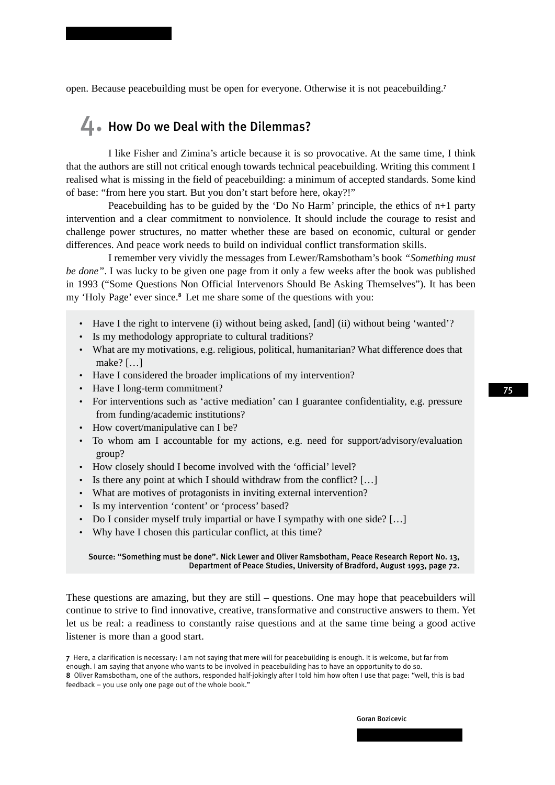open. Because peacebuilding must be open for everyone. Otherwise it is not peacebuilding.<sup>7</sup>

## $\Box$ . How Do we Deal with the Dilemmas?

I like Fisher and Zimina's article because it is so provocative. At the same time, I think that the authors are still not critical enough towards technical peacebuilding. Writing this comment I realised what is missing in the field of peacebuilding: a minimum of accepted standards. Some kind of base: "from here you start. But you don't start before here, okay?!"

Peacebuilding has to be guided by the 'Do No Harm' principle, the ethics of n+1 party intervention and a clear commitment to nonviolence. It should include the courage to resist and challenge power structures, no matter whether these are based on economic, cultural or gender differences. And peace work needs to build on individual conflict transformation skills.

I remember very vividly the messages from Lewer/Ramsbotham's book *"Something must be done"*. I was lucky to be given one page from it only a few weeks after the book was published in 1993 ("Some Questions Non Official Intervenors Should Be Asking Themselves"). It has been my 'Holy Page' ever since.<sup>8</sup> Let me share some of the questions with you:

- Have I the right to intervene (i) without being asked. [and] (ii) without being 'wanted'?
- Is my methodology appropriate to cultural traditions?
- What are my motivations, e.g. religious, political, humanitarian? What difference does that make? […]
- Have I considered the broader implications of my intervention?
- Have I long-term commitment?
- For interventions such as 'active mediation' can I guarantee confidentiality, e.g. pressure from funding/academic institutions?
- How covert/manipulative can I be?
- To whom am I accountable for my actions, e.g. need for support/advisory/evaluation group?
- How closely should I become involved with the 'official' level?
- Is there any point at which I should withdraw from the conflict? [...]
- What are motives of protagonists in inviting external intervention?
- Is my intervention 'content' or 'process' based?
- Do I consider myself truly impartial or have I sympathy with one side? [...]
- Why have I chosen this particular conflict, at this time?

#### Source: "Something must be done". Nick Lewer and Oliver Ramsbotham, Peace Research Report No. 13, Department of Peace Studies, University of Bradford, August 1993, page 72.

These questions are amazing, but they are still – questions. One may hope that peacebuilders will continue to strive to find innovative, creative, transformative and constructive answers to them. Yet let us be real: a readiness to constantly raise questions and at the same time being a good active listener is more than a good start.

<sup>7</sup> Here, a clarification is necessary: I am not saying that mere will for peacebuilding is enough. It is welcome, but far from enough. I am saying that anyone who wants to be involved in peacebuilding has to have an opportunity to do so. 8 Oliver Ramsbotham, one of the authors, responded half-jokingly after I told him how often I use that page: "well, this is bad feedback – you use only one page out of the whole book."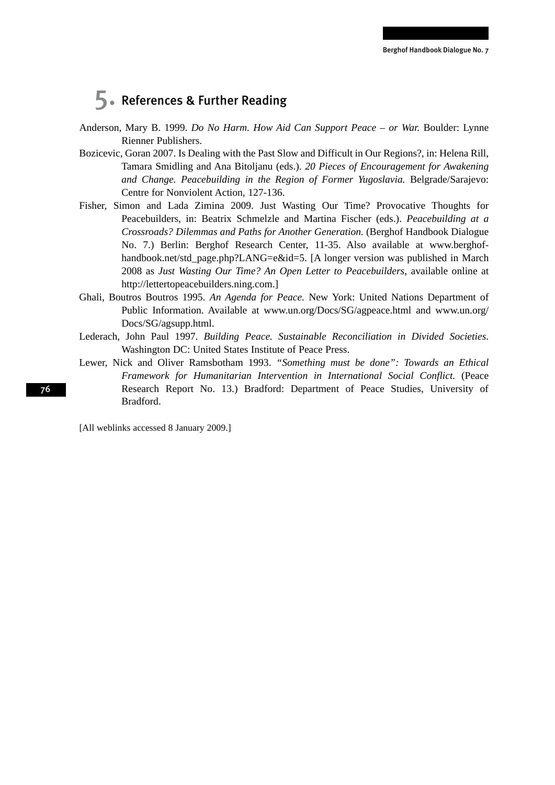## 5. References & Further Reading

- Anderson, Mary B. 1999. *Do No Harm. How Aid Can Support Peace or War.* Boulder: Lynne Rienner Publishers.
- Bozicevic, Goran 2007. Is Dealing with the Past Slow and Difficult in Our Regions?, in: Helena Rill, Tamara Smidling and Ana Bitoljanu (eds.). *20 Pieces of Encouragement for Awakening and Change. Peacebuilding in the Region of Former Yugoslavia.* Belgrade/Sarajevo: Centre for Nonviolent Action, 127-136.
- Fisher, Simon and Lada Zimina 2009. Just Wasting Our Time? Provocative Thoughts for Peacebuilders, in: Beatrix Schmelzle and Martina Fischer (eds.). *Peacebuilding at a Crossroads? Dilemmas and Paths for Another Generation.* (Berghof Handbook Dialogue No. 7.) Berlin: Berghof Research Center, 11-35. Also available at www.berghofhandbook.net/std\_page.php?LANG=e&id=5. [A longer version was published in March 2008 as *Just Wasting Our Time? An Open Letter to Peacebuilders*, available online at http://lettertopeacebuilders.ning.com.]
- Ghali, Boutros Boutros 1995. *An Agenda for Peace.* New York: United Nations Department of Public Information. Available at www.un.org/Docs/SG/agpeace.html and www.un.org/ Docs/SG/agsupp.html.
- Lederach, John Paul 1997. *Building Peace. Sustainable Reconciliation in Divided Societies*. Washington DC: United States Institute of Peace Press.
- Lewer, Nick and Oliver Ramsbotham 1993. *"Something must be done": Towards an Ethical Framework for Humanitarian Intervention in International Social Conflict.* (Peace Research Report No. 13.) Bradford: Department of Peace Studies, University of Bradford.

[All weblinks accessed 8 January 2009.]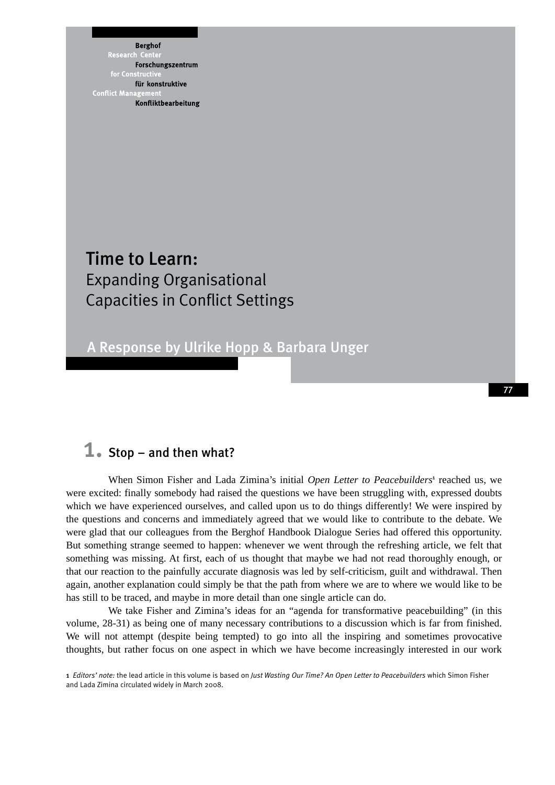**Berghof** Research Forschungszentrum für konstruktive **Conflict Mana** Konfliktbearbeitung

### Time to Learn: Expanding Organisational Capacities in Conflict Settings

A Response by Ulrike Hopp & Barbara Unger

### **1.** Stop – and then what?

When Simon Fisher and Lada Zimina's initial Open Letter to Peacebuilders<sup>1</sup> reached us, we were excited: finally somebody had raised the questions we have been struggling with, expressed doubts which we have experienced ourselves, and called upon us to do things differently! We were inspired by the questions and concerns and immediately agreed that we would like to contribute to the debate. We were glad that our colleagues from the Berghof Handbook Dialogue Series had offered this opportunity. But something strange seemed to happen: whenever we went through the refreshing article, we felt that something was missing. At first, each of us thought that maybe we had not read thoroughly enough, or that our reaction to the painfully accurate diagnosis was led by self-criticism, guilt and withdrawal. Then again, another explanation could simply be that the path from where we are to where we would like to be has still to be traced, and maybe in more detail than one single article can do.

77

We take Fisher and Zimina's ideas for an "agenda for transformative peacebuilding" (in this volume, 28-31) as being one of many necessary contributions to a discussion which is far from finished. We will not attempt (despite being tempted) to go into all the inspiring and sometimes provocative thoughts, but rather focus on one aspect in which we have become increasingly interested in our work

1 *Editors' note:* the lead article in this volume is based on *Just Wasting Our Time? An Open Letter to Peacebuilders* which Simon Fisher and Lada Zimina circulated widely in March 2008.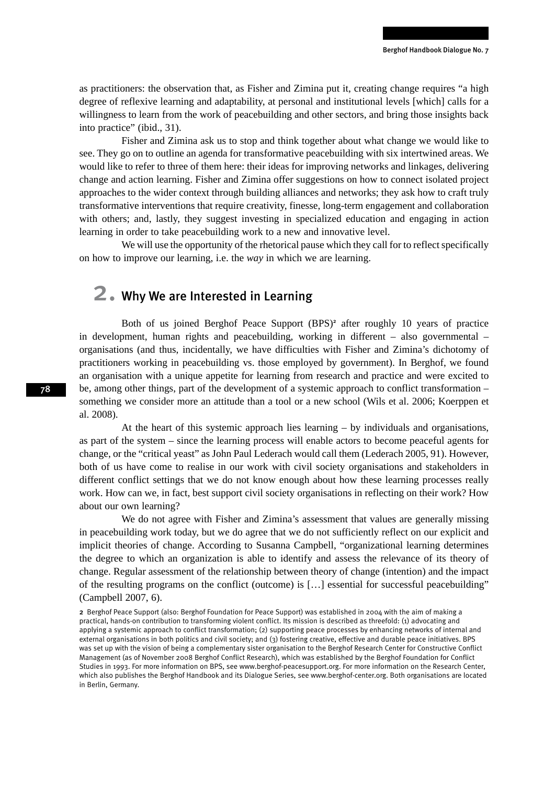as practitioners: the observation that, as Fisher and Zimina put it, creating change requires "a high degree of reflexive learning and adaptability, at personal and institutional levels [which] calls for a willingness to learn from the work of peacebuilding and other sectors, and bring those insights back into practice" (ibid., 31).

Fisher and Zimina ask us to stop and think together about what change we would like to see. They go on to outline an agenda for transformative peacebuilding with six intertwined areas. We would like to refer to three of them here: their ideas for improving networks and linkages, delivering change and action learning. Fisher and Zimina offer suggestions on how to connect isolated project approaches to the wider context through building alliances and networks; they ask how to craft truly transformative interventions that require creativity, finesse, long-term engagement and collaboration with others; and, lastly, they suggest investing in specialized education and engaging in action learning in order to take peacebuilding work to a new and innovative level.

We will use the opportunity of the rhetorical pause which they call for to reflect specifically on how to improve our learning, i.e. the *way* in which we are learning.

### 2. Why We are Interested in Learning

Both of us joined Berghof Peace Support (BPS)<sup>2</sup> after roughly 10 years of practice in development, human rights and peacebuilding, working in different – also governmental – organisations (and thus, incidentally, we have difficulties with Fisher and Zimina's dichotomy of practitioners working in peacebuilding vs. those employed by government). In Berghof, we found an organisation with a unique appetite for learning from research and practice and were excited to be, among other things, part of the development of a systemic approach to conflict transformation – something we consider more an attitude than a tool or a new school (Wils et al. 2006; Koerppen et al. 2008).

At the heart of this systemic approach lies learning – by individuals and organisations, as part of the system – since the learning process will enable actors to become peaceful agents for change, or the "critical yeast" as John Paul Lederach would call them (Lederach 2005, 91). However, both of us have come to realise in our work with civil society organisations and stakeholders in different conflict settings that we do not know enough about how these learning processes really work. How can we, in fact, best support civil society organisations in reflecting on their work? How about our own learning?

We do not agree with Fisher and Zimina's assessment that values are generally missing in peacebuilding work today, but we do agree that we do not sufficiently reflect on our explicit and implicit theories of change. According to Susanna Campbell, "organizational learning determines the degree to which an organization is able to identify and assess the relevance of its theory of change. Regular assessment of the relationship between theory of change (intention) and the impact of the resulting programs on the conflict (outcome) is […] essential for successful peacebuilding" (Campbell 2007, 6).

2 Berghof Peace Support (also: Berghof Foundation for Peace Support) was established in 2004 with the aim of making a practical, hands-on contribution to transforming violent conflict. Its mission is described as threefold: (1) advocating and applying a systemic approach to conflict transformation; (2) supporting peace processes by enhancing networks of internal and external organisations in both politics and civil society; and (3) fostering creative, effective and durable peace initiatives. BPS was set up with the vision of being a complementary sister organisation to the Berghof Research Center for Constructive Conflict Management (as of November 2008 Berghof Conflict Research), which was established by the Berghof Foundation for Conflict Studies in 1993. For more information on BPS, see www.berghof-peacesupport.org. For more information on the Research Center, which also publishes the Berghof Handbook and its Dialogue Series, see www.berghof-center.org. Both organisations are located in Berlin, Germany.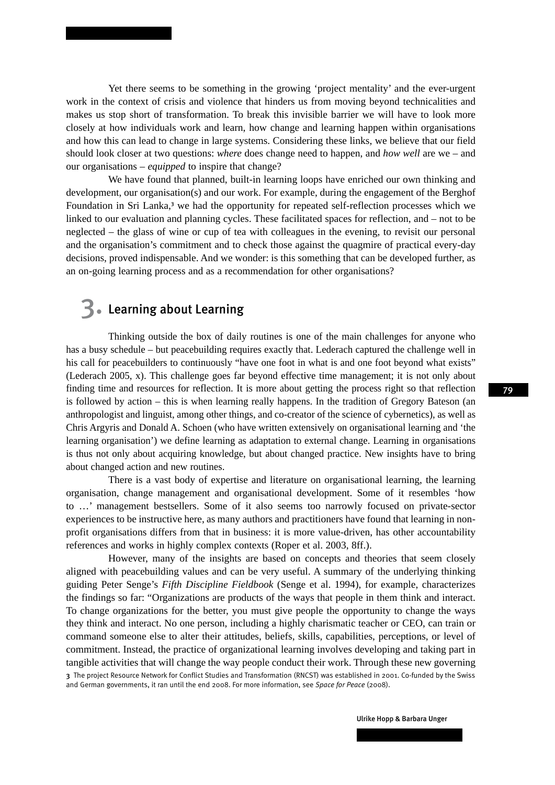Yet there seems to be something in the growing 'project mentality' and the ever-urgent work in the context of crisis and violence that hinders us from moving beyond technicalities and makes us stop short of transformation. To break this invisible barrier we will have to look more closely at how individuals work and learn, how change and learning happen within organisations and how this can lead to change in large systems. Considering these links, we believe that our field should look closer at two questions: *where* does change need to happen, and *how well* are we – and our organisations – *equipped* to inspire that change?

We have found that planned, built-in learning loops have enriched our own thinking and development, our organisation(s) and our work. For example, during the engagement of the Berghof Foundation in Sri Lanka,<sup>3</sup> we had the opportunity for repeated self-reflection processes which we linked to our evaluation and planning cycles. These facilitated spaces for reflection, and – not to be neglected – the glass of wine or cup of tea with colleagues in the evening, to revisit our personal and the organisation's commitment and to check those against the quagmire of practical every-day decisions, proved indispensable. And we wonder: is this something that can be developed further, as an on-going learning process and as a recommendation for other organisations?

### 3. Learning about Learning

Thinking outside the box of daily routines is one of the main challenges for anyone who has a busy schedule – but peacebuilding requires exactly that. Lederach captured the challenge well in his call for peacebuilders to continuously "have one foot in what is and one foot beyond what exists" (Lederach 2005, x). This challenge goes far beyond effective time management; it is not only about finding time and resources for reflection. It is more about getting the process right so that reflection is followed by action – this is when learning really happens. In the tradition of Gregory Bateson (an anthropologist and linguist, among other things, and co-creator of the science of cybernetics), as well as Chris Argyris and Donald A. Schoen (who have written extensively on organisational learning and 'the learning organisation') we define learning as adaptation to external change. Learning in organisations is thus not only about acquiring knowledge, but about changed practice. New insights have to bring about changed action and new routines.

There is a vast body of expertise and literature on organisational learning, the learning organisation, change management and organisational development. Some of it resembles 'how to …' management bestsellers. Some of it also seems too narrowly focused on private-sector experiences to be instructive here, as many authors and practitioners have found that learning in nonprofit organisations differs from that in business: it is more value-driven, has other accountability references and works in highly complex contexts (Roper et al. 2003, 8ff.).

However, many of the insights are based on concepts and theories that seem closely aligned with peacebuilding values and can be very useful. A summary of the underlying thinking guiding Peter Senge's *Fifth Discipline Fieldbook* (Senge et al. 1994), for example, characterizes the findings so far: "Organizations are products of the ways that people in them think and interact. To change organizations for the better, you must give people the opportunity to change the ways they think and interact. No one person, including a highly charismatic teacher or CEO, can train or command someone else to alter their attitudes, beliefs, skills, capabilities, perceptions, or level of commitment. Instead, the practice of organizational learning involves developing and taking part in tangible activities that will change the way people conduct their work. Through these new governing 3 The project Resource Network for Conflict Studies and Transformation (RNCST) was established in 2001. Co-funded by the Swiss and German governments, it ran until the end 2008. For more information, see *Space for Peace* (2008).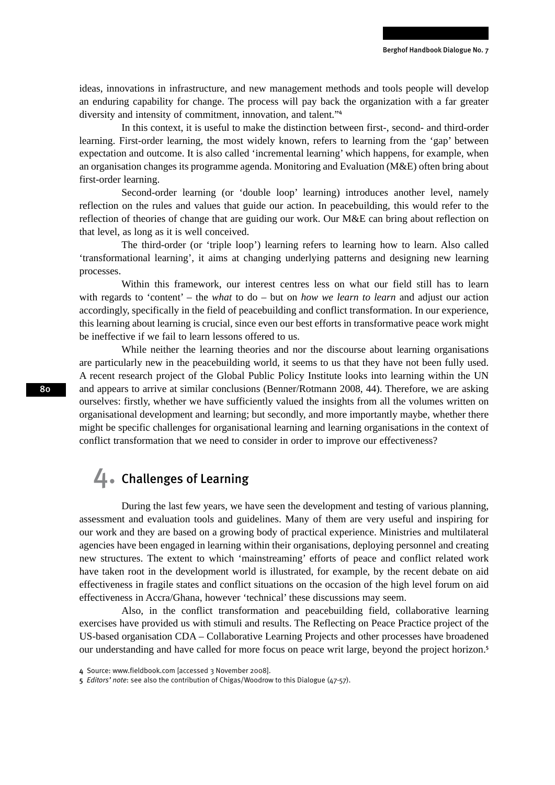ideas, innovations in infrastructure, and new management methods and tools people will develop an enduring capability for change. The process will pay back the organization with a far greater diversity and intensity of commitment, innovation, and talent."<sup>4</sup>

In this context, it is useful to make the distinction between first-, second- and third-order learning. First-order learning, the most widely known, refers to learning from the 'gap' between expectation and outcome. It is also called 'incremental learning' which happens, for example, when an organisation changes its programme agenda. Monitoring and Evaluation (M&E) often bring about first-order learning.

Second-order learning (or 'double loop' learning) introduces another level, namely reflection on the rules and values that guide our action. In peacebuilding, this would refer to the reflection of theories of change that are guiding our work. Our M&E can bring about reflection on that level, as long as it is well conceived.

The third-order (or 'triple loop') learning refers to learning how to learn. Also called 'transformational learning', it aims at changing underlying patterns and designing new learning processes.

Within this framework, our interest centres less on what our field still has to learn with regards to 'content' – the *what* to do – but on *how we learn to learn* and adjust our action accordingly, specifically in the field of peacebuilding and conflict transformation. In our experience, this learning about learning is crucial, since even our best efforts in transformative peace work might be ineffective if we fail to learn lessons offered to us.

While neither the learning theories and nor the discourse about learning organisations are particularly new in the peacebuilding world, it seems to us that they have not been fully used. A recent research project of the Global Public Policy Institute looks into learning within the UN and appears to arrive at similar conclusions (Benner/Rotmann 2008, 44). Therefore, we are asking ourselves: firstly, whether we have sufficiently valued the insights from all the volumes written on organisational development and learning; but secondly, and more importantly maybe, whether there might be specific challenges for organisational learning and learning organisations in the context of conflict transformation that we need to consider in order to improve our effectiveness?

### 4. Challenges of Learning

During the last few years, we have seen the development and testing of various planning, assessment and evaluation tools and guidelines. Many of them are very useful and inspiring for our work and they are based on a growing body of practical experience. Ministries and multilateral agencies have been engaged in learning within their organisations, deploying personnel and creating new structures. The extent to which 'mainstreaming' efforts of peace and conflict related work have taken root in the development world is illustrated, for example, by the recent debate on aid effectiveness in fragile states and conflict situations on the occasion of the high level forum on aid effectiveness in Accra/Ghana, however 'technical' these discussions may seem.

Also, in the conflict transformation and peacebuilding field, collaborative learning exercises have provided us with stimuli and results. The Reflecting on Peace Practice project of the US-based organisation CDA – Collaborative Learning Projects and other processes have broadened our understanding and have called for more focus on peace writ large, beyond the project horizon.<sup>5</sup>

<sup>4</sup> Source: www.fieldbook.com [accessed 3 November 2008].

<sup>5</sup> *Editors' note*: see also the contribution of Chigas/Woodrow to this Dialogue (47-57).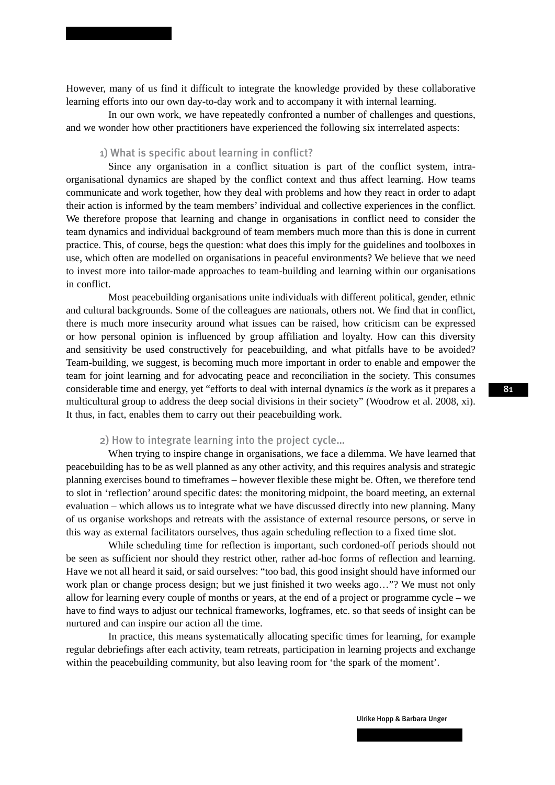However, many of us find it difficult to integrate the knowledge provided by these collaborative learning efforts into our own day-to-day work and to accompany it with internal learning.

In our own work, we have repeatedly confronted a number of challenges and questions, and we wonder how other practitioners have experienced the following six interrelated aspects:

#### 1) What is specific about learning in conflict?

Since any organisation in a conflict situation is part of the conflict system, intraorganisational dynamics are shaped by the conflict context and thus affect learning. How teams communicate and work together, how they deal with problems and how they react in order to adapt their action is informed by the team members' individual and collective experiences in the conflict. We therefore propose that learning and change in organisations in conflict need to consider the team dynamics and individual background of team members much more than this is done in current practice. This, of course, begs the question: what does this imply for the guidelines and toolboxes in use, which often are modelled on organisations in peaceful environments? We believe that we need to invest more into tailor-made approaches to team-building and learning within our organisations in conflict.

Most peacebuilding organisations unite individuals with different political, gender, ethnic and cultural backgrounds. Some of the colleagues are nationals, others not. We find that in conflict, there is much more insecurity around what issues can be raised, how criticism can be expressed or how personal opinion is influenced by group affiliation and loyalty. How can this diversity and sensitivity be used constructively for peacebuilding, and what pitfalls have to be avoided? Team-building, we suggest, is becoming much more important in order to enable and empower the team for joint learning and for advocating peace and reconciliation in the society. This consumes considerable time and energy, yet "efforts to deal with internal dynamics *is* the work as it prepares a multicultural group to address the deep social divisions in their society" (Woodrow et al. 2008, xi). It thus, in fact, enables them to carry out their peacebuilding work.

#### 2) How to integrate learning into the project cycle…

When trying to inspire change in organisations, we face a dilemma. We have learned that peacebuilding has to be as well planned as any other activity, and this requires analysis and strategic planning exercises bound to timeframes – however flexible these might be. Often, we therefore tend to slot in 'reflection' around specific dates: the monitoring midpoint, the board meeting, an external evaluation – which allows us to integrate what we have discussed directly into new planning. Many of us organise workshops and retreats with the assistance of external resource persons, or serve in this way as external facilitators ourselves, thus again scheduling reflection to a fixed time slot.

While scheduling time for reflection is important, such cordoned-off periods should not be seen as sufficient nor should they restrict other, rather ad-hoc forms of reflection and learning. Have we not all heard it said, or said ourselves: "too bad, this good insight should have informed our work plan or change process design; but we just finished it two weeks ago…"? We must not only allow for learning every couple of months or years, at the end of a project or programme cycle – we have to find ways to adjust our technical frameworks, logframes, etc. so that seeds of insight can be nurtured and can inspire our action all the time.

In practice, this means systematically allocating specific times for learning, for example regular debriefings after each activity, team retreats, participation in learning projects and exchange within the peacebuilding community, but also leaving room for 'the spark of the moment'.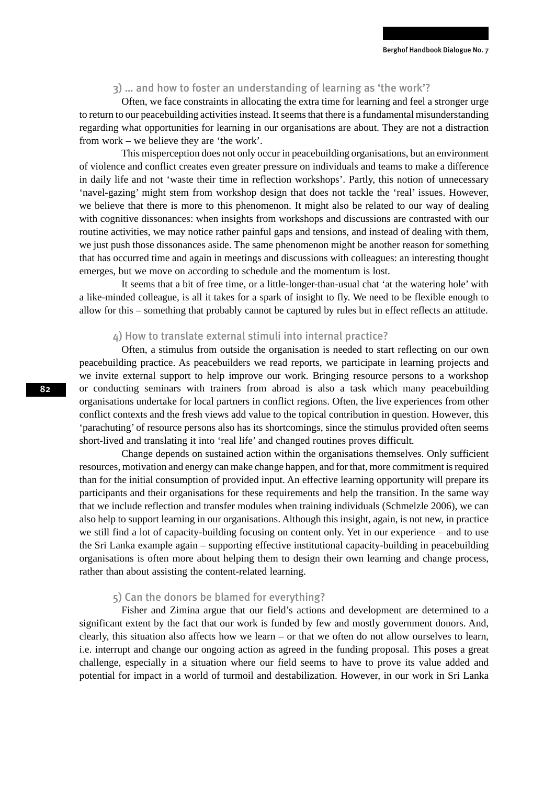#### 3) … and how to foster an understanding of learning as 'the work'?

Often, we face constraints in allocating the extra time for learning and feel a stronger urge to return to our peacebuilding activities instead. It seems that there is a fundamental misunderstanding regarding what opportunities for learning in our organisations are about. They are not a distraction from work – we believe they are 'the work'.

This misperception does not only occur in peacebuilding organisations, but an environment of violence and conflict creates even greater pressure on individuals and teams to make a difference in daily life and not 'waste their time in reflection workshops'. Partly, this notion of unnecessary 'navel-gazing' might stem from workshop design that does not tackle the 'real' issues. However, we believe that there is more to this phenomenon. It might also be related to our way of dealing with cognitive dissonances: when insights from workshops and discussions are contrasted with our routine activities, we may notice rather painful gaps and tensions, and instead of dealing with them, we just push those dissonances aside. The same phenomenon might be another reason for something that has occurred time and again in meetings and discussions with colleagues: an interesting thought emerges, but we move on according to schedule and the momentum is lost.

It seems that a bit of free time, or a little-longer-than-usual chat 'at the watering hole' with a like-minded colleague, is all it takes for a spark of insight to fly. We need to be flexible enough to allow for this – something that probably cannot be captured by rules but in effect reflects an attitude.

#### 4) How to translate external stimuli into internal practice?

Often, a stimulus from outside the organisation is needed to start reflecting on our own peacebuilding practice. As peacebuilders we read reports, we participate in learning projects and we invite external support to help improve our work. Bringing resource persons to a workshop or conducting seminars with trainers from abroad is also a task which many peacebuilding organisations undertake for local partners in conflict regions. Often, the live experiences from other conflict contexts and the fresh views add value to the topical contribution in question. However, this 'parachuting' of resource persons also has its shortcomings, since the stimulus provided often seems short-lived and translating it into 'real life' and changed routines proves difficult.

Change depends on sustained action within the organisations themselves. Only sufficient resources, motivation and energy can make change happen, and for that, more commitment is required than for the initial consumption of provided input. An effective learning opportunity will prepare its participants and their organisations for these requirements and help the transition. In the same way that we include reflection and transfer modules when training individuals (Schmelzle 2006), we can also help to support learning in our organisations. Although this insight, again, is not new, in practice we still find a lot of capacity-building focusing on content only. Yet in our experience – and to use the Sri Lanka example again – supporting effective institutional capacity-building in peacebuilding organisations is often more about helping them to design their own learning and change process, rather than about assisting the content-related learning.

#### 5) Can the donors be blamed for everything?

Fisher and Zimina argue that our field's actions and development are determined to a significant extent by the fact that our work is funded by few and mostly government donors. And, clearly, this situation also affects how we learn – or that we often do not allow ourselves to learn, i.e. interrupt and change our ongoing action as agreed in the funding proposal. This poses a great challenge, especially in a situation where our field seems to have to prove its value added and potential for impact in a world of turmoil and destabilization. However, in our work in Sri Lanka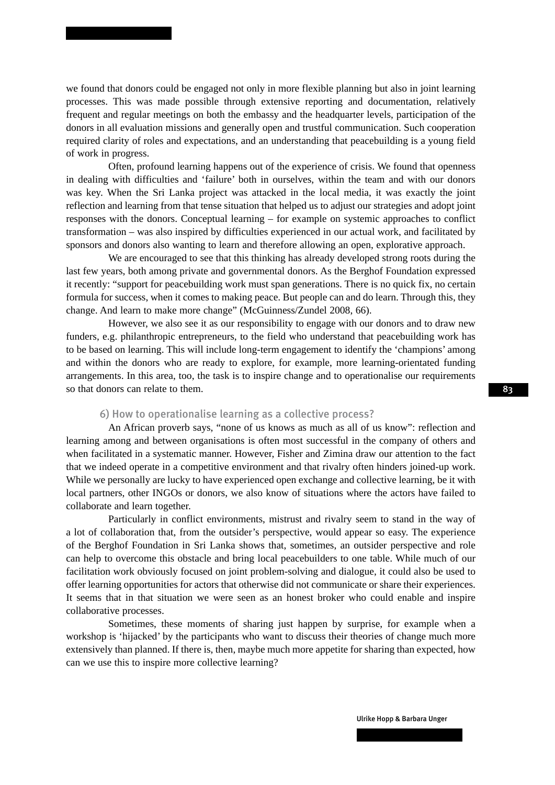we found that donors could be engaged not only in more flexible planning but also in joint learning processes. This was made possible through extensive reporting and documentation, relatively frequent and regular meetings on both the embassy and the headquarter levels, participation of the donors in all evaluation missions and generally open and trustful communication. Such cooperation required clarity of roles and expectations, and an understanding that peacebuilding is a young field of work in progress.

Often, profound learning happens out of the experience of crisis. We found that openness in dealing with difficulties and 'failure' both in ourselves, within the team and with our donors was key. When the Sri Lanka project was attacked in the local media, it was exactly the joint reflection and learning from that tense situation that helped us to adjust our strategies and adopt joint responses with the donors. Conceptual learning – for example on systemic approaches to conflict transformation – was also inspired by difficulties experienced in our actual work, and facilitated by sponsors and donors also wanting to learn and therefore allowing an open, explorative approach.

We are encouraged to see that this thinking has already developed strong roots during the last few years, both among private and governmental donors. As the Berghof Foundation expressed it recently: "support for peacebuilding work must span generations. There is no quick fix, no certain formula for success, when it comes to making peace. But people can and do learn. Through this, they change. And learn to make more change" (McGuinness/Zundel 2008, 66).

However, we also see it as our responsibility to engage with our donors and to draw new funders, e.g. philanthropic entrepreneurs, to the field who understand that peacebuilding work has to be based on learning. This will include long-term engagement to identify the 'champions' among and within the donors who are ready to explore, for example, more learning-orientated funding arrangements. In this area, too, the task is to inspire change and to operationalise our requirements so that donors can relate to them.

### 6) How to operationalise learning as a collective process?

An African proverb says, "none of us knows as much as all of us know": reflection and learning among and between organisations is often most successful in the company of others and when facilitated in a systematic manner. However, Fisher and Zimina draw our attention to the fact that we indeed operate in a competitive environment and that rivalry often hinders joined-up work. While we personally are lucky to have experienced open exchange and collective learning, be it with local partners, other INGOs or donors, we also know of situations where the actors have failed to collaborate and learn together.

Particularly in conflict environments, mistrust and rivalry seem to stand in the way of a lot of collaboration that, from the outsider's perspective, would appear so easy. The experience of the Berghof Foundation in Sri Lanka shows that, sometimes, an outsider perspective and role can help to overcome this obstacle and bring local peacebuilders to one table. While much of our facilitation work obviously focused on joint problem-solving and dialogue, it could also be used to offer learning opportunities for actors that otherwise did not communicate or share their experiences. It seems that in that situation we were seen as an honest broker who could enable and inspire collaborative processes.

Sometimes, these moments of sharing just happen by surprise, for example when a workshop is 'hijacked' by the participants who want to discuss their theories of change much more extensively than planned. If there is, then, maybe much more appetite for sharing than expected, how can we use this to inspire more collective learning?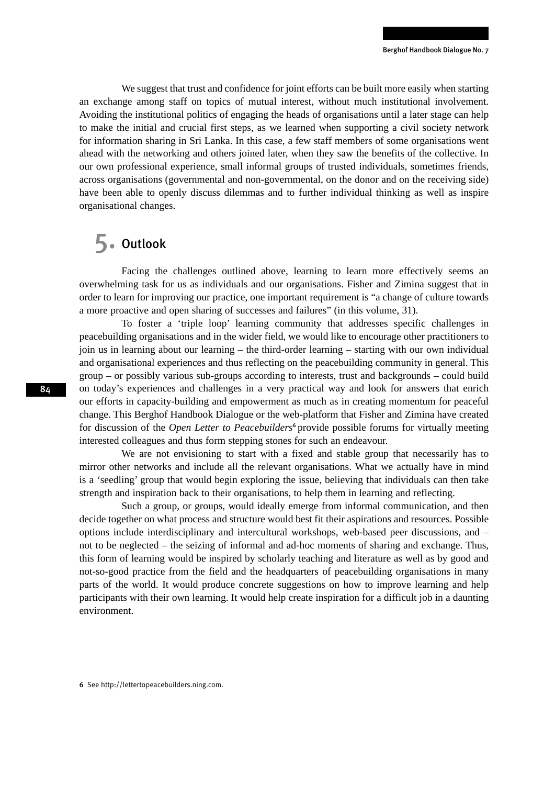We suggest that trust and confidence for joint efforts can be built more easily when starting an exchange among staff on topics of mutual interest, without much institutional involvement. Avoiding the institutional politics of engaging the heads of organisations until a later stage can help to make the initial and crucial first steps, as we learned when supporting a civil society network for information sharing in Sri Lanka. In this case, a few staff members of some organisations went ahead with the networking and others joined later, when they saw the benefits of the collective. In our own professional experience, small informal groups of trusted individuals, sometimes friends, across organisations (governmental and non-governmental, on the donor and on the receiving side) have been able to openly discuss dilemmas and to further individual thinking as well as inspire organisational changes.

### 5. Outlook

Facing the challenges outlined above, learning to learn more effectively seems an overwhelming task for us as individuals and our organisations. Fisher and Zimina suggest that in order to learn for improving our practice, one important requirement is "a change of culture towards a more proactive and open sharing of successes and failures" (in this volume, 31).

To foster a 'triple loop' learning community that addresses specific challenges in peacebuilding organisations and in the wider field, we would like to encourage other practitioners to join us in learning about our learning – the third-order learning – starting with our own individual and organisational experiences and thus reflecting on the peacebuilding community in general. This group – or possibly various sub-groups according to interests, trust and backgrounds – could build on today's experiences and challenges in a very practical way and look for answers that enrich our efforts in capacity-building and empowerment as much as in creating momentum for peaceful change. This Berghof Handbook Dialogue or the web-platform that Fisher and Zimina have created for discussion of the *Open Letter to Peacebuilders*<sup>6</sup> provide possible forums for virtually meeting interested colleagues and thus form stepping stones for such an endeavour.

We are not envisioning to start with a fixed and stable group that necessarily has to mirror other networks and include all the relevant organisations. What we actually have in mind is a 'seedling' group that would begin exploring the issue, believing that individuals can then take strength and inspiration back to their organisations, to help them in learning and reflecting.

Such a group, or groups, would ideally emerge from informal communication, and then decide together on what process and structure would best fit their aspirations and resources. Possible options include interdisciplinary and intercultural workshops, web-based peer discussions, and – not to be neglected – the seizing of informal and ad-hoc moments of sharing and exchange. Thus, this form of learning would be inspired by scholarly teaching and literature as well as by good and not-so-good practice from the field and the headquarters of peacebuilding organisations in many parts of the world. It would produce concrete suggestions on how to improve learning and help participants with their own learning. It would help create inspiration for a difficult job in a daunting environment.

6 See http://lettertopeacebuilders.ning.com.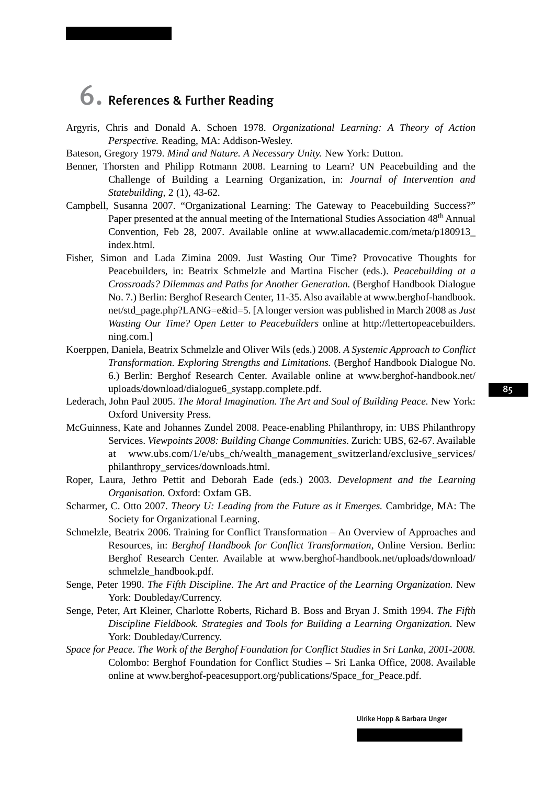# 6. References & Further Reading

- Argyris, Chris and Donald A. Schoen 1978. *Organizational Learning: A Theory of Action Perspective.* Reading, MA: Addison-Wesley.
- Bateson, Gregory 1979. *Mind and Nature. A Necessary Unity.* New York: Dutton.
- Benner, Thorsten and Philipp Rotmann 2008. Learning to Learn? UN Peacebuilding and the Challenge of Building a Learning Organization, in: *Journal of Intervention and Statebuilding,* 2 (1), 43-62.
- Campbell, Susanna 2007. "Organizational Learning: The Gateway to Peacebuilding Success?" Paper presented at the annual meeting of the International Studies Association 48<sup>th</sup> Annual Convention, Feb 28, 2007. Available online at www.allacademic.com/meta/p180913\_ index.html.
- Fisher, Simon and Lada Zimina 2009. Just Wasting Our Time? Provocative Thoughts for Peacebuilders, in: Beatrix Schmelzle and Martina Fischer (eds.). *Peacebuilding at a Crossroads? Dilemmas and Paths for Another Generation.* (Berghof Handbook Dialogue No. 7.) Berlin: Berghof Research Center, 11-35. Also available at www.berghof-handbook. net/std\_page.php?LANG=e&id=5. [A longer version was published in March 2008 as *Just Wasting Our Time? Open Letter to Peacebuilders* online at http://lettertopeacebuilders. ning.com.]
- Koerppen, Daniela, Beatrix Schmelzle and Oliver Wils (eds.) 2008. *A Systemic Approach to Conflict Transformation. Exploring Strengths and Limitations.* (Berghof Handbook Dialogue No. 6.) Berlin: Berghof Research Center. Available online at www.berghof-handbook.net/ uploads/download/dialogue6\_systapp.complete.pdf.
- Lederach, John Paul 2005. *The Moral Imagination. The Art and Soul of Building Peace.* New York: Oxford University Press.
- McGuinness, Kate and Johannes Zundel 2008. Peace-enabling Philanthropy, in: UBS Philanthropy Services. *Viewpoints 2008: Building Change Communities.* Zurich: UBS, 62-67. Available at www.ubs.com/1/e/ubs\_ch/wealth\_management\_switzerland/exclusive\_services/ philanthropy\_services/downloads.html.
- Roper, Laura, Jethro Pettit and Deborah Eade (eds.) 2003. *Development and the Learning Organisation.* Oxford: Oxfam GB.
- Scharmer, C. Otto 2007. *Theory U: Leading from the Future as it Emerges.* Cambridge, MA: The Society for Organizational Learning.
- Schmelzle, Beatrix 2006. Training for Conflict Transformation An Overview of Approaches and Resources, in: *Berghof Handbook for Conflict Transformation,* Online Version. Berlin: Berghof Research Center. Available at www.berghof-handbook.net/uploads/download/ schmelzle\_handbook.pdf.
- Senge, Peter 1990. *The Fifth Discipline. The Art and Practice of the Learning Organization.* New York: Doubleday/Currency.
- Senge, Peter, Art Kleiner, Charlotte Roberts, Richard B. Boss and Bryan J. Smith 1994. *The Fifth Discipline Fieldbook. Strategies and Tools for Building a Learning Organization.* New York: Doubleday/Currency.
- *Space for Peace. The Work of the Berghof Foundation for Conflict Studies in Sri Lanka, 2001-2008.* Colombo: Berghof Foundation for Conflict Studies – Sri Lanka Office, 2008. Available online at www.berghof-peacesupport.org/publications/Space\_for\_Peace.pdf.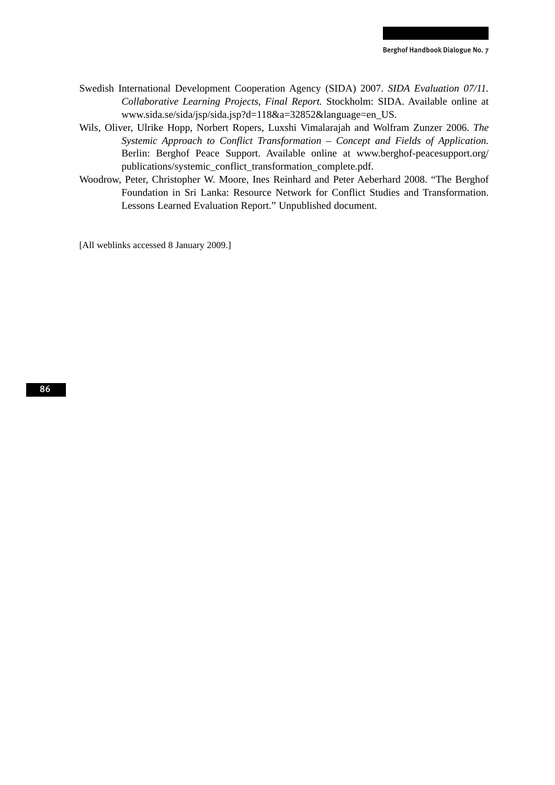- Swedish International Development Cooperation Agency (SIDA) 2007. *SIDA Evaluation 07/11. Collaborative Learning Projects, Final Report.* Stockholm: SIDA. Available online at www.sida.se/sida/jsp/sida.jsp?d=118&a=32852&language=en\_US.
- Wils, Oliver, Ulrike Hopp, Norbert Ropers, Luxshi Vimalarajah and Wolfram Zunzer 2006. *The Systemic Approach to Conflict Transformation – Concept and Fields of Application.*  Berlin: Berghof Peace Support. Available online at www.berghof-peacesupport.org/ publications/systemic\_conflict\_transformation\_complete.pdf.
- Woodrow, Peter, Christopher W. Moore, Ines Reinhard and Peter Aeberhard 2008. "The Berghof Foundation in Sri Lanka: Resource Network for Conflict Studies and Transformation. Lessons Learned Evaluation Report." Unpublished document.

[All weblinks accessed 8 January 2009.]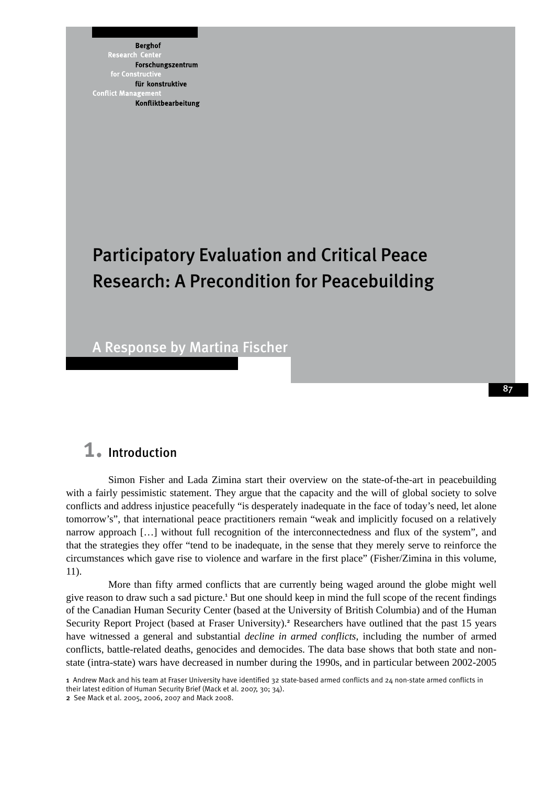**Berghof** Research Forschungszentrum für konstruktive **Conflict Mana** Konfliktbearbeitung

# Participatory Evaluation and Critical Peace Research: A Precondition for Peacebuilding

A Response by Martina Fischer

### 1. Introduction

Simon Fisher and Lada Zimina start their overview on the state-of-the-art in peacebuilding with a fairly pessimistic statement. They argue that the capacity and the will of global society to solve conflicts and address injustice peacefully "is desperately inadequate in the face of today's need, let alone tomorrow's", that international peace practitioners remain "weak and implicitly focused on a relatively narrow approach […] without full recognition of the interconnectedness and flux of the system", and that the strategies they offer "tend to be inadequate, in the sense that they merely serve to reinforce the circumstances which gave rise to violence and warfare in the first place" (Fisher/Zimina in this volume, 11).

More than fifty armed conflicts that are currently being waged around the globe might well give reason to draw such a sad picture.<sup>1</sup> But one should keep in mind the full scope of the recent findings of the Canadian Human Security Center (based at the University of British Columbia) and of the Human Security Report Project (based at Fraser University).<sup>2</sup> Researchers have outlined that the past 15 years have witnessed a general and substantial *decline in armed conflicts*, including the number of armed conflicts, battle-related deaths, genocides and democides. The data base shows that both state and nonstate (intra-state) wars have decreased in number during the 1990s, and in particular between 2002-2005

<sup>1</sup> Andrew Mack and his team at Fraser University have identified 32 state-based armed conflicts and 24 non-state armed conflicts in their latest edition of Human Security Brief (Mack et al. 2007, 30; 34).

<sup>2</sup> See Mack et al. 2005, 2006, 2007 and Mack 2008.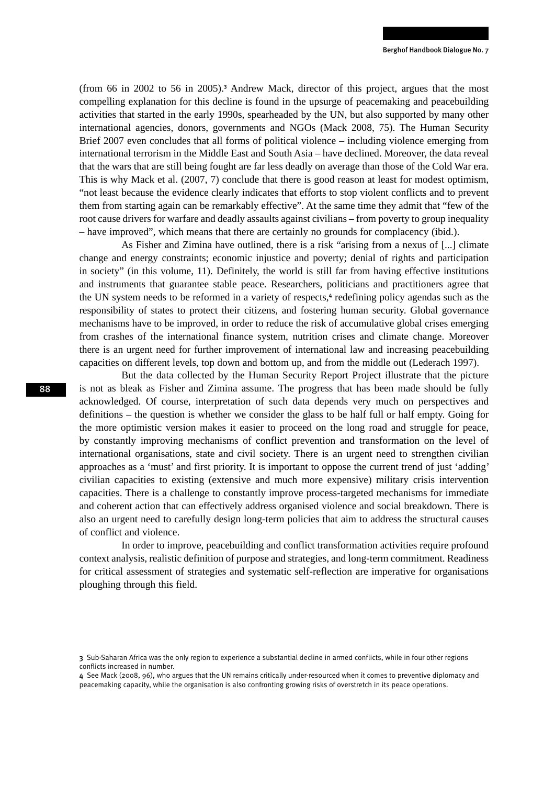(from 66 in 2002 to 56 in 2005).<sup>3</sup> Andrew Mack, director of this project, argues that the most compelling explanation for this decline is found in the upsurge of peacemaking and peacebuilding activities that started in the early 1990s, spearheaded by the UN, but also supported by many other international agencies, donors, governments and NGOs (Mack 2008, 75). The Human Security Brief 2007 even concludes that all forms of political violence – including violence emerging from international terrorism in the Middle East and South Asia – have declined. Moreover, the data reveal that the wars that are still being fought are far less deadly on average than those of the Cold War era. This is why Mack et al. (2007, 7) conclude that there is good reason at least for modest optimism, "not least because the evidence clearly indicates that efforts to stop violent conflicts and to prevent them from starting again can be remarkably effective". At the same time they admit that "few of the root cause drivers for warfare and deadly assaults against civilians – from poverty to group inequality – have improved", which means that there are certainly no grounds for complacency (ibid.).

As Fisher and Zimina have outlined, there is a risk "arising from a nexus of [...] climate change and energy constraints; economic injustice and poverty; denial of rights and participation in society" (in this volume, 11). Definitely, the world is still far from having effective institutions and instruments that guarantee stable peace. Researchers, politicians and practitioners agree that the UN system needs to be reformed in a variety of respects,<sup>4</sup> redefining policy agendas such as the responsibility of states to protect their citizens, and fostering human security. Global governance mechanisms have to be improved, in order to reduce the risk of accumulative global crises emerging from crashes of the international finance system, nutrition crises and climate change. Moreover there is an urgent need for further improvement of international law and increasing peacebuilding capacities on different levels, top down and bottom up, and from the middle out (Lederach 1997).

But the data collected by the Human Security Report Project illustrate that the picture is not as bleak as Fisher and Zimina assume. The progress that has been made should be fully acknowledged. Of course, interpretation of such data depends very much on perspectives and definitions – the question is whether we consider the glass to be half full or half empty. Going for the more optimistic version makes it easier to proceed on the long road and struggle for peace, by constantly improving mechanisms of conflict prevention and transformation on the level of international organisations, state and civil society. There is an urgent need to strengthen civilian approaches as a 'must' and first priority. It is important to oppose the current trend of just 'adding' civilian capacities to existing (extensive and much more expensive) military crisis intervention capacities. There is a challenge to constantly improve process-targeted mechanisms for immediate and coherent action that can effectively address organised violence and social breakdown. There is also an urgent need to carefully design long-term policies that aim to address the structural causes of conflict and violence.

In order to improve, peacebuilding and conflict transformation activities require profound context analysis, realistic definition of purpose and strategies, and long-term commitment. Readiness for critical assessment of strategies and systematic self-reflection are imperative for organisations ploughing through this field.

<sup>3</sup> Sub-Saharan Africa was the only region to experience a substantial decline in armed conflicts, while in four other regions conflicts increased in number.

<sup>4</sup> See Mack (2008, 96), who argues that the UN remains critically under-resourced when it comes to preventive diplomacy and peacemaking capacity, while the organisation is also confronting growing risks of overstretch in its peace operations.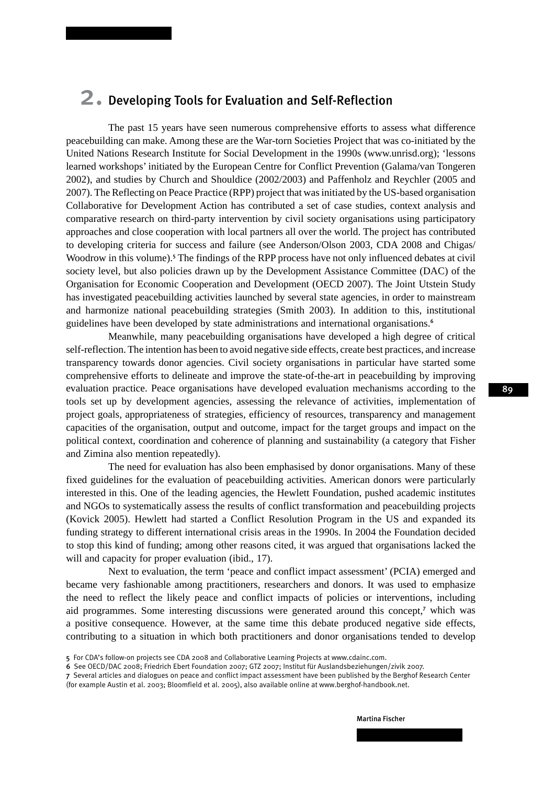### 2. Developing Tools for Evaluation and Self-Reflection

The past 15 years have seen numerous comprehensive efforts to assess what difference peacebuilding can make. Among these are the War-torn Societies Project that was co-initiated by the United Nations Research Institute for Social Development in the 1990s (www.unrisd.org); 'lessons learned workshops' initiated by the European Centre for Conflict Prevention (Galama/van Tongeren 2002), and studies by Church and Shouldice (2002/2003) and Paffenholz and Reychler (2005 and 2007). The Reflecting on Peace Practice (RPP) project that was initiated by the US-based organisation Collaborative for Development Action has contributed a set of case studies, context analysis and comparative research on third-party intervention by civil society organisations using participatory approaches and close cooperation with local partners all over the world. The project has contributed to developing criteria for success and failure (see Anderson/Olson 2003, CDA 2008 and Chigas/ Woodrow in this volume).<sup>5</sup> The findings of the RPP process have not only influenced debates at civil society level, but also policies drawn up by the Development Assistance Committee (DAC) of the Organisation for Economic Cooperation and Development (OECD 2007). The Joint Utstein Study has investigated peacebuilding activities launched by several state agencies, in order to mainstream and harmonize national peacebuilding strategies (Smith 2003). In addition to this, institutional guidelines have been developed by state administrations and international organisations.<sup>6</sup>

Meanwhile, many peacebuilding organisations have developed a high degree of critical self-reflection. The intention has been to avoid negative side effects, create best practices, and increase transparency towards donor agencies. Civil society organisations in particular have started some comprehensive efforts to delineate and improve the state-of-the-art in peacebuilding by improving evaluation practice. Peace organisations have developed evaluation mechanisms according to the tools set up by development agencies, assessing the relevance of activities, implementation of project goals, appropriateness of strategies, efficiency of resources, transparency and management capacities of the organisation, output and outcome, impact for the target groups and impact on the political context, coordination and coherence of planning and sustainability (a category that Fisher and Zimina also mention repeatedly).

The need for evaluation has also been emphasised by donor organisations. Many of these fixed guidelines for the evaluation of peacebuilding activities. American donors were particularly interested in this. One of the leading agencies, the Hewlett Foundation, pushed academic institutes and NGOs to systematically assess the results of conflict transformation and peacebuilding projects (Kovick 2005). Hewlett had started a Conflict Resolution Program in the US and expanded its funding strategy to different international crisis areas in the 1990s. In 2004 the Foundation decided to stop this kind of funding; among other reasons cited, it was argued that organisations lacked the will and capacity for proper evaluation (ibid., 17).

Next to evaluation, the term 'peace and conflict impact assessment' (PCIA) emerged and became very fashionable among practitioners, researchers and donors. It was used to emphasize the need to reflect the likely peace and conflict impacts of policies or interventions, including aid programmes. Some interesting discussions were generated around this concept,<sup>7</sup> which was a positive consequence. However, at the same time this debate produced negative side effects, contributing to a situation in which both practitioners and donor organisations tended to develop

89

<sup>5</sup> For CDA's follow-on projects see CDA 2008 and Collaborative Learning Projects at www.cdainc.com.

<sup>6</sup> See OECD/DAC 2008; Friedrich Ebert Foundation 2007; GTZ 2007; Institut für Auslandsbeziehungen/zivik 2007.

<sup>7</sup> Several articles and dialogues on peace and conflict impact assessment have been published by the Berghof Research Center (for example Austin et al. 2003; Bloomfield et al. 2005), also available online at www.berghof-handbook.net.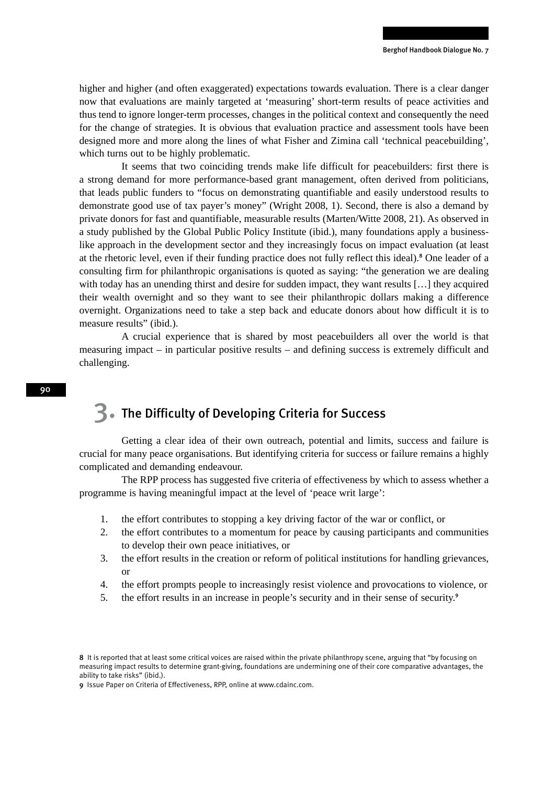higher and higher (and often exaggerated) expectations towards evaluation. There is a clear danger now that evaluations are mainly targeted at 'measuring' short-term results of peace activities and thus tend to ignore longer-term processes, changes in the political context and consequently the need for the change of strategies. It is obvious that evaluation practice and assessment tools have been designed more and more along the lines of what Fisher and Zimina call 'technical peacebuilding', which turns out to be highly problematic.

It seems that two coinciding trends make life difficult for peacebuilders: first there is a strong demand for more performance-based grant management, often derived from politicians, that leads public funders to "focus on demonstrating quantifiable and easily understood results to demonstrate good use of tax payer's money" (Wright 2008, 1). Second, there is also a demand by private donors for fast and quantifiable, measurable results (Marten/Witte 2008, 21). As observed in a study published by the Global Public Policy Institute (ibid.), many foundations apply a businesslike approach in the development sector and they increasingly focus on impact evaluation (at least at the rhetoric level, even if their funding practice does not fully reflect this ideal).<sup>8</sup> One leader of a consulting firm for philanthropic organisations is quoted as saying: "the generation we are dealing with today has an unending thirst and desire for sudden impact, they want results [...] they acquired their wealth overnight and so they want to see their philanthropic dollars making a difference overnight. Organizations need to take a step back and educate donors about how difficult it is to measure results" (ibid.).

A crucial experience that is shared by most peacebuilders all over the world is that measuring impact – in particular positive results – and defining success is extremely difficult and challenging.

### 3. The Difficulty of Developing Criteria for Success

Getting a clear idea of their own outreach, potential and limits, success and failure is crucial for many peace organisations. But identifying criteria for success or failure remains a highly complicated and demanding endeavour.

The RPP process has suggested five criteria of effectiveness by which to assess whether a programme is having meaningful impact at the level of 'peace writ large':

- 1. the effort contributes to stopping a key driving factor of the war or conflict, or
- 2. the effort contributes to a momentum for peace by causing participants and communities to develop their own peace initiatives, or
- 3. the effort results in the creation or reform of political institutions for handling grievances, or
- 4. the effort prompts people to increasingly resist violence and provocations to violence, or
- 5. the effort results in an increase in people's security and in their sense of security.<sup>9</sup>

<sup>8</sup> It is reported that at least some critical voices are raised within the private philanthropy scene, arguing that "by focusing on measuring impact results to determine grant-giving, foundations are undermining one of their core comparative advantages, the ability to take risks" (ibid.).

<sup>9</sup> Issue Paper on Criteria of Effectiveness, RPP, online at www.cdainc.com.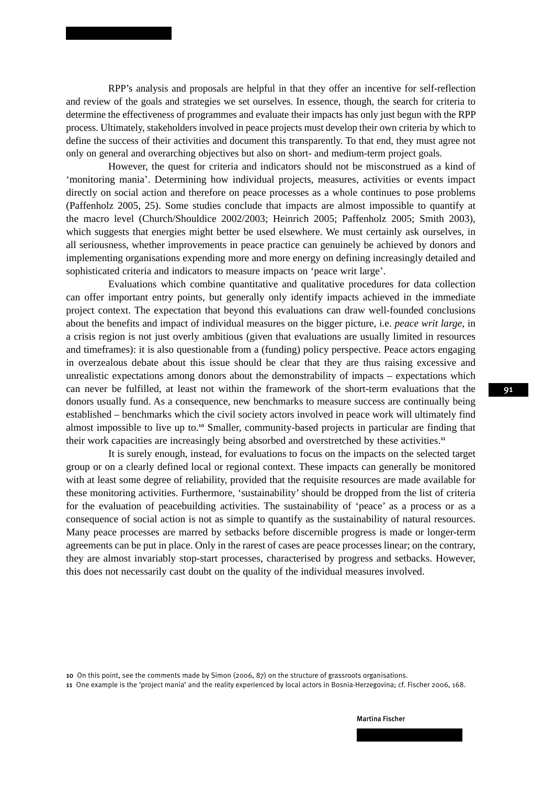RPP's analysis and proposals are helpful in that they offer an incentive for self-reflection and review of the goals and strategies we set ourselves. In essence, though, the search for criteria to determine the effectiveness of programmes and evaluate their impacts has only just begun with the RPP process. Ultimately, stakeholders involved in peace projects must develop their own criteria by which to define the success of their activities and document this transparently. To that end, they must agree not only on general and overarching objectives but also on short- and medium-term project goals.

However, the quest for criteria and indicators should not be misconstrued as a kind of 'monitoring mania'. Determining how individual projects, measures, activities or events impact directly on social action and therefore on peace processes as a whole continues to pose problems (Paffenholz 2005, 25). Some studies conclude that impacts are almost impossible to quantify at the macro level (Church/Shouldice 2002/2003; Heinrich 2005; Paffenholz 2005; Smith 2003), which suggests that energies might better be used elsewhere. We must certainly ask ourselves, in all seriousness, whether improvements in peace practice can genuinely be achieved by donors and implementing organisations expending more and more energy on defining increasingly detailed and sophisticated criteria and indicators to measure impacts on 'peace writ large'.

Evaluations which combine quantitative and qualitative procedures for data collection can offer important entry points, but generally only identify impacts achieved in the immediate project context. The expectation that beyond this evaluations can draw well-founded conclusions about the benefits and impact of individual measures on the bigger picture, i.e. *peace writ large*, in a crisis region is not just overly ambitious (given that evaluations are usually limited in resources and timeframes): it is also questionable from a (funding) policy perspective. Peace actors engaging in overzealous debate about this issue should be clear that they are thus raising excessive and unrealistic expectations among donors about the demonstrability of impacts – expectations which can never be fulfilled, at least not within the framework of the short-term evaluations that the donors usually fund. As a consequence, new benchmarks to measure success are continually being established – benchmarks which the civil society actors involved in peace work will ultimately find almost impossible to live up to.<sup>10</sup> Smaller, community-based projects in particular are finding that their work capacities are increasingly being absorbed and overstretched by these activities.<sup>11</sup>

It is surely enough, instead, for evaluations to focus on the impacts on the selected target group or on a clearly defined local or regional context. These impacts can generally be monitored with at least some degree of reliability, provided that the requisite resources are made available for these monitoring activities. Furthermore, 'sustainability' should be dropped from the list of criteria for the evaluation of peacebuilding activities. The sustainability of 'peace' as a process or as a consequence of social action is not as simple to quantify as the sustainability of natural resources. Many peace processes are marred by setbacks before discernible progress is made or longer-term agreements can be put in place. Only in the rarest of cases are peace processes linear; on the contrary, they are almost invariably stop-start processes, characterised by progress and setbacks. However, this does not necessarily cast doubt on the quality of the individual measures involved.

10 On this point, see the comments made by Simon (2006, 87) on the structure of grassroots organisations.

11 One example is the 'project mania' and the reality experienced by local actors in Bosnia-Herzegovina; cf. Fischer 2006, 168.

#### Martina Fischer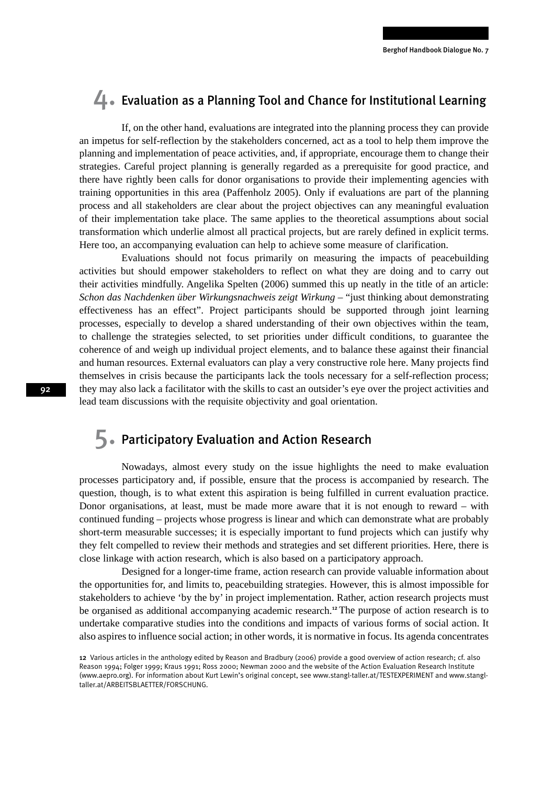### $\Box$ . Evaluation as a Planning Tool and Chance for Institutional Learning

If, on the other hand, evaluations are integrated into the planning process they can provide an impetus for self-reflection by the stakeholders concerned, act as a tool to help them improve the planning and implementation of peace activities, and, if appropriate, encourage them to change their strategies. Careful project planning is generally regarded as a prerequisite for good practice, and there have rightly been calls for donor organisations to provide their implementing agencies with training opportunities in this area (Paffenholz 2005). Only if evaluations are part of the planning process and all stakeholders are clear about the project objectives can any meaningful evaluation of their implementation take place. The same applies to the theoretical assumptions about social transformation which underlie almost all practical projects, but are rarely defined in explicit terms. Here too, an accompanying evaluation can help to achieve some measure of clarification.

Evaluations should not focus primarily on measuring the impacts of peacebuilding activities but should empower stakeholders to reflect on what they are doing and to carry out their activities mindfully. Angelika Spelten (2006) summed this up neatly in the title of an article: *Schon das Nachdenken über Wirkungsnachweis zeigt Wirkung* – "just thinking about demonstrating effectiveness has an effect". Project participants should be supported through joint learning processes, especially to develop a shared understanding of their own objectives within the team, to challenge the strategies selected, to set priorities under difficult conditions, to guarantee the coherence of and weigh up individual project elements, and to balance these against their financial and human resources. External evaluators can play a very constructive role here. Many projects find themselves in crisis because the participants lack the tools necessary for a self-reflection process; they may also lack a facilitator with the skills to cast an outsider's eye over the project activities and lead team discussions with the requisite objectivity and goal orientation.

### 5. Participatory Evaluation and Action Research

Nowadays, almost every study on the issue highlights the need to make evaluation processes participatory and, if possible, ensure that the process is accompanied by research. The question, though, is to what extent this aspiration is being fulfilled in current evaluation practice. Donor organisations, at least, must be made more aware that it is not enough to reward – with continued funding – projects whose progress is linear and which can demonstrate what are probably short-term measurable successes; it is especially important to fund projects which can justify why they felt compelled to review their methods and strategies and set different priorities. Here, there is close linkage with action research, which is also based on a participatory approach.

Designed for a longer-time frame, action research can provide valuable information about the opportunities for, and limits to, peacebuilding strategies. However, this is almost impossible for stakeholders to achieve 'by the by' in project implementation. Rather, action research projects must be organised as additional accompanying academic research.<sup>12</sup> The purpose of action research is to undertake comparative studies into the conditions and impacts of various forms of social action. It also aspires to influence social action; in other words, it is normative in focus. Its agenda concentrates

<sup>12</sup> Various articles in the anthology edited by Reason and Bradbury (2006) provide a good overview of action research; cf. also Reason 1994; Folger 1999; Kraus 1991; Ross 2000; Newman 2000 and the website of the Action Evaluation Research Institute (www.aepro.org). For information about Kurt Lewin's original concept, see www.stangl-taller.at/TESTEXPERIMENT and www.stangltaller.at/ARBEITSBLAETTER/FORSCHUNG.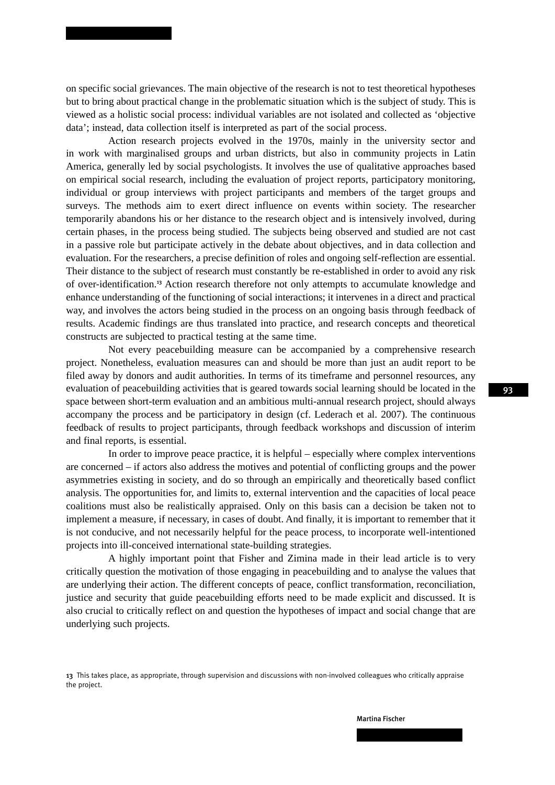on specific social grievances. The main objective of the research is not to test theoretical hypotheses but to bring about practical change in the problematic situation which is the subject of study. This is viewed as a holistic social process: individual variables are not isolated and collected as 'objective data'; instead, data collection itself is interpreted as part of the social process.

Action research projects evolved in the 1970s, mainly in the university sector and in work with marginalised groups and urban districts, but also in community projects in Latin America, generally led by social psychologists. It involves the use of qualitative approaches based on empirical social research, including the evaluation of project reports, participatory monitoring, individual or group interviews with project participants and members of the target groups and surveys. The methods aim to exert direct influence on events within society. The researcher temporarily abandons his or her distance to the research object and is intensively involved, during certain phases, in the process being studied. The subjects being observed and studied are not cast in a passive role but participate actively in the debate about objectives, and in data collection and evaluation. For the researchers, a precise definition of roles and ongoing self-reflection are essential. Their distance to the subject of research must constantly be re-established in order to avoid any risk of over-identification.<sup>13</sup> Action research therefore not only attempts to accumulate knowledge and enhance understanding of the functioning of social interactions; it intervenes in a direct and practical way, and involves the actors being studied in the process on an ongoing basis through feedback of results. Academic findings are thus translated into practice, and research concepts and theoretical constructs are subjected to practical testing at the same time.

Not every peacebuilding measure can be accompanied by a comprehensive research project. Nonetheless, evaluation measures can and should be more than just an audit report to be filed away by donors and audit authorities. In terms of its timeframe and personnel resources, any evaluation of peacebuilding activities that is geared towards social learning should be located in the space between short-term evaluation and an ambitious multi-annual research project, should always accompany the process and be participatory in design (cf. Lederach et al. 2007). The continuous feedback of results to project participants, through feedback workshops and discussion of interim and final reports, is essential.

In order to improve peace practice, it is helpful – especially where complex interventions are concerned – if actors also address the motives and potential of conflicting groups and the power asymmetries existing in society, and do so through an empirically and theoretically based conflict analysis. The opportunities for, and limits to, external intervention and the capacities of local peace coalitions must also be realistically appraised. Only on this basis can a decision be taken not to implement a measure, if necessary, in cases of doubt. And finally, it is important to remember that it is not conducive, and not necessarily helpful for the peace process, to incorporate well-intentioned projects into ill-conceived international state-building strategies.

A highly important point that Fisher and Zimina made in their lead article is to very critically question the motivation of those engaging in peacebuilding and to analyse the values that are underlying their action. The different concepts of peace, conflict transformation, reconciliation, justice and security that guide peacebuilding efforts need to be made explicit and discussed. It is also crucial to critically reflect on and question the hypotheses of impact and social change that are underlying such projects.

<sup>13</sup> This takes place, as appropriate, through supervision and discussions with non-involved colleagues who critically appraise the project.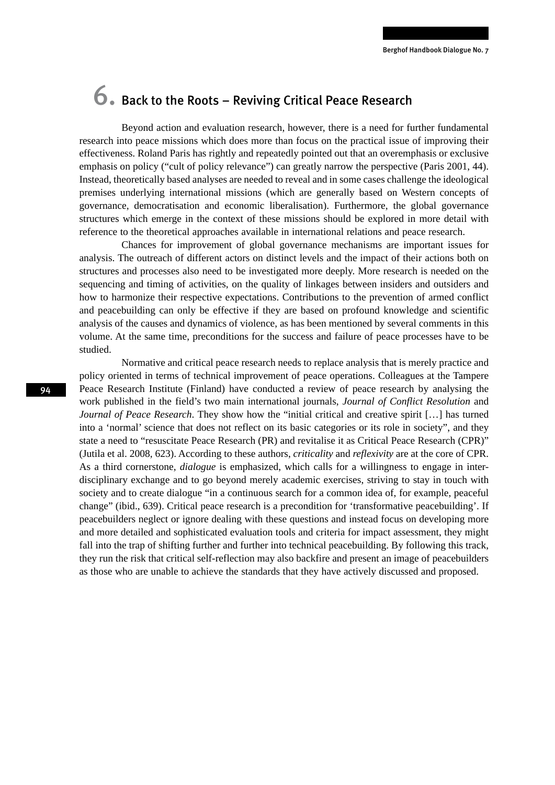## 6. Back to the Roots – Reviving Critical Peace Research

Beyond action and evaluation research, however, there is a need for further fundamental research into peace missions which does more than focus on the practical issue of improving their effectiveness. Roland Paris has rightly and repeatedly pointed out that an overemphasis or exclusive emphasis on policy ("cult of policy relevance") can greatly narrow the perspective (Paris 2001, 44). Instead, theoretically based analyses are needed to reveal and in some cases challenge the ideological premises underlying international missions (which are generally based on Western concepts of governance, democratisation and economic liberalisation). Furthermore, the global governance structures which emerge in the context of these missions should be explored in more detail with reference to the theoretical approaches available in international relations and peace research.

Chances for improvement of global governance mechanisms are important issues for analysis. The outreach of different actors on distinct levels and the impact of their actions both on structures and processes also need to be investigated more deeply. More research is needed on the sequencing and timing of activities, on the quality of linkages between insiders and outsiders and how to harmonize their respective expectations. Contributions to the prevention of armed conflict and peacebuilding can only be effective if they are based on profound knowledge and scientific analysis of the causes and dynamics of violence, as has been mentioned by several comments in this volume. At the same time, preconditions for the success and failure of peace processes have to be studied.

Normative and critical peace research needs to replace analysis that is merely practice and policy oriented in terms of technical improvement of peace operations. Colleagues at the Tampere Peace Research Institute (Finland) have conducted a review of peace research by analysing the work published in the field's two main international journals, *Journal of Conflict Resolution* and *Journal of Peace Research*. They show how the "initial critical and creative spirit [...] has turned into a 'normal' science that does not reflect on its basic categories or its role in society", and they state a need to "resuscitate Peace Research (PR) and revitalise it as Critical Peace Research (CPR)" (Jutila et al. 2008, 623). According to these authors, *criticality* and *reflexivity* are at the core of CPR. As a third cornerstone, *dialogue* is emphasized, which calls for a willingness to engage in interdisciplinary exchange and to go beyond merely academic exercises, striving to stay in touch with society and to create dialogue "in a continuous search for a common idea of, for example, peaceful change" (ibid., 639). Critical peace research is a precondition for 'transformative peacebuilding'. If peacebuilders neglect or ignore dealing with these questions and instead focus on developing more and more detailed and sophisticated evaluation tools and criteria for impact assessment, they might fall into the trap of shifting further and further into technical peacebuilding. By following this track, they run the risk that critical self-reflection may also backfire and present an image of peacebuilders as those who are unable to achieve the standards that they have actively discussed and proposed.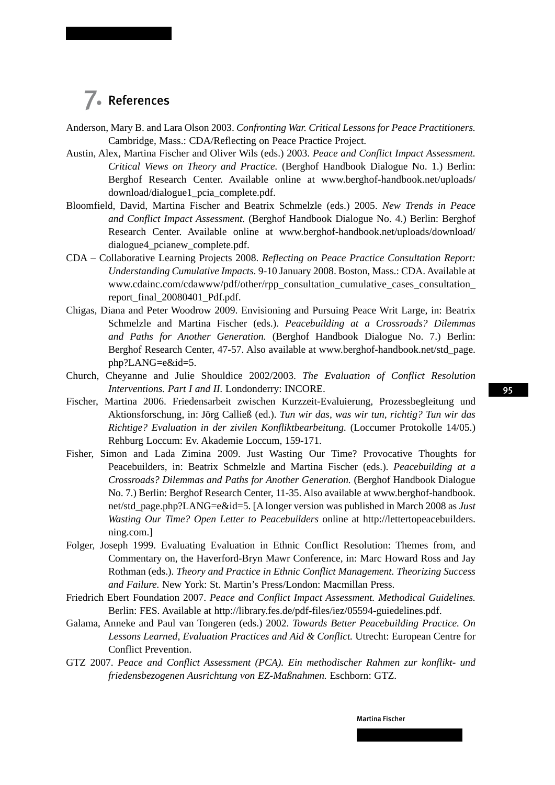### 7. References

- Anderson, Mary B. and Lara Olson 2003. *Confronting War. Critical Lessons for Peace Practitioners.*  Cambridge, Mass.: CDA/Reflecting on Peace Practice Project.
- Austin, Alex, Martina Fischer and Oliver Wils (eds.) 2003. *Peace and Conflict Impact Assessment. Critical Views on Theory and Practice.* (Berghof Handbook Dialogue No. 1.) Berlin: Berghof Research Center. Available online at www.berghof-handbook.net/uploads/ download/dialogue1\_pcia\_complete.pdf.
- Bloomfield, David, Martina Fischer and Beatrix Schmelzle (eds.) 2005. *New Trends in Peace and Conflict Impact Assessment.* (Berghof Handbook Dialogue No. 4.) Berlin: Berghof Research Center. Available online at www.berghof-handbook.net/uploads/download/ dialogue4\_pcianew\_complete.pdf.
- CDA Collaborative Learning Projects 2008. *Reflecting on Peace Practice Consultation Report: Understanding Cumulative Impacts.* 9-10 January 2008. Boston, Mass.: CDA. Available at www.cdainc.com/cdawww/pdf/other/rpp\_consultation\_cumulative\_cases\_consultation\_ report\_final\_20080401\_Pdf.pdf.
- Chigas, Diana and Peter Woodrow 2009. Envisioning and Pursuing Peace Writ Large, in: Beatrix Schmelzle and Martina Fischer (eds.). *Peacebuilding at a Crossroads? Dilemmas and Paths for Another Generation.* (Berghof Handbook Dialogue No. 7.) Berlin: Berghof Research Center, 47-57. Also available at www.berghof-handbook.net/std\_page. php?LANG=e&id=5.
- Church, Cheyanne and Julie Shouldice 2002/2003. *The Evaluation of Conflict Resolution Interventions. Part I and II.* Londonderry: INCORE.
- Fischer, Martina 2006. Friedensarbeit zwischen Kurzzeit-Evaluierung, Prozessbegleitung und Aktionsforschung, in: Jörg Calließ (ed.). *Tun wir das, was wir tun, richtig? Tun wir das Richtige? Evaluation in der zivilen Konfliktbearbeitung.* (Loccumer Protokolle 14/05.) Rehburg Loccum: Ev. Akademie Loccum, 159-171.
- Fisher, Simon and Lada Zimina 2009. Just Wasting Our Time? Provocative Thoughts for Peacebuilders, in: Beatrix Schmelzle and Martina Fischer (eds.). *Peacebuilding at a Crossroads? Dilemmas and Paths for Another Generation.* (Berghof Handbook Dialogue No. 7.) Berlin: Berghof Research Center, 11-35. Also available at www.berghof-handbook. net/std\_page.php?LANG=e&id=5. [A longer version was published in March 2008 as *Just Wasting Our Time? Open Letter to Peacebuilders* online at http://lettertopeacebuilders. ning.com.]
- Folger, Joseph 1999. Evaluating Evaluation in Ethnic Conflict Resolution: Themes from, and Commentary on, the Haverford-Bryn Mawr Conference, in: Marc Howard Ross and Jay Rothman (eds.). *Theory and Practice in Ethnic Conflict Management. Theorizing Success and Failure.* New York: St. Martin's Press/London: Macmillan Press.
- Friedrich Ebert Foundation 2007. *Peace and Conflict Impact Assessment. Methodical Guidelines.*  Berlin: FES. Available at http://library.fes.de/pdf-files/iez/05594-guiedelines.pdf.
- Galama, Anneke and Paul van Tongeren (eds.) 2002. *Towards Better Peacebuilding Practice. On Lessons Learned, Evaluation Practices and Aid & Conflict.* Utrecht: European Centre for Conflict Prevention.
- GTZ 2007. *Peace and Conflict Assessment (PCA). Ein methodischer Rahmen zur konflikt- und friedensbezogenen Ausrichtung von EZ-Maßnahmen.* Eschborn: GTZ.

95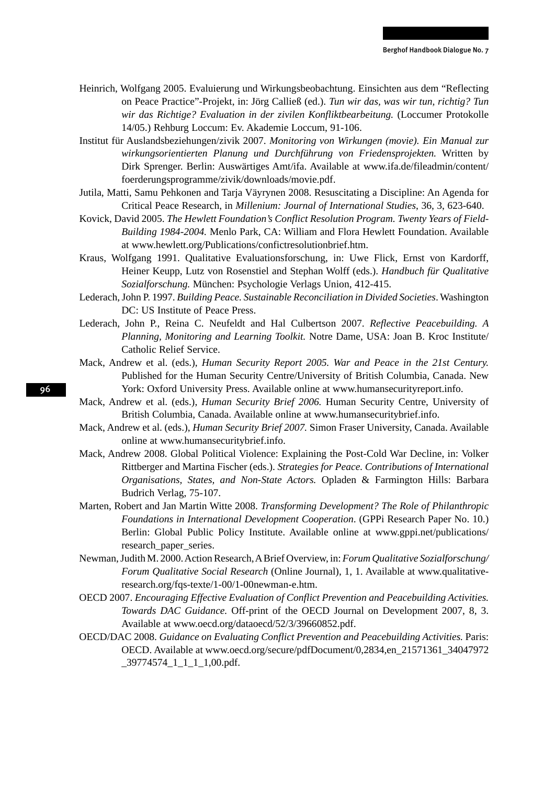- Heinrich, Wolfgang 2005. Evaluierung und Wirkungsbeobachtung. Einsichten aus dem "Reflecting on Peace Practice"-Projekt, in: Jörg Calließ (ed.). *Tun wir das, was wir tun, richtig? Tun wir das Richtige? Evaluation in der zivilen Konfliktbearbeitung.* (Loccumer Protokolle 14/05.) Rehburg Loccum: Ev. Akademie Loccum, 91-106.
- Institut für Auslandsbeziehungen/zivik 2007. *Monitoring von Wirkungen (movie). Ein Manual zur wirkungsorientierten Planung und Durchführung von Friedensprojekten.* Written by Dirk Sprenger. Berlin: Auswärtiges Amt/ifa. Available at www.ifa.de/fileadmin/content/ foerderungsprogramme/zivik/downloads/movie.pdf.
- Jutila, Matti, Samu Pehkonen and Tarja Väyrynen 2008. Resuscitating a Discipline: An Agenda for Critical Peace Research, in *Millenium: Journal of International Studies*, 36, 3, 623-640.
- Kovick, David 2005. *The Hewlett Foundation's Conflict Resolution Program. Twenty Years of Field-Building 1984-2004.* Menlo Park, CA: William and Flora Hewlett Foundation. Available at www.hewlett.org/Publications/confictresolutionbrief.htm.
- Kraus, Wolfgang 1991. Qualitative Evaluationsforschung, in: Uwe Flick, Ernst von Kardorff, Heiner Keupp, Lutz von Rosenstiel and Stephan Wolff (eds.). *Handbuch für Qualitative Sozialforschung.* München: Psychologie Verlags Union, 412-415.
- Lederach, John P. 1997. *Building Peace. Sustainable Reconciliation in Divided Societies*. Washington DC: US Institute of Peace Press.
- Lederach, John P., Reina C. Neufeldt and Hal Culbertson 2007. *Reflective Peacebuilding. A Planning, Monitoring and Learning Toolkit.* Notre Dame, USA: Joan B. Kroc Institute/ Catholic Relief Service.
- Mack, Andrew et al. (eds.), *Human Security Report 2005. War and Peace in the 21st Century.* Published for the Human Security Centre/University of British Columbia, Canada. New York: Oxford University Press. Available online at www.humansecurityreport.info.
- Mack, Andrew et al. (eds.), *Human Security Brief 2006.* Human Security Centre, University of British Columbia, Canada. Available online at www.humansecuritybrief.info.
- Mack, Andrew et al. (eds.), *Human Security Brief 2007.* Simon Fraser University, Canada. Available online at www.humansecuritybrief.info.
- Mack, Andrew 2008. Global Political Violence: Explaining the Post-Cold War Decline, in: Volker Rittberger and Martina Fischer (eds.). *Strategies for Peace. Contributions of International Organisations, States, and Non-State Actors.* Opladen & Farmington Hills: Barbara Budrich Verlag, 75-107.
- Marten, Robert and Jan Martin Witte 2008. *Transforming Development? The Role of Philanthropic Foundations in International Development Cooperation*. (GPPi Research Paper No. 10.) Berlin: Global Public Policy Institute. Available online at www.gppi.net/publications/ research\_paper\_series.
- Newman, Judith M. 2000. Action Research, A Brief Overview, in: *Forum Qualitative Sozialforschung/ Forum Qualitative Social Research* (Online Journal), 1, 1. Available at www.qualitativeresearch.org/fqs-texte/1-00/1-00newman-e.htm.
- OECD 2007. *Encouraging Effective Evaluation of Conflict Prevention and Peacebuilding Activities. Towards DAC Guidance.* Off-print of the OECD Journal on Development 2007, 8, 3. Available at www.oecd.org/dataoecd/52/3/39660852.pdf.
- OECD/DAC 2008. *Guidance on Evaluating Conflict Prevention and Peacebuilding Activities.* Paris: OECD. Available at www.oecd.org/secure/pdfDocument/0,2834,en\_21571361\_34047972  $\_39774574\_1\_1\_1\_1,00.pdf.$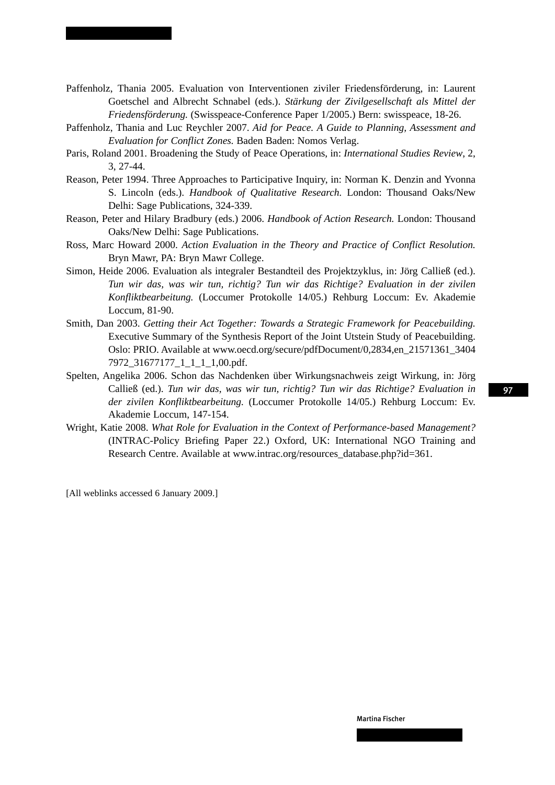- Paffenholz, Thania 2005. Evaluation von Interventionen ziviler Friedensförderung, in: Laurent Goetschel and Albrecht Schnabel (eds.). *Stärkung der Zivilgesellschaft als Mittel der Friedensförderung.* (Swisspeace-Conference Paper 1/2005.) Bern: swisspeace, 18-26.
- Paffenholz, Thania and Luc Reychler 2007. *Aid for Peace. A Guide to Planning, Assessment and Evaluation for Conflict Zones.* Baden Baden: Nomos Verlag.
- Paris, Roland 2001. Broadening the Study of Peace Operations, in: *International Studies Review*, 2, 3, 27-44.
- Reason, Peter 1994. Three Approaches to Participative Inquiry, in: Norman K. Denzin and Yvonna S. Lincoln (eds.). *Handbook of Qualitative Research.* London: Thousand Oaks/New Delhi: Sage Publications, 324-339.
- Reason, Peter and Hilary Bradbury (eds.) 2006. *Handbook of Action Research.* London: Thousand Oaks/New Delhi: Sage Publications.
- Ross, Marc Howard 2000. *Action Evaluation in the Theory and Practice of Conflict Resolution.* Bryn Mawr, PA: Bryn Mawr College.
- Simon, Heide 2006. Evaluation als integraler Bestandteil des Projektzyklus, in: Jörg Calließ (ed.). *Tun wir das, was wir tun, richtig? Tun wir das Richtige? Evaluation in der zivilen Konfliktbearbeitung.* (Loccumer Protokolle 14/05.) Rehburg Loccum: Ev. Akademie Loccum, 81-90.
- Smith, Dan 2003. *Getting their Act Together: Towards a Strategic Framework for Peacebuilding.* Executive Summary of the Synthesis Report of the Joint Utstein Study of Peacebuilding. Oslo: PRIO. Available at www.oecd.org/secure/pdfDocument/0,2834,en\_21571361\_3404 7972\_31677177\_1\_1\_1\_1,00.pdf.
- Spelten, Angelika 2006. Schon das Nachdenken über Wirkungsnachweis zeigt Wirkung, in: Jörg Calließ (ed.). *Tun wir das, was wir tun, richtig? Tun wir das Richtige? Evaluation in der zivilen Konfliktbearbeitung.* (Loccumer Protokolle 14/05.) Rehburg Loccum: Ev. Akademie Loccum, 147-154.
- Wright, Katie 2008. *What Role for Evaluation in the Context of Performance-based Management?* (INTRAC-Policy Briefing Paper 22.) Oxford, UK: International NGO Training and Research Centre. Available at www.intrac.org/resources\_database.php?id=361.

[All weblinks accessed 6 January 2009.]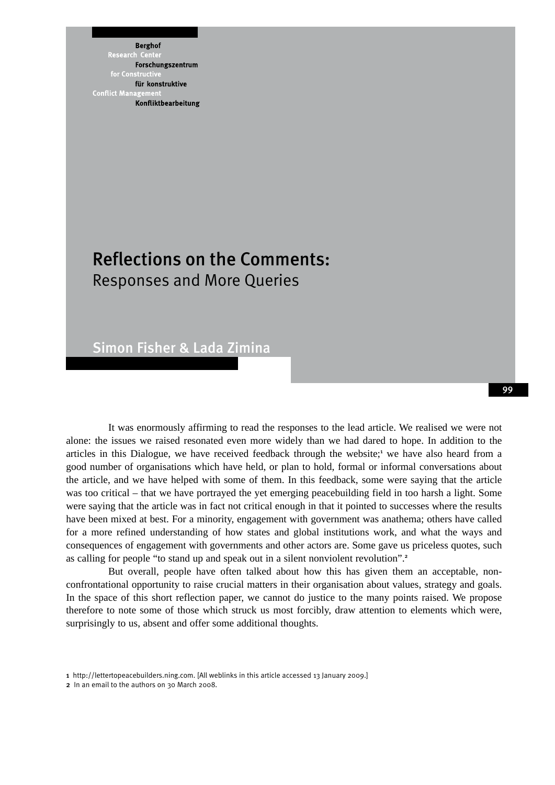**Berghof** Research Forschungszentrum für konstruktive **Conflict Mana** Konfliktbearbeitung

### Reflections on the Comments: Responses and More Queries

Simon Fisher & Lada Zimina

It was enormously affirming to read the responses to the lead article. We realised we were not alone: the issues we raised resonated even more widely than we had dared to hope. In addition to the articles in this Dialogue, we have received feedback through the website;<sup>1</sup> we have also heard from a good number of organisations which have held, or plan to hold, formal or informal conversations about the article, and we have helped with some of them. In this feedback, some were saying that the article was too critical – that we have portrayed the yet emerging peacebuilding field in too harsh a light. Some were saying that the article was in fact not critical enough in that it pointed to successes where the results have been mixed at best. For a minority, engagement with government was anathema; others have called for a more refined understanding of how states and global institutions work, and what the ways and consequences of engagement with governments and other actors are. Some gave us priceless quotes, such as calling for people "to stand up and speak out in a silent nonviolent revolution".<sup>2</sup>

But overall, people have often talked about how this has given them an acceptable, nonconfrontational opportunity to raise crucial matters in their organisation about values, strategy and goals. In the space of this short reflection paper, we cannot do justice to the many points raised. We propose therefore to note some of those which struck us most forcibly, draw attention to elements which were, surprisingly to us, absent and offer some additional thoughts.

<sup>1</sup> http://lettertopeacebuilders.ning.com. [All weblinks in this article accessed 13 January 2009.]

<sup>2</sup> In an email to the authors on 30 March 2008.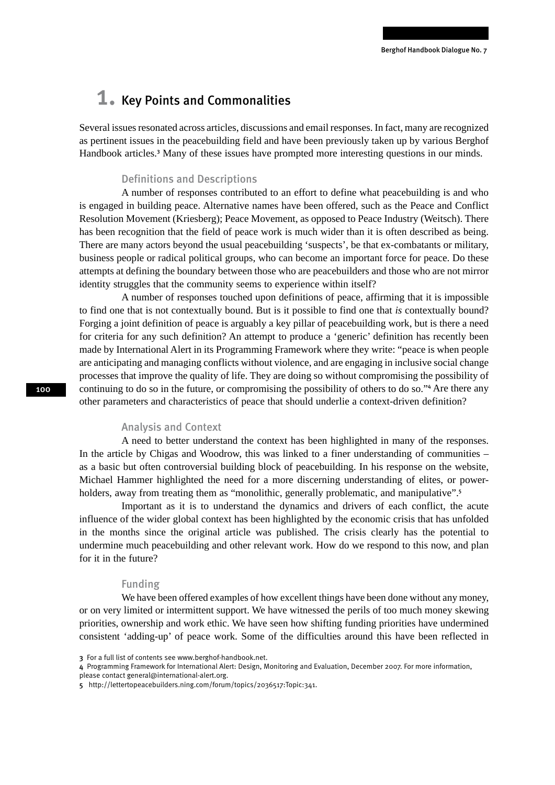### 1. Key Points and Commonalities

Several issues resonated across articles, discussions and email responses. In fact, many are recognized as pertinent issues in the peacebuilding field and have been previously taken up by various Berghof Handbook articles.<sup>3</sup> Many of these issues have prompted more interesting questions in our minds.

### Definitions and Descriptions

A number of responses contributed to an effort to define what peacebuilding is and who is engaged in building peace. Alternative names have been offered, such as the Peace and Conflict Resolution Movement (Kriesberg); Peace Movement, as opposed to Peace Industry (Weitsch). There has been recognition that the field of peace work is much wider than it is often described as being. There are many actors beyond the usual peacebuilding 'suspects', be that ex-combatants or military, business people or radical political groups, who can become an important force for peace. Do these attempts at defining the boundary between those who are peacebuilders and those who are not mirror identity struggles that the community seems to experience within itself?

A number of responses touched upon definitions of peace, affirming that it is impossible to find one that is not contextually bound. But is it possible to find one that *is* contextually bound? Forging a joint definition of peace is arguably a key pillar of peacebuilding work, but is there a need for criteria for any such definition? An attempt to produce a 'generic' definition has recently been made by International Alert in its Programming Framework where they write: "peace is when people are anticipating and managing conflicts without violence, and are engaging in inclusive social change processes that improve the quality of life. They are doing so without compromising the possibility of continuing to do so in the future, or compromising the possibility of others to do so."<sup>4</sup> Are there any other parameters and characteristics of peace that should underlie a context-driven definition?

#### Analysis and Context

A need to better understand the context has been highlighted in many of the responses. In the article by Chigas and Woodrow, this was linked to a finer understanding of communities – as a basic but often controversial building block of peacebuilding. In his response on the website, Michael Hammer highlighted the need for a more discerning understanding of elites, or powerholders, away from treating them as "monolithic, generally problematic, and manipulative".<sup>5</sup>

Important as it is to understand the dynamics and drivers of each conflict, the acute influence of the wider global context has been highlighted by the economic crisis that has unfolded in the months since the original article was published. The crisis clearly has the potential to undermine much peacebuilding and other relevant work. How do we respond to this now, and plan for it in the future?

#### Funding

We have been offered examples of how excellent things have been done without any money. or on very limited or intermittent support. We have witnessed the perils of too much money skewing priorities, ownership and work ethic. We have seen how shifting funding priorities have undermined consistent 'adding-up' of peace work. Some of the difficulties around this have been reflected in

<sup>3</sup> For a full list of contents see www.berghof-handbook.net.

<sup>4</sup> Programming Framework for International Alert: Design, Monitoring and Evaluation, December 2007. For more information,

please contact general@international-alert.org.

<sup>5</sup> http://lettertopeacebuilders.ning.com/forum/topics/2036517:Topic:341.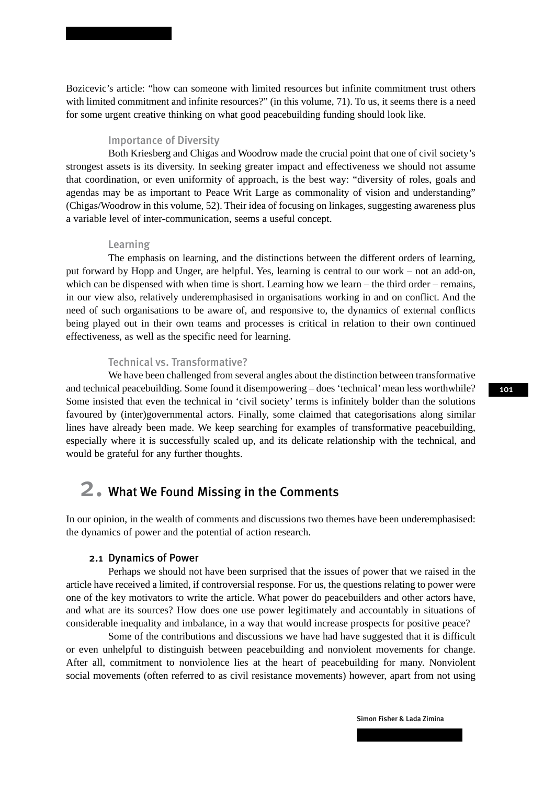Bozicevic's article: "how can someone with limited resources but infinite commitment trust others with limited commitment and infinite resources?" (in this volume, 71). To us, it seems there is a need for some urgent creative thinking on what good peacebuilding funding should look like.

#### Importance of Diversity

Both Kriesberg and Chigas and Woodrow made the crucial point that one of civil society's strongest assets is its diversity. In seeking greater impact and effectiveness we should not assume that coordination, or even uniformity of approach, is the best way: "diversity of roles, goals and agendas may be as important to Peace Writ Large as commonality of vision and understanding" (Chigas/Woodrow in this volume, 52). Their idea of focusing on linkages, suggesting awareness plus a variable level of inter-communication, seems a useful concept.

#### Learning

The emphasis on learning, and the distinctions between the different orders of learning, put forward by Hopp and Unger, are helpful. Yes, learning is central to our work – not an add-on, which can be dispensed with when time is short. Learning how we learn – the third order – remains, in our view also, relatively underemphasised in organisations working in and on conflict. And the need of such organisations to be aware of, and responsive to, the dynamics of external conflicts being played out in their own teams and processes is critical in relation to their own continued effectiveness, as well as the specific need for learning.

### Technical vs. Transformative?

We have been challenged from several angles about the distinction between transformative and technical peacebuilding. Some found it disempowering – does 'technical' mean less worthwhile? Some insisted that even the technical in 'civil society' terms is infinitely bolder than the solutions favoured by (inter)governmental actors. Finally, some claimed that categorisations along similar lines have already been made. We keep searching for examples of transformative peacebuilding, especially where it is successfully scaled up, and its delicate relationship with the technical, and would be grateful for any further thoughts.

### 2. What We Found Missing in the Comments

In our opinion, in the wealth of comments and discussions two themes have been underemphasised: the dynamics of power and the potential of action research.

#### 2.1 Dynamics of Power

Perhaps we should not have been surprised that the issues of power that we raised in the article have received a limited, if controversial response. For us, the questions relating to power were one of the key motivators to write the article. What power do peacebuilders and other actors have, and what are its sources? How does one use power legitimately and accountably in situations of considerable inequality and imbalance, in a way that would increase prospects for positive peace?

Some of the contributions and discussions we have had have suggested that it is difficult or even unhelpful to distinguish between peacebuilding and nonviolent movements for change. After all, commitment to nonviolence lies at the heart of peacebuilding for many. Nonviolent social movements (often referred to as civil resistance movements) however, apart from not using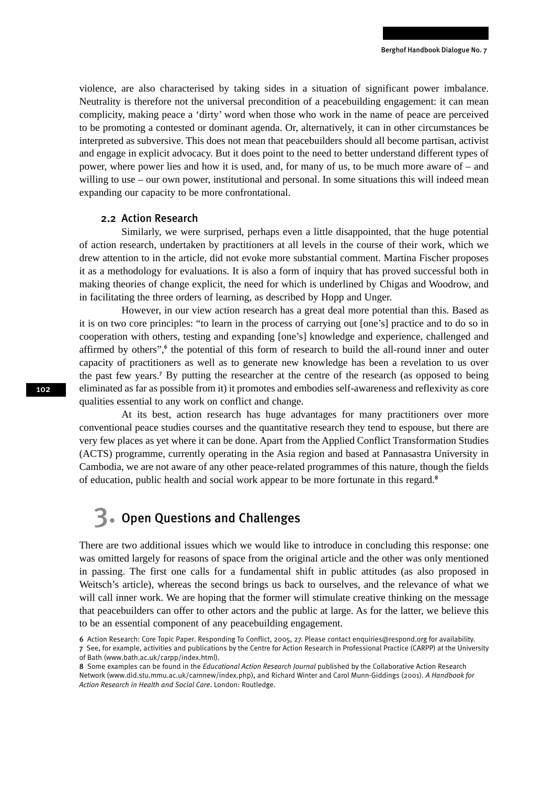violence, are also characterised by taking sides in a situation of significant power imbalance. Neutrality is therefore not the universal precondition of a peacebuilding engagement: it can mean complicity, making peace a 'dirty' word when those who work in the name of peace are perceived to be promoting a contested or dominant agenda. Or, alternatively, it can in other circumstances be interpreted as subversive. This does not mean that peacebuilders should all become partisan, activist and engage in explicit advocacy. But it does point to the need to better understand different types of power, where power lies and how it is used, and, for many of us, to be much more aware of – and willing to use – our own power, institutional and personal. In some situations this will indeed mean expanding our capacity to be more confrontational.

#### 2.2 Action Research

Similarly, we were surprised, perhaps even a little disappointed, that the huge potential of action research, undertaken by practitioners at all levels in the course of their work, which we drew attention to in the article, did not evoke more substantial comment. Martina Fischer proposes it as a methodology for evaluations. It is also a form of inquiry that has proved successful both in making theories of change explicit, the need for which is underlined by Chigas and Woodrow, and in facilitating the three orders of learning, as described by Hopp and Unger.

However, in our view action research has a great deal more potential than this. Based as it is on two core principles: "to learn in the process of carrying out [one's] practice and to do so in cooperation with others, testing and expanding [one's] knowledge and experience, challenged and affirmed by others",<sup>6</sup> the potential of this form of research to build the all-round inner and outer capacity of practitioners as well as to generate new knowledge has been a revelation to us over the past few years.<sup>7</sup> By putting the researcher at the centre of the research (as opposed to being eliminated as far as possible from it) it promotes and embodies self-awareness and reflexivity as core qualities essential to any work on conflict and change.

At its best, action research has huge advantages for many practitioners over more conventional peace studies courses and the quantitative research they tend to espouse, but there are very few places as yet where it can be done. Apart from the Applied Conflict Transformation Studies (ACTS) programme, currently operating in the Asia region and based at Pannasastra University in Cambodia, we are not aware of any other peace-related programmes of this nature, though the fields of education, public health and social work appear to be more fortunate in this regard.<sup>8</sup>

### 3. Open Questions and Challenges

There are two additional issues which we would like to introduce in concluding this response: one was omitted largely for reasons of space from the original article and the other was only mentioned in passing. The first one calls for a fundamental shift in public attitudes (as also proposed in Weitsch's article), whereas the second brings us back to ourselves, and the relevance of what we will call inner work. We are hoping that the former will stimulate creative thinking on the message that peacebuilders can offer to other actors and the public at large. As for the latter, we believe this to be an essential component of any peacebuilding engagement.

8 Some examples can be found in the *Educational Action Research Journal* published by the Collaborative Action Research

Network (www.did.stu.mmu.ac.uk/carnnew/index.php), and Richard Winter and Carol Munn-Giddings (2001). *A Handbook for Action Research in Health and Social Care*. London: Routledge.

<sup>6</sup> Action Research: Core Topic Paper. Responding To Conflict, 2005, 27. Please contact enquiries@respond.org for availability. 7 See, for example, activities and publications by the Centre for Action Research in Professional Practice (CARPP) at the University

of Bath (www.bath.ac.uk/carpp/index.html).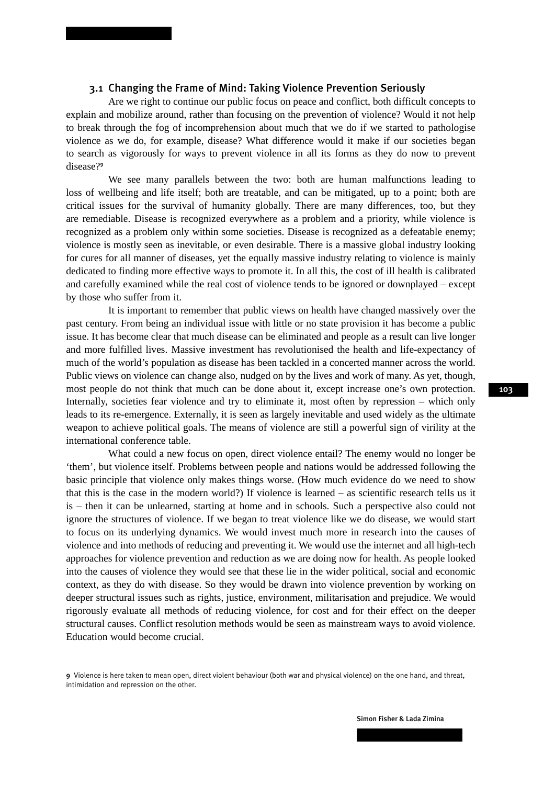### 3.1 Changing the Frame of Mind: Taking Violence Prevention Seriously

Are we right to continue our public focus on peace and conflict, both difficult concepts to explain and mobilize around, rather than focusing on the prevention of violence? Would it not help to break through the fog of incomprehension about much that we do if we started to pathologise violence as we do, for example, disease? What difference would it make if our societies began to search as vigorously for ways to prevent violence in all its forms as they do now to prevent disease?<sup>9</sup>

We see many parallels between the two: both are human malfunctions leading to loss of wellbeing and life itself; both are treatable, and can be mitigated, up to a point; both are critical issues for the survival of humanity globally. There are many differences, too, but they are remediable. Disease is recognized everywhere as a problem and a priority, while violence is recognized as a problem only within some societies. Disease is recognized as a defeatable enemy; violence is mostly seen as inevitable, or even desirable. There is a massive global industry looking for cures for all manner of diseases, yet the equally massive industry relating to violence is mainly dedicated to finding more effective ways to promote it. In all this, the cost of ill health is calibrated and carefully examined while the real cost of violence tends to be ignored or downplayed – except by those who suffer from it.

It is important to remember that public views on health have changed massively over the past century. From being an individual issue with little or no state provision it has become a public issue. It has become clear that much disease can be eliminated and people as a result can live longer and more fulfilled lives. Massive investment has revolutionised the health and life-expectancy of much of the world's population as disease has been tackled in a concerted manner across the world. Public views on violence can change also, nudged on by the lives and work of many. As yet, though, most people do not think that much can be done about it, except increase one's own protection. Internally, societies fear violence and try to eliminate it, most often by repression – which only leads to its re-emergence. Externally, it is seen as largely inevitable and used widely as the ultimate weapon to achieve political goals. The means of violence are still a powerful sign of virility at the international conference table.

What could a new focus on open, direct violence entail? The enemy would no longer be 'them', but violence itself. Problems between people and nations would be addressed following the basic principle that violence only makes things worse. (How much evidence do we need to show that this is the case in the modern world?) If violence is learned – as scientific research tells us it is – then it can be unlearned, starting at home and in schools. Such a perspective also could not ignore the structures of violence. If we began to treat violence like we do disease, we would start to focus on its underlying dynamics. We would invest much more in research into the causes of violence and into methods of reducing and preventing it. We would use the internet and all high-tech approaches for violence prevention and reduction as we are doing now for health. As people looked into the causes of violence they would see that these lie in the wider political, social and economic context, as they do with disease. So they would be drawn into violence prevention by working on deeper structural issues such as rights, justice, environment, militarisation and prejudice. We would rigorously evaluate all methods of reducing violence, for cost and for their effect on the deeper structural causes. Conflict resolution methods would be seen as mainstream ways to avoid violence. Education would become crucial.

<sup>9</sup> Violence is here taken to mean open, direct violent behaviour (both war and physical violence) on the one hand, and threat, intimidation and repression on the other.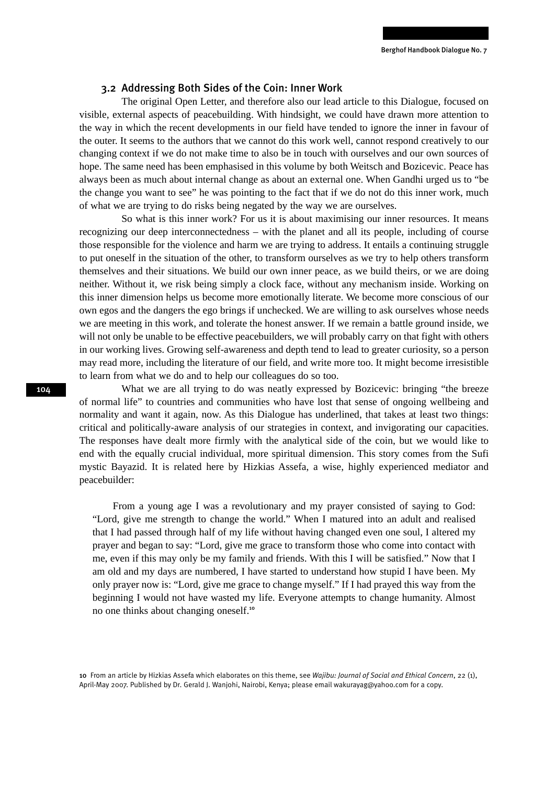#### 3.2 Addressing Both Sides of the Coin: Inner Work

The original Open Letter, and therefore also our lead article to this Dialogue, focused on visible, external aspects of peacebuilding. With hindsight, we could have drawn more attention to the way in which the recent developments in our field have tended to ignore the inner in favour of the outer. It seems to the authors that we cannot do this work well, cannot respond creatively to our changing context if we do not make time to also be in touch with ourselves and our own sources of hope. The same need has been emphasised in this volume by both Weitsch and Bozicevic. Peace has always been as much about internal change as about an external one. When Gandhi urged us to "be the change you want to see" he was pointing to the fact that if we do not do this inner work, much of what we are trying to do risks being negated by the way we are ourselves.

So what is this inner work? For us it is about maximising our inner resources. It means recognizing our deep interconnectedness – with the planet and all its people, including of course those responsible for the violence and harm we are trying to address. It entails a continuing struggle to put oneself in the situation of the other, to transform ourselves as we try to help others transform themselves and their situations. We build our own inner peace, as we build theirs, or we are doing neither. Without it, we risk being simply a clock face, without any mechanism inside. Working on this inner dimension helps us become more emotionally literate. We become more conscious of our own egos and the dangers the ego brings if unchecked. We are willing to ask ourselves whose needs we are meeting in this work, and tolerate the honest answer. If we remain a battle ground inside, we will not only be unable to be effective peacebuilders, we will probably carry on that fight with others in our working lives. Growing self-awareness and depth tend to lead to greater curiosity, so a person may read more, including the literature of our field, and write more too. It might become irresistible to learn from what we do and to help our colleagues do so too.

What we are all trying to do was neatly expressed by Bozicevic: bringing "the breeze of normal life" to countries and communities who have lost that sense of ongoing wellbeing and normality and want it again, now. As this Dialogue has underlined, that takes at least two things: critical and politically-aware analysis of our strategies in context, and invigorating our capacities. The responses have dealt more firmly with the analytical side of the coin, but we would like to end with the equally crucial individual, more spiritual dimension. This story comes from the Sufi mystic Bayazid. It is related here by Hizkias Assefa, a wise, highly experienced mediator and peacebuilder:

From a young age I was a revolutionary and my prayer consisted of saying to God: "Lord, give me strength to change the world." When I matured into an adult and realised that I had passed through half of my life without having changed even one soul, I altered my prayer and began to say: "Lord, give me grace to transform those who come into contact with me, even if this may only be my family and friends. With this I will be satisfied." Now that I am old and my days are numbered, I have started to understand how stupid I have been. My only prayer now is: "Lord, give me grace to change myself." If I had prayed this way from the beginning I would not have wasted my life. Everyone attempts to change humanity. Almost no one thinks about changing oneself.<sup>10</sup>

10 From an article by Hizkias Assefa which elaborates on this theme, see *Wajibu: Journal of Social and Ethical Concern*, 22 (1), April-May 2007. Published by Dr. Gerald J. Wanjohi, Nairobi, Kenya; please email wakurayag@yahoo.com for a copy.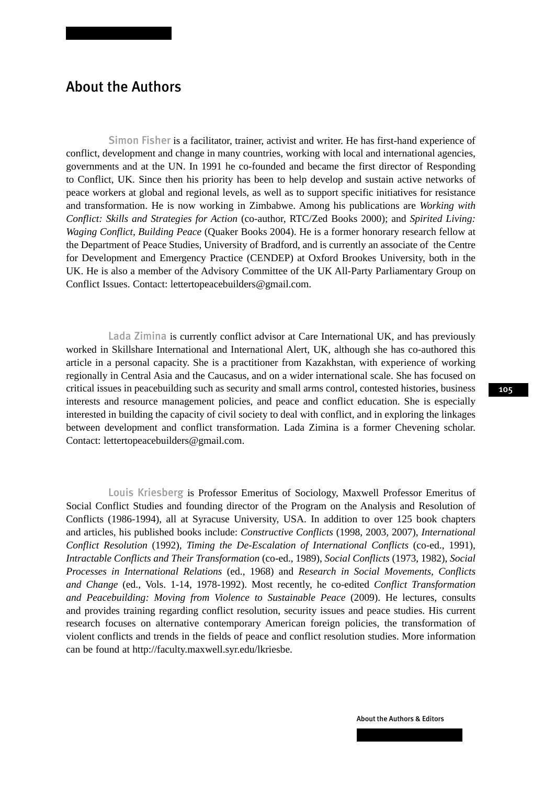### About the Authors

Simon Fisher is a facilitator, trainer, activist and writer. He has first-hand experience of conflict, development and change in many countries, working with local and international agencies, governments and at the UN. In 1991 he co-founded and became the first director of Responding to Conflict, UK. Since then his priority has been to help develop and sustain active networks of peace workers at global and regional levels, as well as to support specific initiatives for resistance and transformation. He is now working in Zimbabwe. Among his publications are *Working with Conflict: Skills and Strategies for Action* (co-author, RTC/Zed Books 2000); and *Spirited Living: Waging Conflict, Building Peace* (Quaker Books 2004). He is a former honorary research fellow at the Department of Peace Studies, University of Bradford, and is currently an associate of the Centre for Development and Emergency Practice (CENDEP) at Oxford Brookes University, both in the UK. He is also a member of the Advisory Committee of the UK All-Party Parliamentary Group on Conflict Issues. Contact: lettertopeacebuilders@gmail.com.

Lada Zimina is currently conflict advisor at Care International UK, and has previously worked in Skillshare International and International Alert, UK, although she has co-authored this article in a personal capacity. She is a practitioner from Kazakhstan, with experience of working regionally in Central Asia and the Caucasus, and on a wider international scale. She has focused on critical issues in peacebuilding such as security and small arms control, contested histories, business interests and resource management policies, and peace and conflict education. She is especially interested in building the capacity of civil society to deal with conflict, and in exploring the linkages between development and conflict transformation. Lada Zimina is a former Chevening scholar. Contact: lettertopeacebuilders@gmail.com.

Louis Kriesberg is Professor Emeritus of Sociology, Maxwell Professor Emeritus of Social Conflict Studies and founding director of the Program on the Analysis and Resolution of Conflicts (1986-1994), all at Syracuse University, USA. In addition to over 125 book chapters and articles, his published books include: *Constructive Conflicts* (1998, 2003, 2007), *International Conflict Resolution* (1992), *Timing the De-Escalation of International Conflicts* (co-ed., 1991), *Intractable Conflicts and Their Transformation* (co-ed., 1989), *Social Conflicts* (1973, 1982), *Social Processes in International Relations* (ed., 1968) and *Research in Social Movements, Conflicts and Change* (ed., Vols. 1-14, 1978-1992). Most recently, he co-edited *Conflict Transformation and Peacebuilding: Moving from Violence to Sustainable Peace* (2009). He lectures, consults and provides training regarding conflict resolution, security issues and peace studies. His current research focuses on alternative contemporary American foreign policies, the transformation of violent conflicts and trends in the fields of peace and conflict resolution studies. More information can be found at http://faculty.maxwell.syr.edu/lkriesbe.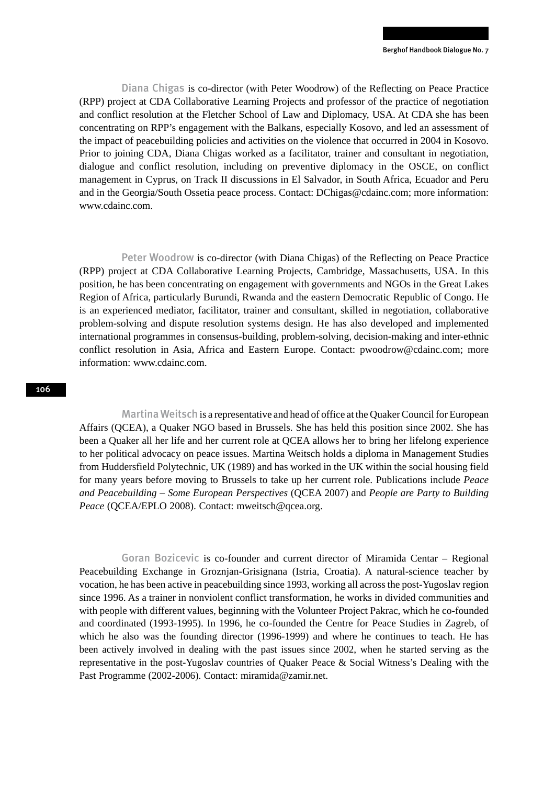Diana Chigas is co-director (with Peter Woodrow) of the Reflecting on Peace Practice (RPP) project at CDA Collaborative Learning Projects and professor of the practice of negotiation and conflict resolution at the Fletcher School of Law and Diplomacy, USA. At CDA she has been concentrating on RPP's engagement with the Balkans, especially Kosovo, and led an assessment of the impact of peacebuilding policies and activities on the violence that occurred in 2004 in Kosovo. Prior to joining CDA, Diana Chigas worked as a facilitator, trainer and consultant in negotiation, dialogue and conflict resolution, including on preventive diplomacy in the OSCE, on conflict management in Cyprus, on Track II discussions in El Salvador, in South Africa, Ecuador and Peru and in the Georgia/South Ossetia peace process. Contact: DChigas@cdainc.com; more information: www.cdainc.com.

Peter Woodrow is co-director (with Diana Chigas) of the Reflecting on Peace Practice (RPP) project at CDA Collaborative Learning Projects, Cambridge, Massachusetts, USA. In this position, he has been concentrating on engagement with governments and NGOs in the Great Lakes Region of Africa, particularly Burundi, Rwanda and the eastern Democratic Republic of Congo. He is an experienced mediator, facilitator, trainer and consultant, skilled in negotiation, collaborative problem-solving and dispute resolution systems design. He has also developed and implemented international programmes in consensus-building, problem-solving, decision-making and inter-ethnic conflict resolution in Asia, Africa and Eastern Europe. Contact: pwoodrow@cdainc.com; more information: www.cdainc.com.

Martina Weitsch is a representative and head of office at the Quaker Council for European Affairs (QCEA), a Quaker NGO based in Brussels. She has held this position since 2002. She has been a Quaker all her life and her current role at QCEA allows her to bring her lifelong experience to her political advocacy on peace issues. Martina Weitsch holds a diploma in Management Studies from Huddersfield Polytechnic, UK (1989) and has worked in the UK within the social housing field for many years before moving to Brussels to take up her current role. Publications include *Peace and Peacebuilding – Some European Perspectives* (QCEA 2007) and *People are Party to Building*  Peace (QCEA/EPLO 2008). Contact: mweitsch@qcea.org.

Goran Bozicevic is co-founder and current director of Miramida Centar – Regional Peacebuilding Exchange in Groznjan-Grisignana (Istria, Croatia). A natural-science teacher by vocation, he has been active in peacebuilding since 1993, working all across the post-Yugoslav region since 1996. As a trainer in nonviolent conflict transformation, he works in divided communities and with people with different values, beginning with the Volunteer Project Pakrac, which he co-founded and coordinated (1993-1995). In 1996, he co-founded the Centre for Peace Studies in Zagreb, of which he also was the founding director (1996-1999) and where he continues to teach. He has been actively involved in dealing with the past issues since 2002, when he started serving as the representative in the post-Yugoslav countries of Quaker Peace & Social Witness's Dealing with the Past Programme (2002-2006). Contact: miramida@zamir.net.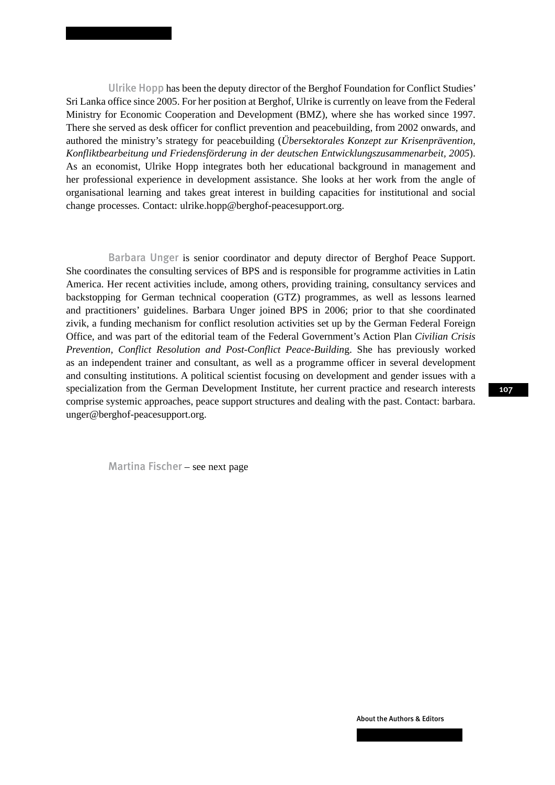Ulrike Hopp has been the deputy director of the Berghof Foundation for Conflict Studies' Sri Lanka office since 2005. For her position at Berghof, Ulrike is currently on leave from the Federal Ministry for Economic Cooperation and Development (BMZ), where she has worked since 1997. There she served as desk officer for conflict prevention and peacebuilding, from 2002 onwards, and authored the ministry's strategy for peacebuilding (*Übersektorales Konzept zur Krisenprävention, Konfliktbearbeitung und Friedensförderung in der deutschen Entwicklungszusammenarbeit, 2005*). As an economist, Ulrike Hopp integrates both her educational background in management and her professional experience in development assistance. She looks at her work from the angle of organisational learning and takes great interest in building capacities for institutional and social change processes. Contact: ulrike.hopp@berghof-peacesupport.org.

Barbara Unger is senior coordinator and deputy director of Berghof Peace Support. She coordinates the consulting services of BPS and is responsible for programme activities in Latin America. Her recent activities include, among others, providing training, consultancy services and backstopping for German technical cooperation (GTZ) programmes, as well as lessons learned and practitioners' guidelines. Barbara Unger joined BPS in 2006; prior to that she coordinated zivik, a funding mechanism for conflict resolution activities set up by the German Federal Foreign Office, and was part of the editorial team of the Federal Government's Action Plan *Civilian Crisis Prevention, Conflict Resolution and Post-Conflict Peace-Buildin*g. She has previously worked as an independent trainer and consultant, as well as a programme officer in several development and consulting institutions. A political scientist focusing on development and gender issues with a specialization from the German Development Institute, her current practice and research interests comprise systemic approaches, peace support structures and dealing with the past. Contact: barbara. unger@berghof-peacesupport.org.

Martina Fischer – see next page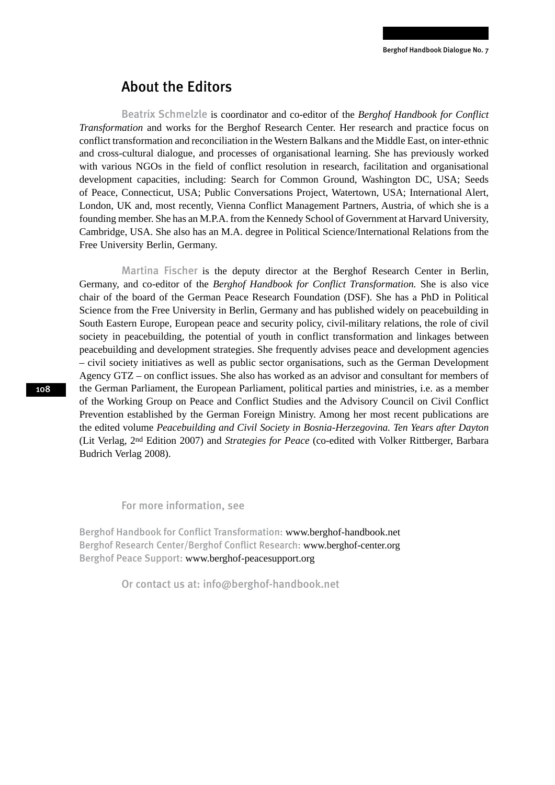### About the Editors

Beatrix Schmelzle is coordinator and co-editor of the *Berghof Handbook for Conflict Transformation* and works for the Berghof Research Center. Her research and practice focus on conflict transformation and reconciliation in the Western Balkans and the Middle East, on inter-ethnic and cross-cultural dialogue, and processes of organisational learning. She has previously worked with various NGOs in the field of conflict resolution in research, facilitation and organisational development capacities, including: Search for Common Ground, Washington DC, USA; Seeds of Peace, Connecticut, USA; Public Conversations Project, Watertown, USA; International Alert, London, UK and, most recently, Vienna Conflict Management Partners, Austria, of which she is a founding member. She has an M.P.A. from the Kennedy School of Government at Harvard University, Cambridge, USA. She also has an M.A. degree in Political Science/International Relations from the Free University Berlin, Germany.

Martina Fischer is the deputy director at the Berghof Research Center in Berlin, Germany, and co-editor of the *Berghof Handbook for Conflict Transformation.* She is also vice chair of the board of the German Peace Research Foundation (DSF). She has a PhD in Political Science from the Free University in Berlin, Germany and has published widely on peacebuilding in South Eastern Europe, European peace and security policy, civil-military relations, the role of civil society in peacebuilding, the potential of youth in conflict transformation and linkages between peacebuilding and development strategies. She frequently advises peace and development agencies – civil society initiatives as well as public sector organisations, such as the German Development Agency GTZ – on conflict issues. She also has worked as an advisor and consultant for members of the German Parliament, the European Parliament, political parties and ministries, i.e. as a member of the Working Group on Peace and Conflict Studies and the Advisory Council on Civil Conflict Prevention established by the German Foreign Ministry. Among her most recent publications are the edited volume *Peacebuilding and Civil Society in Bosnia-Herzegovina. Ten Years after Dayton* (Lit Verlag, 2nd Edition 2007) and *Strategies for Peace* (co-edited with Volker Rittberger, Barbara Budrich Verlag 2008).

For more information, see

Berghof Handbook for Conflict Transformation: www.berghof-handbook.net Berghof Research Center/Berghof Conflict Research: www.berghof-center.org Berghof Peace Support: www.berghof-peacesupport.org

Or contact us at: info@berghof-handbook.net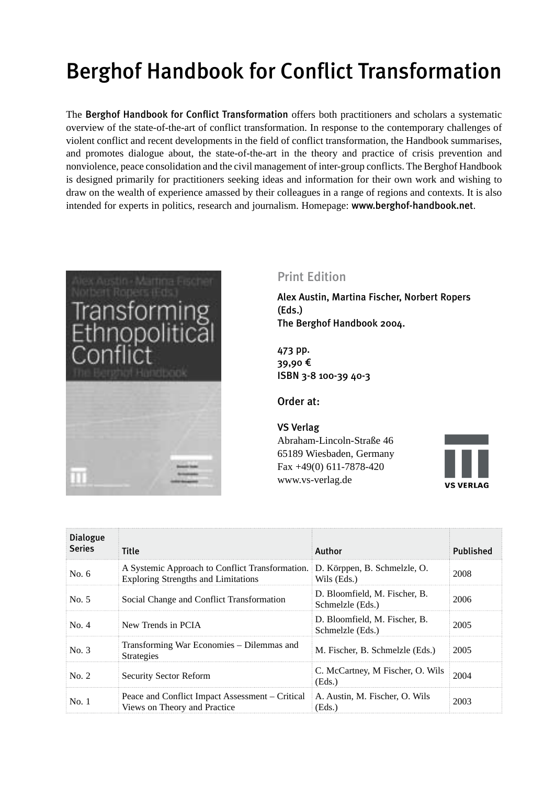# Berghof Handbook for Conflict Transformation

The Berghof Handbook for Conflict Transformation offers both practitioners and scholars a systematic overview of the state-of-the-art of conflict transformation. In response to the contemporary challenges of violent conflict and recent developments in the field of conflict transformation, the Handbook summarises, and promotes dialogue about, the state-of-the-art in the theory and practice of crisis prevention and nonviolence, peace consolidation and the civil management of inter-group conflicts. The Berghof Handbook is designed primarily for practitioners seeking ideas and information for their own work and wishing to draw on the wealth of experience amassed by their colleagues in a range of regions and contexts. It is also intended for experts in politics, research and journalism. Homepage: www.berghof-handbook.net.



### Print Edition

Alex Austin, Martina Fischer, Norbert Ropers (Eds.) The Berghof Handbook 2004.

473 pp. 39,90 € ISBN 3-8 100-39 40-3

Order at:

#### VS Verlag

Abraham-Lincoln-Straße 46 65189 Wiesbaden, Germany Fax +49(0) 611-7878-420 www.vs-verlag.de



| <b>Dialogue</b><br><b>Series</b> | <b>Title</b>                                                                                                               | Author                                            | Published |
|----------------------------------|----------------------------------------------------------------------------------------------------------------------------|---------------------------------------------------|-----------|
| No. $6$                          | A Systemic Approach to Conflict Transformation. D. Körppen, B. Schmelzle, O.<br><b>Exploring Strengths and Limitations</b> | Wils (Eds.)                                       | 2008      |
| No. 5                            | Social Change and Conflict Transformation                                                                                  | D. Bloomfield, M. Fischer, B.<br>Schmelzle (Eds.) | 2006      |
| No. 4                            | New Trends in PCIA                                                                                                         | D. Bloomfield, M. Fischer, B.<br>Schmelzle (Eds.) | 2005      |
| No. 3                            | Transforming War Economies – Dilemmas and<br><b>Strategies</b>                                                             | M. Fischer, B. Schmelzle (Eds.)                   | 2005      |
| No. 2                            | <b>Security Sector Reform</b>                                                                                              | C. McCartney, M Fischer, O. Wils<br>(Eds.)        | 2004      |
| No.1                             | Peace and Conflict Impact Assessment – Critical<br>Views on Theory and Practice                                            | A. Austin, M. Fischer, O. Wils<br>(Eds.)          | 2003      |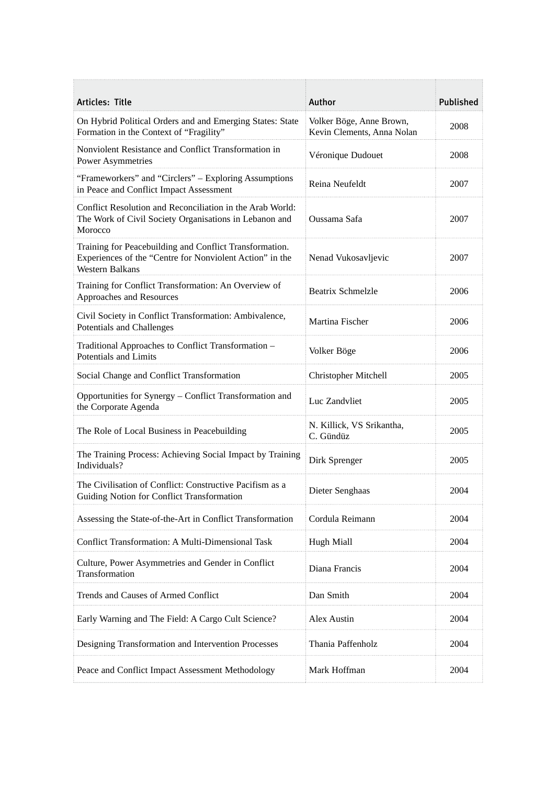| Articles: Title                                                                                                                               | Author                                                 | Published |
|-----------------------------------------------------------------------------------------------------------------------------------------------|--------------------------------------------------------|-----------|
| On Hybrid Political Orders and and Emerging States: State<br>Formation in the Context of "Fragility"                                          | Volker Böge, Anne Brown,<br>Kevin Clements, Anna Nolan | 2008      |
| Nonviolent Resistance and Conflict Transformation in<br><b>Power Asymmetries</b>                                                              | Véronique Dudouet                                      | 2008      |
| "Frameworkers" and "Circlers" – Exploring Assumptions<br>in Peace and Conflict Impact Assessment                                              | Reina Neufeldt                                         | 2007      |
| Conflict Resolution and Reconciliation in the Arab World:<br>The Work of Civil Society Organisations in Lebanon and<br>Morocco                | Oussama Safa                                           | 2007      |
| Training for Peacebuilding and Conflict Transformation.<br>Experiences of the "Centre for Nonviolent Action" in the<br><b>Western Balkans</b> | Nenad Vukosavljevic                                    | 2007      |
| Training for Conflict Transformation: An Overview of<br>Approaches and Resources                                                              | <b>Beatrix Schmelzle</b>                               | 2006      |
| Civil Society in Conflict Transformation: Ambivalence,<br>Potentials and Challenges                                                           | Martina Fischer                                        | 2006      |
| Traditional Approaches to Conflict Transformation -<br>Potentials and Limits                                                                  | Volker Böge                                            | 2006      |
| Social Change and Conflict Transformation                                                                                                     | Christopher Mitchell                                   | 2005      |
| Opportunities for Synergy - Conflict Transformation and<br>the Corporate Agenda                                                               | Luc Zandvliet                                          | 2005      |
| The Role of Local Business in Peacebuilding                                                                                                   | N. Killick, VS Srikantha,<br>C. Gündüz                 | 2005      |
| The Training Process: Achieving Social Impact by Training<br>Individuals?                                                                     | Dirk Sprenger                                          | 2005      |
| The Civilisation of Conflict: Constructive Pacifism as a<br>Guiding Notion for Conflict Transformation                                        | Dieter Senghaas                                        | 2004      |
| Assessing the State-of-the-Art in Conflict Transformation                                                                                     | Cordula Reimann                                        | 2004      |
| Conflict Transformation: A Multi-Dimensional Task                                                                                             | <b>Hugh Miall</b>                                      | 2004      |
| Culture, Power Asymmetries and Gender in Conflict<br>Transformation                                                                           | Diana Francis                                          | 2004      |
| Trends and Causes of Armed Conflict                                                                                                           | Dan Smith                                              | 2004      |
| Early Warning and The Field: A Cargo Cult Science?                                                                                            | Alex Austin                                            | 2004      |
| Designing Transformation and Intervention Processes                                                                                           | Thania Paffenholz                                      | 2004      |
| Peace and Conflict Impact Assessment Methodology                                                                                              | Mark Hoffman                                           | 2004      |